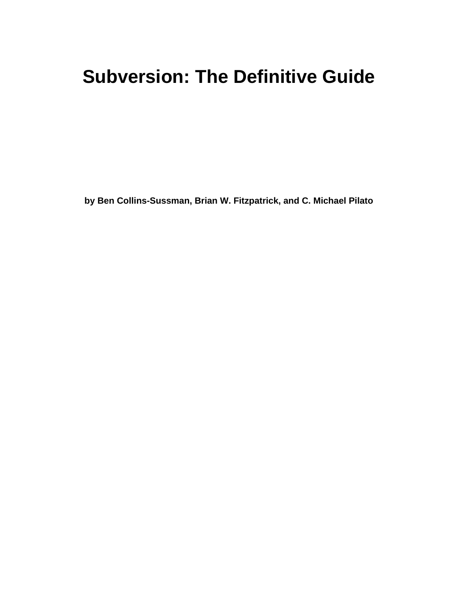# **Subversion: The Definitive Guide**

**by Ben Collins-Sussman, Brian W. Fitzpatrick, and C. Michael Pilato**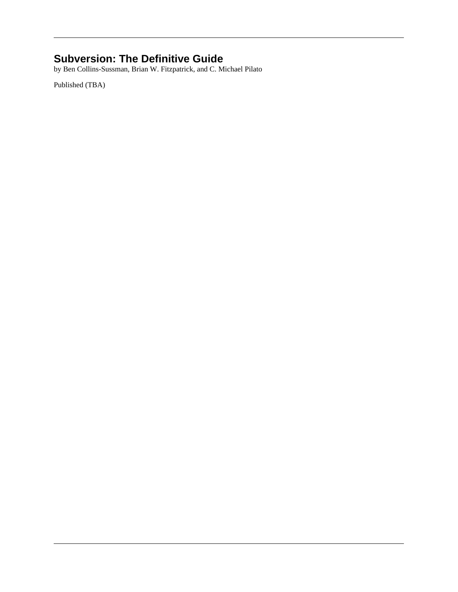## **Subversion: The Definitive Guide**

by Ben Collins-Sussman, Brian W. Fitzpatrick, and C. Michael Pilato

Published (TBA)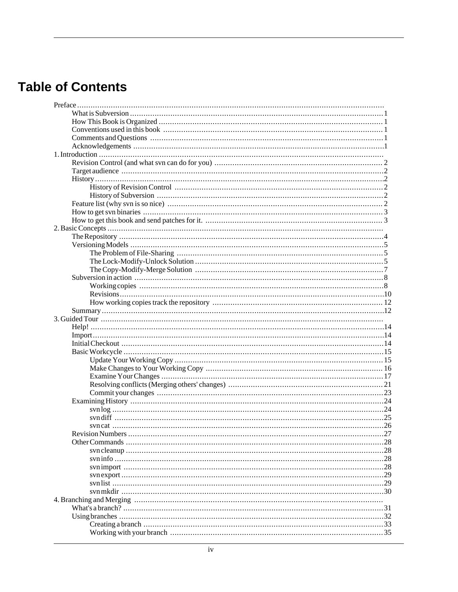# **Table of Contents**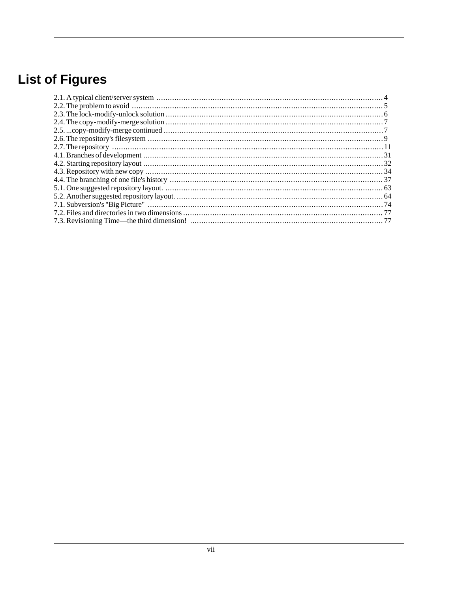# **List of Figures**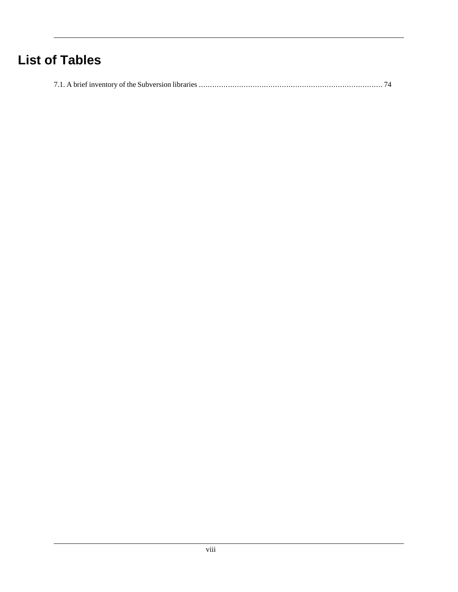# **List of Tables**

|--|--|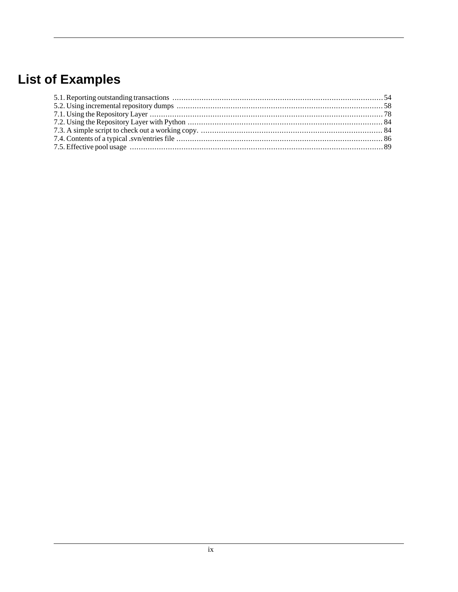# **List of Examples**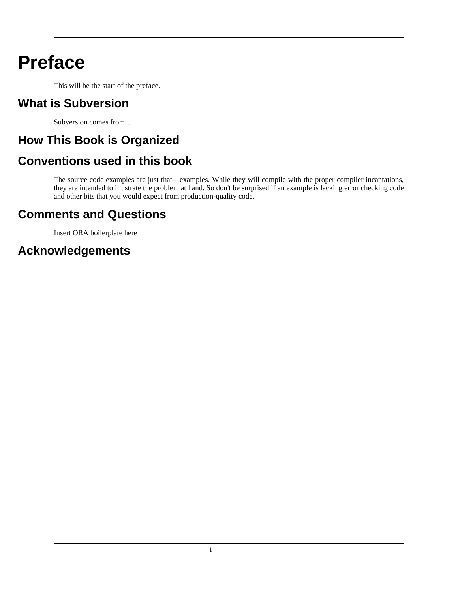# **Preface**

<span id="page-9-0"></span>This will be the start of the preface.

## **What is Subversion**

<span id="page-9-2"></span><span id="page-9-1"></span>Subversion comes from...

## **How This Book is Organized**

## **Conventions used in this book**

<span id="page-9-3"></span>The source code examples are just that—examples. While they will compile with the proper compiler incantations, they are intended to illustrate the problem at hand. So don't be surprised if an example is lacking error checking code and other bits that you would expect from production-quality code.

## **Comments and Questions**

<span id="page-9-4"></span>Insert ORA boilerplate here

## **Acknowledgements**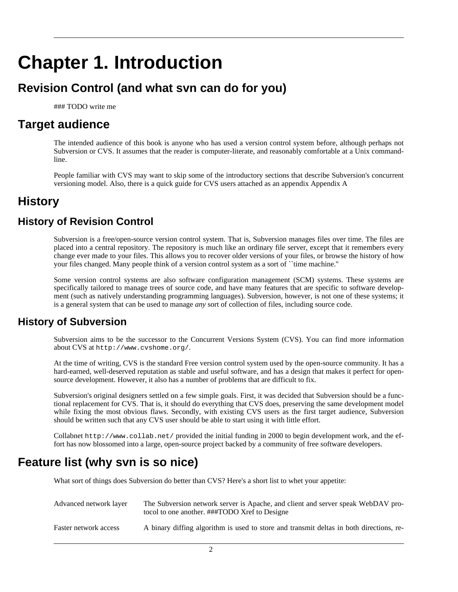# **Chapter 1. Introduction**

## **Revision Control (and what svn can do for you)**

<span id="page-10-1"></span><span id="page-10-0"></span>### TODO write me

## **Target audience**

The intended audience of this book is anyone who has used a version control system before, although perhaps not Subversion or CVS. It assumes that the reader is computer-literate, and reasonably comfortable at a Unix commandline.

<span id="page-10-2"></span>People familiar with CVS may want to skip some of the introductory sections that describe Subversion's concurrent versioning model. Also, there is a quick guide for CVS users attached as an appendi[x Appendix A](#page--1-0)

## **History**

### **History of Revision Control**

<span id="page-10-3"></span>Subversion is a free/open-source version control system. That is, Subversion manages files over time. The files are placed into a central repository. The repository is much like an ordinary file server, except that it remembers every change ever made to your files. This allows you to recover older versions of your files, or browse the history of how your files changed. Many people think of a version control system as a sort of ``time machine.''

<span id="page-10-4"></span>Some version control systems are also software configuration management (SCM) systems. These systems are specifically tailored to manage trees of source code, and have many features that are specific to software development (such as natively understanding programming languages). Subversion, however, is not one of these systems; it is a general system that can be used to manage *any* sort of collection of files, including source code.

#### **History of Subversion**

Subversion aims to be the successor to the Concurrent Versions System (CVS). You can find more information about CVS at http://www.cvshome.org/.

At the time of writing, CVS is the standard Free version control system used by the open-source community. It has a hard-earned, well-deserved reputation as stable and useful software, and has a design that makes it perfect for opensource development. However, it also has a number of problems that are difficult to fix.

Subversion's original designers settled on a few simple goals. First, it was decided that Subversion should be a functional replacement for CVS. That is, it should do everything that CVS does, preserving the same development model while fixing the most obvious flaws. Secondly, with existing CVS users as the first target audience, Subversion should be written such that any CVS user should be able to start using it with little effort.

<span id="page-10-5"></span>Collabnet http://www.collab.net/ provided the initial funding in 2000 to begin development work, and the effort has now blossomed into a large, open-source project backed by a community of free software developers.

## **Feature list (why svn is so nice)**

What sort of things does Subversion do better than CVS? Here's a short list to whet your appetite:

| Advanced network layer | The Subversion network server is Apache, and client and server speak WebDAV pro-<br>to col to one another. ###TODO Xref to Designe |
|------------------------|------------------------------------------------------------------------------------------------------------------------------------|
| Faster network access  | A binary diffing algorithm is used to store and transmit deltas in both directions, re-                                            |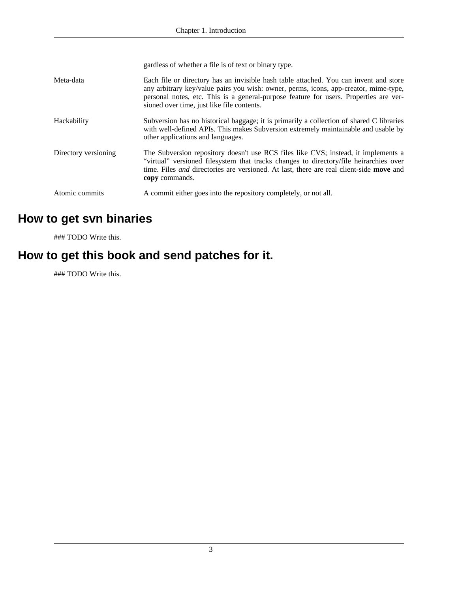| Meta-data            | Each file or directory has an invisible hash table attached. You can invent and store<br>any arbitrary key/value pairs you wish: owner, perms, icons, app-creator, mime-type,<br>personal notes, etc. This is a general-purpose feature for users. Properties are ver-<br>sioned over time, just like file contents. |
|----------------------|----------------------------------------------------------------------------------------------------------------------------------------------------------------------------------------------------------------------------------------------------------------------------------------------------------------------|
| Hackability          | Subversion has no historical baggage; it is primarily a collection of shared C libraries<br>with well-defined APIs. This makes Subversion extremely maintainable and usable by<br>other applications and languages.                                                                                                  |
| Directory versioning | The Subversion repository doesn't use RCS files like CVS; instead, it implements a<br>"virtual" versioned filesystem that tracks changes to directory/file heirarchies over<br>time. Files <i>and</i> directories are versioned. At last, there are real client-side <b>move</b> and<br>copy commands.               |
| Atomic commits       | A commit either goes into the repository completely, or not all.                                                                                                                                                                                                                                                     |

## **How to get svn binaries**

<span id="page-11-1"></span><span id="page-11-0"></span>### TODO Write this.

# **How to get this book and send patches for it.**

### TODO Write this.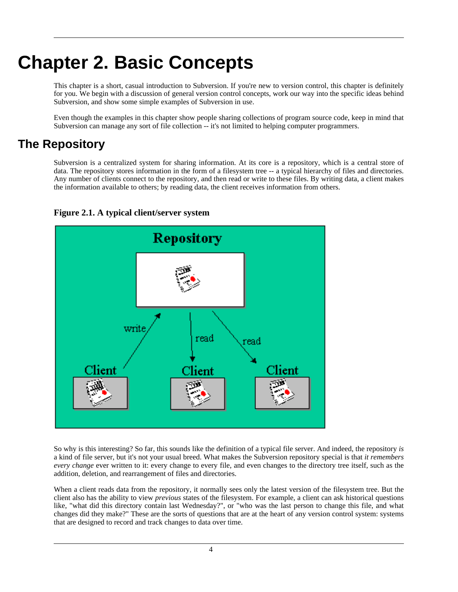# **Chapter 2. Basic Concepts**

This chapter is a short, casual introduction to Subversion. If you're new to version control, this chapter is definitely for you. We begin with a discussion of general version control concepts, work our way into the specific ideas behind Subversion, and show some simple examples of Subversion in use.

<span id="page-12-0"></span>Even though the examples in this chapter show people sharing collections of program source code, keep in mind that Subversion can manage any sort of file collection -- it's not limited to helping computer programmers.

## **The Repository**

Subversion is a centralized system for sharing information. At its core is a repository, which is a central store of data. The repository stores information in the form of a filesystem tree -- a typical hierarchy of files and directories. Any number of clients connect to the repository, and then read or write to these files. By writing data, a client makes the information available to others; by reading data, the client receives information from others.



<span id="page-12-1"></span>**Figure 2.1. A typical client/server system**

So why is this interesting? So far, this sounds like the definition of a typical file server. And indeed, the repository *is* a kind of file server, but it's not your usual breed. What makes the Subversion repository special is that *it remembers every change* ever written to it: every change to every file, and even changes to the directory tree itself, such as the addition, deletion, and rearrangement of files and directories.

When a client reads data from the repository, it normally sees only the latest version of the filesystem tree. But the client also has the ability to view *previous* states of the filesystem. For example, a client can ask historical questions like, "what did this directory contain last Wednesday?", or "who was the last person to change this file, and what changes did they make?" These are the sorts of questions that are at the heart of any version control system: systems that are designed to record and track changes to data over time.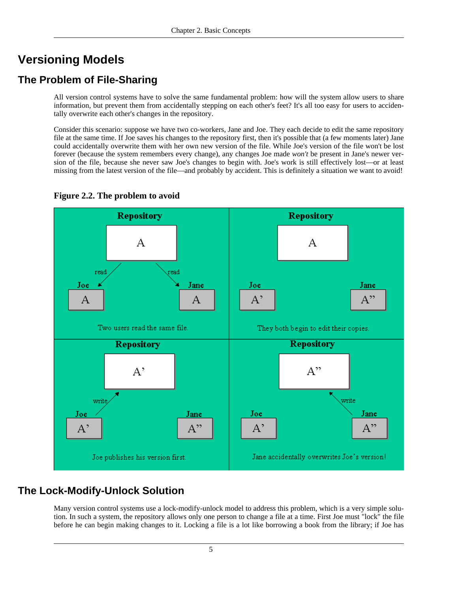## <span id="page-13-0"></span>**Versioning Models**

## **The Problem of File-Sharing**

<span id="page-13-1"></span>All version control systems have to solve the same fundamental problem: how will the system allow users to share information, but prevent them from accidentally stepping on each other's feet? It's all too easy for users to accidentally overwrite each other's changes in the repository.

Consider this scenario: suppose we have two co-workers, Jane and Joe. They each decide to edit the same repository file at the same time. If Joe saves his changes to the repository first, then it's possible that (a few moments later) Jane could accidentally overwrite them with her own new version of the file. While Joe's version of the file won't be lost forever (because the system remembers every change), any changes Joe made *won't* be present in Jane's newer version of the file, because she never saw Joe's changes to begin with. Joe's work is still effectively lost—or at least missing from the latest version of the file—and probably by accident. This is definitely a situation we want to avoid!



#### <span id="page-13-3"></span>**Figure 2.2. The problem to avoid**

## **The Lock-Modify-Unlock Solution**

<span id="page-13-2"></span>Many version control systems use a lock-modify-unlock model to address this problem, which is a very simple solution. In such a system, the repository allows only one person to change a file at a time. First Joe must "lock" the file before he can begin making changes to it. Locking a file is a lot like borrowing a book from the library; if Joe has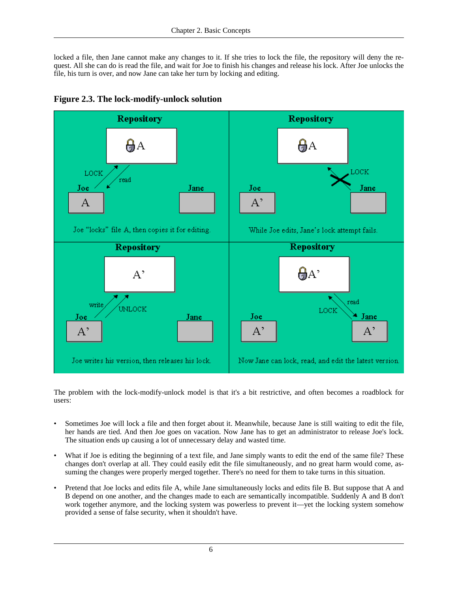locked a file, then Jane cannot make any changes to it. If she tries to lock the file, the repository will deny the request. All she can do is read the file, and wait for Joe to finish his changes and release his lock. After Joe unlocks the file, his turn is over, and now Jane can take her turn by locking and editing.



<span id="page-14-0"></span>

The problem with the lock-modify-unlock model is that it's a bit restrictive, and often becomes a roadblock for users:

- Sometimes Joe will lock a file and then forget about it. Meanwhile, because Jane is still waiting to edit the file, her hands are tied. And then Joe goes on vacation. Now Jane has to get an administrator to release Joe's lock. The situation ends up causing a lot of unnecessary delay and wasted time.
- What if Joe is editing the beginning of a text file, and Jane simply wants to edit the end of the same file? These changes don't overlap at all. They could easily edit the file simultaneously, and no great harm would come, assuming the changes were properly merged together. There's no need for them to take turns in this situation.
- Pretend that Joe locks and edits file A, while Jane simultaneously locks and edits file B. But suppose that A and B depend on one another, and the changes made to each are semantically incompatible. Suddenly A and B don't work together anymore, and the locking system was powerless to prevent it—yet the locking system somehow provided a sense of false security, when it shouldn't have.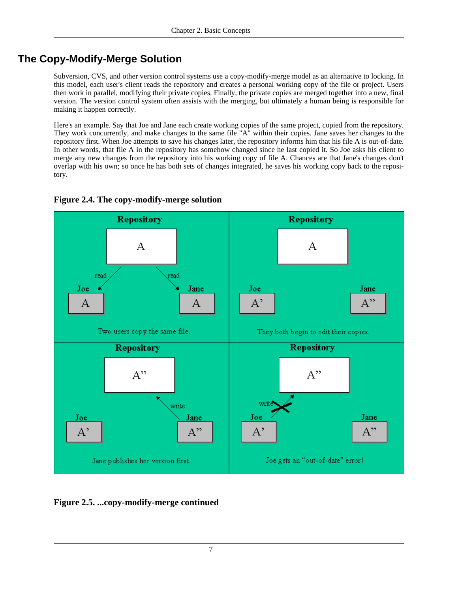## **The Copy-Modify-Merge Solution**

<span id="page-15-0"></span>Subversion, CVS, and other version control systems use a copy-modify-merge model as an alternative to locking. In this model, each user's client reads the repository and creates a personal working copy of the file or project. Users then work in parallel, modifying their private copies. Finally, the private copies are merged together into a new, final version. The version control system often assists with the merging, but ultimately a human being is responsible for making it happen correctly.

Here's an example. Say that Joe and Jane each create working copies of the same project, copied from the repository. They work concurrently, and make changes to the same file "A" within their copies. Jane saves her changes to the repository first. When Joe attempts to save his changes later, the repository informs him that his file A is out-of-date. In other words, that file A in the repository has somehow changed since he last copied it. So Joe asks his client to merge any new changes from the repository into his working copy of file A. Chances are that Jane's changes don't overlap with his own; so once he has both sets of changes integrated, he saves his working copy back to the repository.



<span id="page-15-1"></span>**Figure 2.4. The copy-modify-merge solution**

<span id="page-15-2"></span>**Figure 2.5. ...copy-modify-merge continued**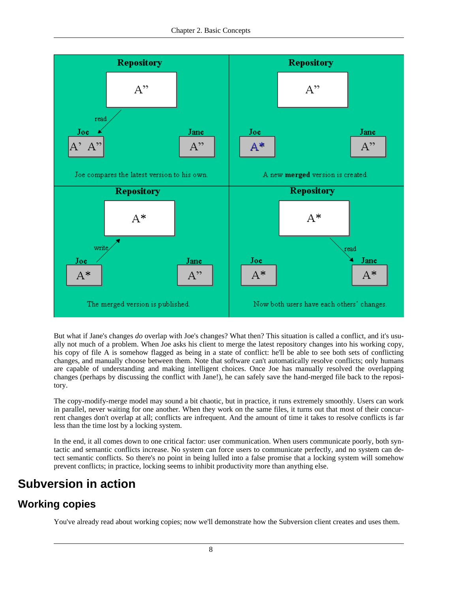

But what if Jane's changes *do* overlap with Joe's changes? What then? This situation is called a conflict, and it's usually not much of a problem. When Joe asks his client to merge the latest repository changes into his working copy, his copy of file A is somehow flagged as being in a state of conflict: he'll be able to see both sets of conflicting changes, and manually choose between them. Note that software can't automatically resolve conflicts; only humans are capable of understanding and making intelligent choices. Once Joe has manually resolved the overlapping changes (perhaps by discussing the conflict with Jane!), he can safely save the hand-merged file back to the repository.

The copy-modify-merge model may sound a bit chaotic, but in practice, it runs extremely smoothly. Users can work in parallel, never waiting for one another. When they work on the same files, it turns out that most of their concurrent changes don't overlap at all; conflicts are infrequent. And the amount of time it takes to resolve conflicts is far less than the time lost by a locking system.

<span id="page-16-0"></span>In the end, it all comes down to one critical factor: user communication. When users communicate poorly, both syntactic and semantic conflicts increase. No system can force users to communicate perfectly, and no system can detect semantic conflicts. So there's no point in being lulled into a false promise that a locking system will somehow prevent conflicts; in practice, locking seems to inhibit productivity more than anything else.

## **Subversion in action**

## **Working copies**

<span id="page-16-1"></span>You've already read about working copies; now we'll demonstrate how the Subversion client creates and uses them.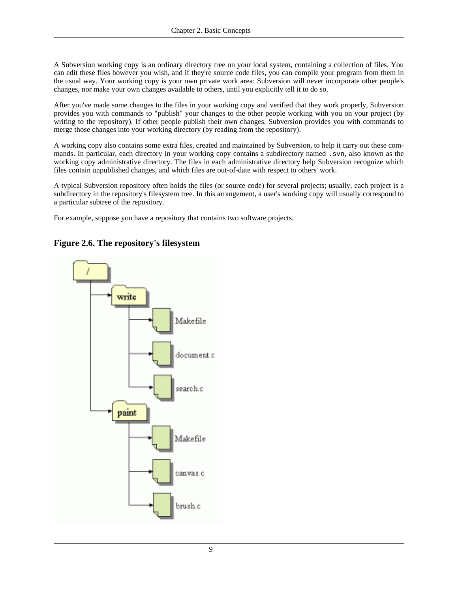A Subversion working copy is an ordinary directory tree on your local system, containing a collection of files. You can edit these files however you wish, and if they're source code files, you can compile your program from them in the usual way. Your working copy is your own private work area: Subversion will never incorporate other people's changes, nor make your own changes available to others, until you explicitly tell it to do so.

After you've made some changes to the files in your working copy and verified that they work properly, Subversion provides you with commands to "publish" your changes to the other people working with you on your project (by writing to the repository). If other people publish their own changes, Subversion provides you with commands to merge those changes into your working directory (by reading from the repository).

A working copy also contains some extra files, created and maintained by Subversion, to help it carry out these commands. In particular, each directory in your working copy contains a subdirectory named .svn, also known as the working copy administrative directory. The files in each administrative directory help Subversion recognize which files contain unpublished changes, and which files are out-of-date with respect to others' work.

A typical Subversion repository often holds the files (or source code) for several projects; usually, each project is a subdirectory in the repository's filesystem tree. In this arrangement, a user's working copy will usually correspond to a particular subtree of the repository.

For example, suppose you have a repository that contains two software projects.



<span id="page-17-0"></span>**Figure 2.6. The repository's filesystem**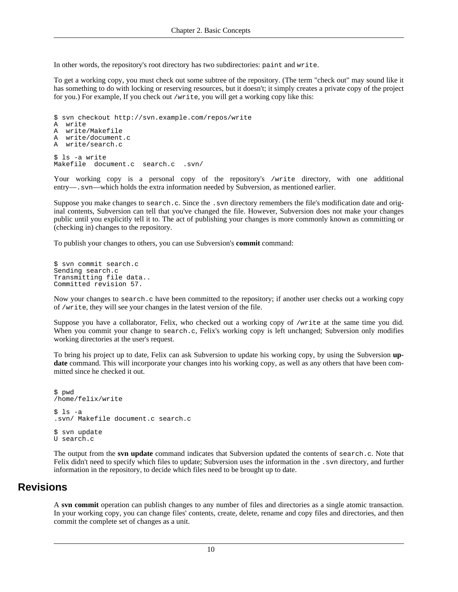In other words, the repository's root directory has two subdirectories: paint and write.

To get a working copy, you must check out some subtree of the repository. (The term "check out" may sound like it has something to do with locking or reserving resources, but it doesn't; it simply creates a private copy of the project for you.) For example, If you check out /write, you will get a working copy like this:

```
$ svn checkout http://svn.example.com/repos/write
A write
A write/Makefile<br>A write/document
  write/document.c
A write/search.c
$ ls -a write
Makefile document.c search.c .svn/
```
Your working copy is a personal copy of the repository's /write directory, with one additional entry—. svn—which holds the extra information needed by Subversion, as mentioned earlier.

Suppose you make changes to search.c. Since the .svn directory remembers the file's modification date and original contents, Subversion can tell that you've changed the file. However, Subversion does not make your changes public until you explicitly tell it to. The act of publishing your changes is more commonly known as committing or (checking in) changes to the repository.

To publish your changes to others, you can use Subversion's **commit** command:

```
$ svn commit search.c
Sending search.c
Transmitting file data..
Committed revision 57.
```
Now your changes to search.c have been committed to the repository; if another user checks out a working copy of /write, they will see your changes in the latest version of the file.

Suppose you have a collaborator, Felix, who checked out a working copy of /write at the same time you did. When you commit your change to search.c, Felix's working copy is left unchanged; Subversion only modifies working directories at the user's request.

To bring his project up to date, Felix can ask Subversion to update his working copy, by using the Subversion **update** command. This will incorporate your changes into his working copy, as well as any others that have been committed since he checked it out.

```
$ pwd
/home/felix/write
$ 1s -a.svn/ Makefile document.c search.c
$ svn update
U search.c
```
<span id="page-18-0"></span>The output from the **svn update** command indicates that Subversion updated the contents of search.c. Note that Felix didn't need to specify which files to update; Subversion uses the information in the .svn directory, and further information in the repository, to decide which files need to be brought up to date.

#### **Revisions**

A **svn commit** operation can publish changes to any number of files and directories as a single atomic transaction. In your working copy, you can change files' contents, create, delete, rename and copy files and directories, and then commit the complete set of changes as a unit.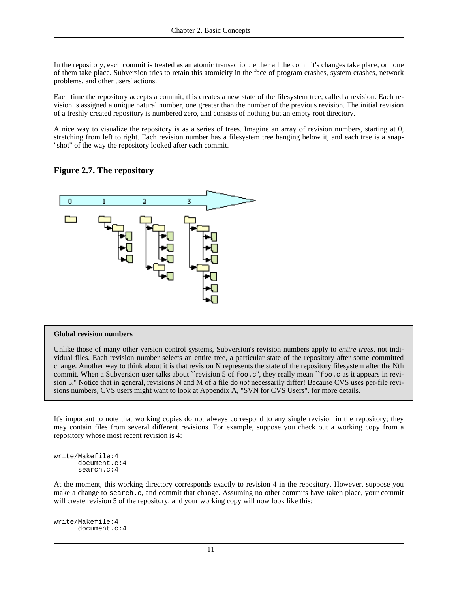In the repository, each commit is treated as an atomic transaction: either all the commit's changes take place, or none of them take place. Subversion tries to retain this atomicity in the face of program crashes, system crashes, network problems, and other users' actions.

Each time the repository accepts a commit, this creates a new state of the filesystem tree, called a revision. Each revision is assigned a unique natural number, one greater than the number of the previous revision. The initial revision of a freshly created repository is numbered zero, and consists of nothing but an empty root directory.

A nice way to visualize the repository is as a series of trees. Imagine an array of revision numbers, starting at 0, stretching from left to right. Each revision number has a filesystem tree hanging below it, and each tree is a snap- "shot" of the way the repository looked after each commit.

#### <span id="page-19-0"></span>**Figure 2.7. The repository**

![](_page_19_Figure_5.jpeg)

#### **Global revision numbers**

Unlike those of many other version control systems, Subversion's revision numbers apply to *entire trees*, not individual files. Each revision number selects an entire tree, a particular state of the repository after some committed change. Another way to think about it is that revision N represents the state of the repository filesystem after the Nth commit. When a Subversion user talks about "revision 5 of foo.c", they really mean "foo.c as it appears in revision 5.'' Notice that in general, revisions N and M of a file do *not* necessarily differ! Because CVS uses per-file revisions numbers, CVS users might want to look at Appendix A, "SVN for CVS Users", for more details.

It's important to note that working copies do not always correspond to any single revision in the repository; they may contain files from several different revisions. For example, suppose you check out a working copy from a repository whose most recent revision is 4:

```
write/Makefile:4
      document.c:4
      search.c:4
```
At the moment, this working directory corresponds exactly to revision 4 in the repository. However, suppose you make a change to search.c, and commit that change. Assuming no other commits have taken place, your commit will create revision 5 of the repository, and your working copy will now look like this:

```
write/Makefile:4
      document.c:4
```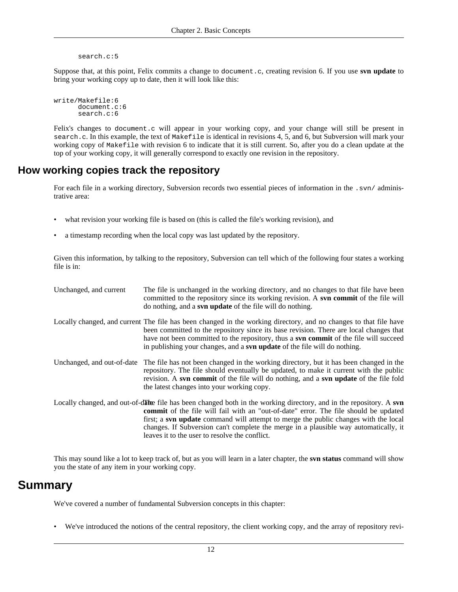```
search.c:5
```
Suppose that, at this point, Felix commits a change to document.c, creating revision 6. If you use **svn update** to bring your working copy up to date, then it will look like this:

```
write/Makefile:6
      document.c:6
      search.c:6
```
<span id="page-20-0"></span>Felix's changes to document.c will appear in your working copy, and your change will still be present in search.c. In this example, the text of Makefile is identical in revisions 4, 5, and 6, but Subversion will mark your working copy of Makefile with revision 6 to indicate that it is still current. So, after you do a clean update at the top of your working copy, it will generally correspond to exactly one revision in the repository.

#### **How working copies track the repository**

For each file in a working directory, Subversion records two essential pieces of information in the .svn/ administrative area:

- what revision your working file is based on (this is called the file's working revision), and
- a timestamp recording when the local copy was last updated by the repository.

Given this information, by talking to the repository, Subversion can tell which of the following four states a working file is in:

| Unchanged, and current | The file is unchanged in the working directory, and no changes to that file have been<br>committed to the repository since its working revision. A svn commit of the file will<br>do nothing, and a svn update of the file will do nothing.                                                                                                                                                      |
|------------------------|--------------------------------------------------------------------------------------------------------------------------------------------------------------------------------------------------------------------------------------------------------------------------------------------------------------------------------------------------------------------------------------------------|
|                        | Locally changed, and current The file has been changed in the working directory, and no changes to that file have<br>been committed to the repository since its base revision. There are local changes that<br>have not been committed to the repository, thus a <b>syn commit</b> of the file will succeed<br>in publishing your changes, and a svn update of the file will do nothing.         |
|                        | Unchanged, and out-of-date The file has not been changed in the working directory, but it has been changed in the<br>repository. The file should eventually be updated, to make it current with the public<br>revision. A svn commit of the file will do nothing, and a svn update of the file fold<br>the latest changes into your working copy.                                                |
|                        | Locally changed, and out-of-date file has been changed both in the working directory, and in the repository. A syn<br><b>commit</b> of the file will fail with an "out-of-date" error. The file should be updated<br>first; a svn update command will attempt to merge the public changes with the local<br>changes. If Subversion can't complete the merge in a plausible way automatically, it |

<span id="page-20-1"></span>This may sound like a lot to keep track of, but as you will learn in a later chapter, the **svn status** command will show you the state of any item in your working copy.

### **Summary**

We've covered a number of fundamental Subversion concepts in this chapter:

• We've introduced the notions of the central repository, the client working copy, and the array of repository revi-

leaves it to the user to resolve the conflict.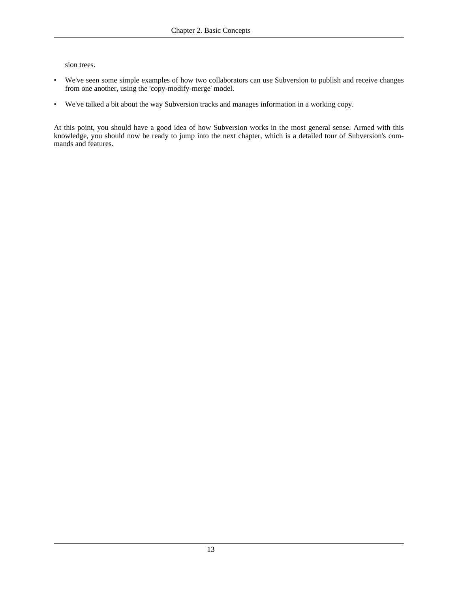sion trees.

- We've seen some simple examples of how two collaborators can use Subversion to publish and receive changes from one another, using the 'copy-modify-merge' model.
- We've talked a bit about the way Subversion tracks and manages information in a working copy.

At this point, you should have a good idea of how Subversion works in the most general sense. Armed with this knowledge, you should now be ready to jump into the next chapter, which is a detailed tour of Subversion's commands and features.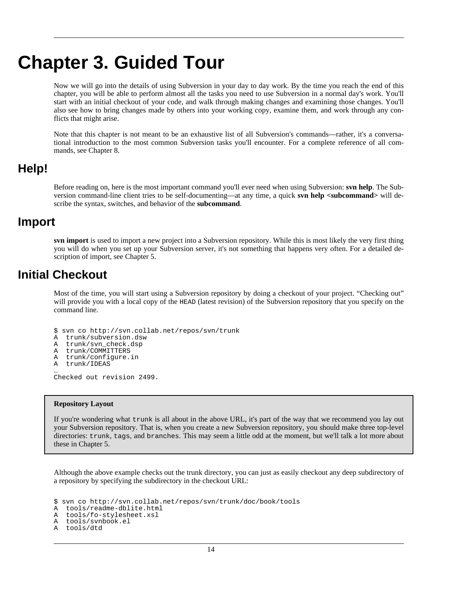# **Chapter 3. Guided Tour**

Now we will go into the details of using Subversion in your day to day work. By the time you reach the end of this chapter, you will be able to perform almost all the tasks you need to use Subversion in a normal day's work. You'll start with an initial checkout of your code, and walk through making changes and examining those changes. You'll also see how to bring changes made by others into your working copy, examine them, and work through any conflicts that might arise.

<span id="page-22-0"></span>Note that this chapter is not meant to be an exhaustive list of all Subversion's commands—rather, it's a conversational introduction to the most common Subversion tasks you'll encounter. For a complete reference of all commands, see [Chapter 8](#page--1-0).

## **Help!**

<span id="page-22-1"></span>Before reading on, here is the most important command you'll ever need when using Subversion: **svn help**. The Subversion command-line client tries to be self-documenting—at any time, a quick **svn help <subcommand>** will describe the syntax, switches, and behavior of the **subcommand**.

### **Import**

<span id="page-22-2"></span>**svn import** is used to import a new project into a Subversion repository. While this is most likely the very first thing you will do when you set up your Subversion server, it's not something that happens very often. For a detailed description of import, see [Chapter 5](#page--1-0).

## **Initial Checkout**

Most of the time, you will start using a Subversion repository by doing a checkout of your project. "Checking out" will provide you with a local copy of the HEAD (latest revision) of the Subversion repository that you specify on the command line.

```
$ svn co http://svn.collab.net/repos/svn/trunk
```
- A trunk/subversion.dsw
- A trunk/svn\_check.dsp
- A trunk/COMMITTERS
- A trunk/configure.in<br>A trunk/IDEAS
- trunk/IDEAS …

Checked out revision 2499.

#### **Repository Layout**

If you're wondering what trunk is all about in the above URL, it's part of the way that we recommend you lay out your Subversion repository. That is, when you create a new Subversion repository, you should make three top-level directories: tru[nk](#page--1-0), tags, and branches. This may seem a little odd at the moment, but we'll talk a lot more about these in [Chapter](#page--1-0) 5.

Although the above example checks out the trunk directory, you can just as easily checkout any deep subdirectory of a repository by specifying the subdirectory in the checkout URL:

```
$ svn co http://svn.collab.net/repos/svn/trunk/doc/book/tools
A tools/readme-dblite.html<br>A tools/fo-stylesheet.xsl
  tools/fo-stylesheet.xsl
A tools/svnbook.el
A tools/dtd
```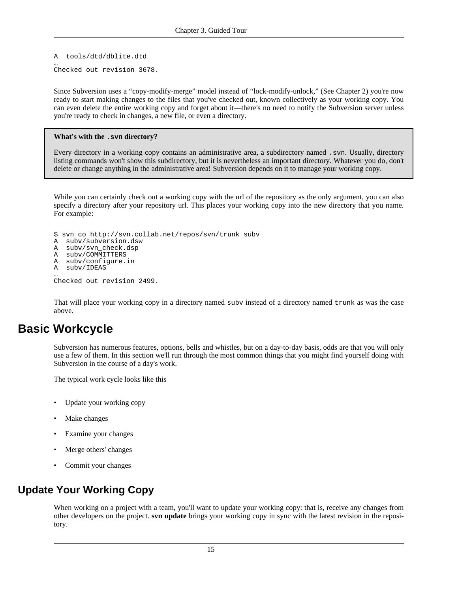A tools/dtd/dblite.dtd

… Checked out revision 3678.

Since Subversion uses a "copy-modify-merge" model instead of "lock-modify-unlock," (See [Chapter 2](#page--1-0)) you're now ready to start making changes to the files that you've checked out, known collectively as your working copy. You can even delete the entire working copy and forget about it—there's no need to notify the Subversion server unless you're ready to check in changes, a new file, or even a directory.

#### **What's with the .svn directory?**

Every directory in a working copy contains an administrative area, a subdirectory named .svn. Usually, directory listing commands won't show this subdirectory, but it is nevertheless an important directory. Whatever you do, don't delete or change anything in the administrative area! Subversion depends on it to manage your working copy.

While you can certainly check out a working copy with the url of the repository as the only argument, you can also specify a directory after your repository url. This places your working copy into the new directory that you name. For example:

```
$ svn co http://svn.collab.net/repos/svn/trunk subv
A subv/subversion.dsw
A subv/svn_check.dsp
A subv/COMMITTERS
A subv/configure.in<br>A subv/IDEAS
  subv/IDEAS
…
```
<span id="page-23-0"></span>That will place your working copy in a directory named subv instead of a directory named trunk as was the case above.

## **Basic Workcycle**

Subversion has numerous features, options, bells and whistles, but on a day-to-day basis, odds are that you will only use a few of them. In this section we'll run through the most common things that you might find yourself doing with Subversion in the course of a day's work.

The typical work cycle looks like this

Checked out revision 2499.

- Update your working copy
- Make changes
- Examine your changes
- Merge others' changes
- <span id="page-23-1"></span>• Commit your changes

### **Update Your Working Copy**

When working on a project with a team, you'll want to update your working copy: that is, receive any changes from other developers on the project. **svn update** brings your working copy in sync with the latest revision in the repository.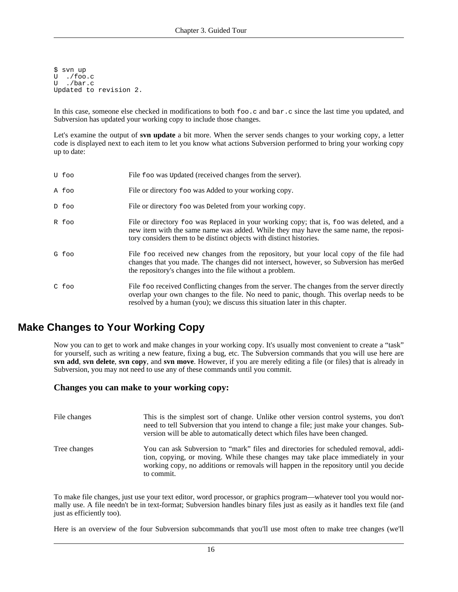\$ svn up<br>U./foo U ./foo.c<br>U ./bar.c ./bar.c Updated to revision 2.

In this case, someone else checked in modifications to both  $f \circ \circ \circ$  and bar.c since the last time you updated, and Subversion has updated your working copy to include those changes.

Let's examine the output of **svn update** a bit more. When the server sends changes to your working copy, a letter code is displayed next to each item to let you know what actions Subversion performed to bring your working copy up to date:

U foo File foo was Updated (received changes from the server). A foo File or directory foo was Added to your working copy. D foo File or directory foo was Deleted from your working copy. R foo File or directory foo was Replaced in your working copy; that is, foo was deleted, and a new item with the same name was added. While they may have the same name, the repository considers them to be distinct objects with distinct histories. G foo File foo received new changes from the repository, but your local copy of the file had changes that you made. The changes did not intersect, however, so Subversion has merged the repository's changes into the file without a problem. C foo File foo received Conflicting changes from the server. The changes from the server directly overlap your own changes to the file. No need to panic, though. This overlap needs to be resolved by a human (you); we discuss this situation later in this chapter.

#### **Make Changes to Your Working Copy**

<span id="page-24-0"></span>Now you can to get to work and make changes in your working copy. It's usually most convenient to create a "task" for yourself, such as writing a new feature, fixing a bug, etc. The Subversion commands that you will use here are **svn add**, **svn delete**, **svn copy**, and **svn move**. However, if you are merely editing a file (or files) that is already in Subversion, you may not need to use any of these commands until you commit.

#### **Changes you can make to your working copy:**

| File changes | This is the simplest sort of change. Unlike other version control systems, you don't<br>need to tell Subversion that you intend to change a file; just make your changes. Sub-<br>version will be able to automatically detect which files have been changed.                  |
|--------------|--------------------------------------------------------------------------------------------------------------------------------------------------------------------------------------------------------------------------------------------------------------------------------|
| Tree changes | You can ask Subversion to "mark" files and directories for scheduled removal, addi-<br>tion, copying, or moving. While these changes may take place immediately in your<br>working copy, no additions or removals will happen in the repository until you decide<br>to commit. |

To make file changes, just use your text editor, word processor, or graphics program—whatever tool you would normally use. A file needn't be in text-format; Subversion handles binary files just as easily as it handles text file (and just as efficiently too).

Here is an overview of the four Subversion subcommands that you'll use most often to make tree changes (we'll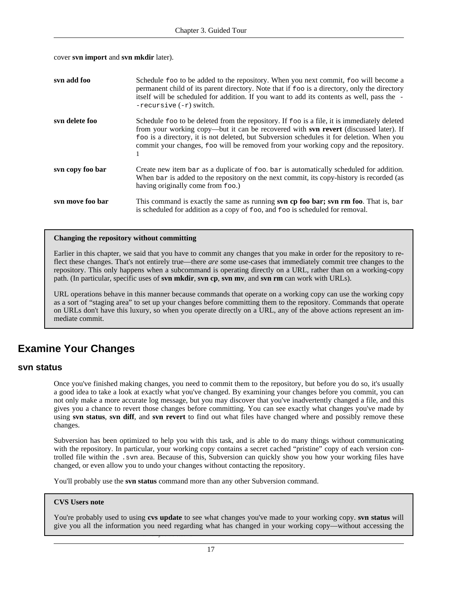cover **svn import** and **svn mkdir** later).

| syn add foo      | Schedule foo to be added to the repository. When you next commit, foo will become a<br>permanent child of its parent directory. Note that if foo is a directory, only the directory<br>itself will be scheduled for addition. If you want to add its contents as well, pass the -<br>-recursive $(-r)$ switch.                                                          |
|------------------|-------------------------------------------------------------------------------------------------------------------------------------------------------------------------------------------------------------------------------------------------------------------------------------------------------------------------------------------------------------------------|
| syn delete foo   | Schedule foo to be deleted from the repository. If foo is a file, it is immediately deleted<br>from your working copy—but it can be recovered with svn revert (discussed later). If<br>foo is a directory, it is not deleted, but Subversion schedules it for deletion. When you<br>commit your changes, foo will be removed from your working copy and the repository. |
| syn copy foo bar | Create new item bar as a duplicate of foo. bar is automatically scheduled for addition.<br>When bar is added to the repository on the next commit, its copy-history is recorded (as<br>having originally come from foo.)                                                                                                                                                |
| syn move foo bar | This command is exactly the same as running svn cp foo bar; svn rm foo. That is, bar<br>is scheduled for addition as a copy of foo, and foo is scheduled for removal.                                                                                                                                                                                                   |

#### **Changing the repository without committing**

Earlier in this chapter, we said that you have to commit any changes that you make in order for the repository to reflect these changes. That's not entirely true—there *are* some use-cases that immediately commit tree changes to the repository. This only happens when a subcommand is operating directly on a URL, rather than on a working-copy path. (In particular, specific uses of **svn mkdir**, **svn cp**, **svn mv**, and **svn rm** can work with URLs).

<span id="page-25-0"></span>URL operations behave in this manner because commands that operate on a working copy can use the working copy as a sort of "staging area" to set up your changes before committing them to the repository. Commands that operate on URLs don't have this luxury, so when you operate directly on a URL, any of the above actions represent an immediate commit.

### **Examine Your Changes**

#### **svn status**

Once you've finished making changes, you need to commit them to the repository, but before you do so, it's usually a good idea to take a look at exactly what you've changed. By examining your changes before you commit, you can not only make a more accurate log message, but you may discover that you've inadvertently changed a file, and this gives you a chance to revert those changes before committing. You can see exactly what changes you've made by using **svn status**, **svn diff**, and **svn revert** to find out what files have changed where and possibly remove these changes.

Subversion has been optimized to help you with this task, and is able to do many things without communicating with the repository. In particular, your working copy contains a secret cached "pristine" copy of each version controlled file within the .svn area. Because of this, Subversion can quickly show you how your working files have changed, or even allow you to undo your changes without contacting the repository.

You'll probably use the **svn status** command more than any other Subversion command.

in which you delete it.

#### **CVS Users note**

ing ever update to see what enanges you verhall to your working copy, syn status will give you all the information you need regarding what has changed in your working copy—without accessing the You're probably used to using **cvs update** to see what changes you've made to your working copy. **svn status** will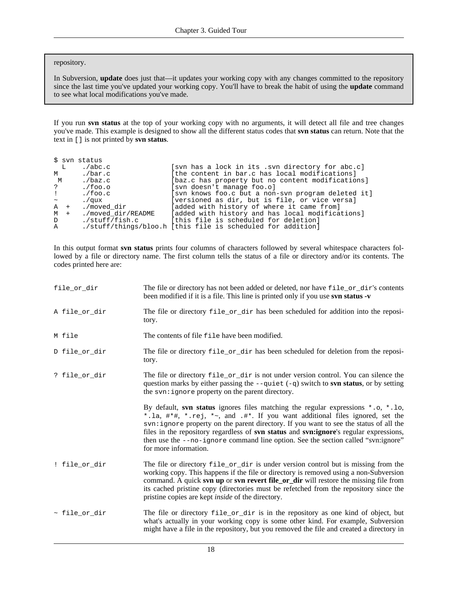#### repository.

In Subversion, **update** does just that—it updates your working copy with any changes committed to the repository since the last time you've updated your working copy. You'll have to break the habit of using the **update** command to see what local modifications you've made.

If you run **svn status** at the top of your working copy with no arguments, it will detect all file and tree changes you've made. This example is designed to show all the different status codes that **svn status** can return. Note that the text in [] is not printed by **svn status**.

|                               |                             | \$ svn status      |                                                             |
|-------------------------------|-----------------------------|--------------------|-------------------------------------------------------------|
|                               | $\mathbf{L}_{\mathrm{max}}$ | $.$ /abc.c         | [svn has a lock in its .svn directory for abc.c]            |
| M                             |                             | ./bar.c            | [the content in bar.c has local modifications]              |
|                               |                             | M./baz.c           | [baz.c has property but no content modifications]           |
|                               |                             | $?$ ./foo.o        | [syn doesn't manage foo.o]                                  |
| $\mathbf{1}$ and $\mathbf{1}$ |                             | $./$ foo.c         | [svn knows foo.c but a non-svn program deleted it]          |
| $\thicksim$                   |                             | ./qux              | [versioned as dir, but is file, or vice versa]              |
| $A +$                         |                             | ./moved_dir        | [added with history of where it came from]                  |
| $M +$                         |                             | ./moved dir/README | [added with history and has local modifications]            |
| $\mathbf{D}$                  |                             | ./stuff/fish.c     | [this file is scheduled for deletion]                       |
| $\mathbb A$                   |                             |                    | ./stuff/things/bloo.h [this file is scheduled for addition] |

In this output format **svn status** prints four columns of characters followed by several whitespace characters followed by a file or directory name. The first column tells the status of a file or directory and/or its contents. The codes printed here are:

| file_or_dir         | The file or directory has not been added or deleted, nor have file_or_dir's contents<br>been modified if it is a file. This line is printed only if you use svn status -v                                                                                                                                                                                                                                                                                                        |
|---------------------|----------------------------------------------------------------------------------------------------------------------------------------------------------------------------------------------------------------------------------------------------------------------------------------------------------------------------------------------------------------------------------------------------------------------------------------------------------------------------------|
| A file or dir       | The file or directory $file\_or\_dir$ has been scheduled for addition into the reposi-<br>tory.                                                                                                                                                                                                                                                                                                                                                                                  |
| M file              | The contents of file file have been modified.                                                                                                                                                                                                                                                                                                                                                                                                                                    |
| D file_or_dir       | The file or directory file_or_dir has been scheduled for deletion from the reposi-<br>tory.                                                                                                                                                                                                                                                                                                                                                                                      |
| ? file_or_dir       | The file or directory file_or_dir is not under version control. You can silence the<br>question marks by either passing the $-$ quiet $(-q)$ switch to svn status, or by setting<br>the syn: ignore property on the parent directory.                                                                                                                                                                                                                                            |
|                     | By default, svn status ignores files matching the regular expressions $\star$ .o, $\star$ .lo,<br>*.la, #*#, *.rej, *~, and .#*. If you want additional files ignored, set the<br>svn: ignore property on the parent directory. If you want to see the status of all the<br>files in the repository regardless of svn status and svn:ignore's regular expressions,<br>then use the --no-ignore command line option. See the section called "svn:ignore"<br>for more information. |
| ! file_or_dir       | The file or directory $file\_or\_dir$ is under version control but is missing from the<br>working copy. This happens if the file or directory is removed using a non-Subversion<br>command. A quick svn up or svn revert file_or_dir will restore the missing file from<br>its cached pristine copy (directories must be refetched from the repository since the<br>pristine copies are kept <i>inside</i> of the directory.                                                     |
| $~\sim$ file_or_dir | The file or directory $file\_or\_dir$ is in the repository as one kind of object, but<br>what's actually in your working copy is some other kind. For example, Subversion<br>might have a file in the repository, but you removed the file and created a directory in                                                                                                                                                                                                            |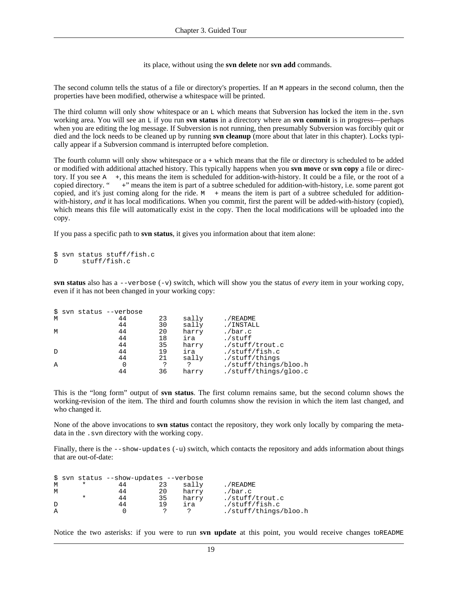its place, without using the **svn delete** nor **svn add** commands.

The second column tells the status of a file or directory's properties. If an M appears in the second column, then the properties have been modified, otherwise a whitespace will be printed.

The third column will only show whitespace or an L which means that Subversion has locked the item in the. svn working area. You will see an L if you run **svn status** in a directory where an **svn commit** is in progress—perhaps when you are editing the log message. If Subversion is not running, then presumably Subversion was forcibly quit or died and the lock needs to be cleaned up by running **svn cleanup** (more about that later in this chapter). Locks typically appear if a Subversion command is interrupted before completion.

The fourth column will only show whitespace or a + which means that the file or directory is scheduled to be added or modified with additional attached history. This typically happens when you **svn move** or **svn copy** a file or directory. If you see A +, this means the item is scheduled for addition-with-history. It could be a file, or the root of a copied directory. "+" means the item is part of a subtree scheduled for addition-with-history, i.e. som <sup>+"</sup> means the item is part of a subtree scheduled for addition-with-history, i.e. some parent got copied, and it's just coming along for the ride.  $M +$  means the item is part of a subtree scheduled for additionwith-history, *and* it has local modifications. When you commit, first the parent will be added-with-history (copied), which means this file will automatically exist in the copy. Then the local modifications will be uploaded into the copy.

If you pass a specific path to **svn status**, it gives you information about that item alone:

\$ svn status stuff/fish.c D stuff/fish.c

**svn status** also has a --verbose (-v) switch, which will show you the status of *every* item in your working copy, even if it has not been changed in your working copy:

|          |  | \$ syn status --verbose |    |       |                       |
|----------|--|-------------------------|----|-------|-----------------------|
| M        |  | 44                      | 23 | sally | ./README              |
|          |  | 44                      | 30 | sally | ./INSTALL             |
| M        |  | 44                      | 20 | harry | ./ $bar.c$            |
|          |  | 44                      | 18 | ira   | ./stuff               |
|          |  | 44                      | 35 | harry | ./stuff/trout.c       |
| D        |  | 44                      | 19 | ira   | ./stuff/fish.c        |
|          |  | 44                      | 21 | sally | ./stuff/things        |
| $\Delta$ |  | $\Omega$                | ?  | ာ     | ./stuff/things/bloo.h |
|          |  | 44                      | 36 | harry | ./stuff/things/qloo.c |

This is the "long form" output of **svn status**. The first column remains same, but the second column shows the working-revision of the item. The third and fourth columns show the revision in which the item last changed, and who changed it.

None of the above invocations to **svn status** contact the repository, they work only locally by comparing the metadata in the .svn directory with the working copy.

Finally, there is the  $-$ -show-updates  $(-u)$  switch, which contacts the repository and adds information about things that are out-of-date:

|   | \$ syn status --show-updates --verbose |    |     |       |                       |
|---|----------------------------------------|----|-----|-------|-----------------------|
| M | *                                      | 44 | 23  | sally | ./README              |
| M |                                        | 44 | 20  | harry | ./bar.c               |
|   | $\ast$                                 | 44 | 35  | harry | ./stuff/trout.c       |
| D |                                        | 44 | 1 9 | ira   | $./$ stuff/fish.c     |
| Α |                                        |    |     |       | ./stuff/things/bloo.h |

Notice the two asterisks: if you were to run **svn update** at this point, you would receive changes toREADME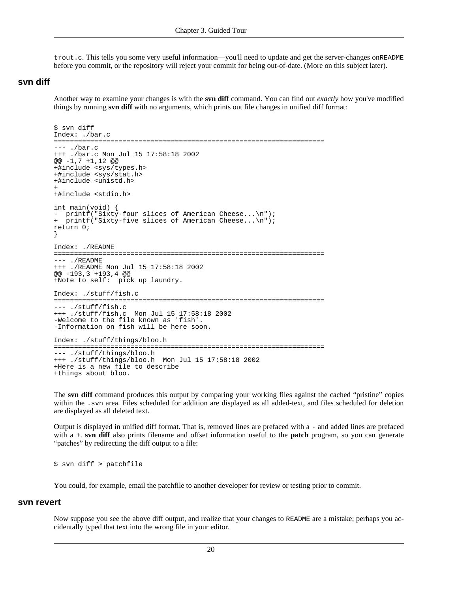trout.c. This tells you some very useful information—you'll need to update and get the server-changes onREADME before you commit, or the repository will reject your commit for being out-of-date. (More on this subject later).

#### **svn diff**

Another way to examine your changes is with the **svn diff** command. You can find out *exactly* how you've modified things by running **svn diff** with no arguments, which prints out file changes in unified diff format:

\$ svn diff Index: ./bar.c =================================================================== --- ./bar.c +++ ./bar.c Mon Jul 15 17:58:18 2002 @@ -1,7 +1,12 @@ +#include <sys/types.h> +#include <sys/stat.h> +#include <unistd.h> + +#include <stdio.h> int main(void) { - printf("Sixty-four slices of American Cheese...\n");  $printf("Sixty-five slices of American Cheese...\\n");$ return 0; } Index: ./README =================================================================== --- ./README +++ ./README Mon Jul 15 17:58:18 2002 @@ -193,3 +193,4 @@ +Note to self: pick up laundry. Index: ./stuff/fish.c =================================================================== --- ./stuff/fish.c +++ ./stuff/fish.c Mon Jul 15 17:58:18 2002 -Welcome to the file known as 'fish'. -Information on fish will be here soon. Index: ./stuff/things/bloo.h =================================================================== --- ./stuff/things/bloo.h +++ ./stuff/things/bloo.h Mon Jul 15 17:58:18 2002 +Here is a new file to describe +things about bloo.

The **svn diff** command produces this output by comparing your working files against the cached "pristine" copies within the .svn area. Files scheduled for addition are displayed as all added-text, and files scheduled for deletion are displayed as all deleted text.

Output is displayed in unified diff format. That is, removed lines are prefaced with a - and added lines are prefaced with a +. **svn diff** also prints filename and offset information useful to the **patch** program, so you can generate "patches" by redirecting the diff output to a file:

\$ svn diff > patchfile

You could, for example, email the patchfile to another developer for review or testing prior to commit.

#### **svn revert**

Now suppose you see the above diff output, and realize that your changes to README are a mistake; perhaps you accidentally typed that text into the wrong file in your editor.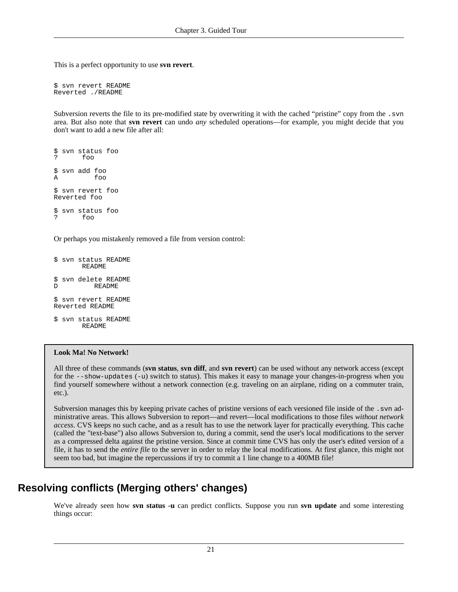This is a perfect opportunity to use **svn revert**.

\$ svn revert README Reverted ./README

Subversion reverts the file to its pre-modified state by overwriting it with the cached "pristine" copy from the .svn area. But also note that **svn revert** can undo *any* scheduled operations—for example, you might decide that you don't want to add a new file after all:

```
$ svn status foo
      ? foo
$ svn add foo
A foo
$ svn revert foo
Reverted foo
$ svn status foo
? foo
```
Or perhaps you mistakenly removed a file from version control:

```
$ svn status README
       README
$ svn delete README<br>DREADME
           D README
$ svn revert README
Reverted README
$ svn status README
        README
```
#### **Look Ma! No Network!**

All three of these commands (**svn status**, **svn diff**, and **svn revert**) can be used without any network access (except for the --show-updates (-u) switch to status). This makes it easy to manage your changes-in-progress when you find yourself somewhere without a network connection (e.g. traveling on an airplane, riding on a commuter train, etc.).

Subversion manages this by keeping private caches of pristine versions of each versioned file inside of the .svn administrative areas. This allows Subversion to report—and revert—local modifications to those files *without network access*. CVS keeps no such cache, and as a result has to use the network layer for practically everything. This cache (called the "text-base") also allows Subversion to, during a commit, send the user's local modifications to the server as a compressed delta against the pristine version. Since at commit time CVS has only the user's edited version of a file, it has to send the *entire file* to the server in order to relay the local modifications. At first glance, this might not seem too bad, but imagine the repercussions if try to commit a 1 line change to a 400MB file!

#### <span id="page-29-0"></span>**Resolving conflicts (Merging others' changes)**

We've already seen how **svn status -u** can predict conflicts. Suppose you run **svn update** and some interesting things occur: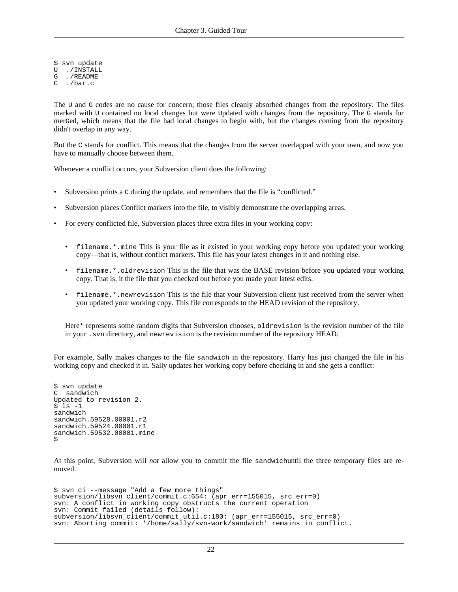\$ svn update U ./INSTALL<br>G ./README G ./README<br>C ./bar.c C ./bar.c

The U and G codes are no cause for concern; those files cleanly absorbed changes from the repository. The files marked with U contained no local changes but were Updated with changes from the repository. The G stands for merGed, which means that the file had local changes to begin with, but the changes coming from the repository didn't overlap in any way.

But the C stands for conflict. This means that the changes from the server overlapped with your own, and now you have to manually choose between them.

Whenever a conflict occurs, your Subversion client does the following:

- Subversion prints a  $\sigma$  during the update, and remembers that the file is "conflicted."
- Subversion places Conflict markers into the file, to visibly demonstrate the overlapping areas.
- For every conflicted file, Subversion places three extra files in your working copy:
	- filename.\*.mine This is your file as it existed in your working copy before you updated your working copy—that is, without conflict markers. This file has your latest changes in it and nothing else.
	- filename.\*.oldrevision This is the file that was the BASE revision before you updated your working copy. That is, it the file that you checked out before you made your latest edits.
	- filename.\*.newrevision This is the file that your Subversion client just received from the server when you updated your working copy. This file corresponds to the HEAD revision of the repository.

Here\* represents some random digits that Subversion chooses, oldrevision is the revision number of the file in your .svn directory, and newrevision is the revision number of the repository HEAD.

For example, Sally makes changes to the file sandwich in the repository. Harry has just changed the file in his working copy and checked it in. Sally updates her working copy before checking in and she gets a conflict:

\$ svn update C sandwich Updated to revision 2.  $$ 1s -1$ sandwich sandwich.59528.00001.r2 sandwich.59524.00001.r1 sandwich.59532.00001.mine \$

At this point, Subversion will *not* allow you to commit the file sandwichuntil the three temporary files are removed.

```
$ svn ci --message "Add a few more things"
subversion/libsvn_client/commit.c:654: (apr_err=155015, src_err=0)
svn: A conflict in working copy obstructs the current operation
svn: Commit failed (details follow):
subversion/libsvn_client/commit_util.c:180: (apr_err=155015, src_err=0)
svn: Aborting commit: '/home/sally/svn-work/sandwich' remains in conflict.
```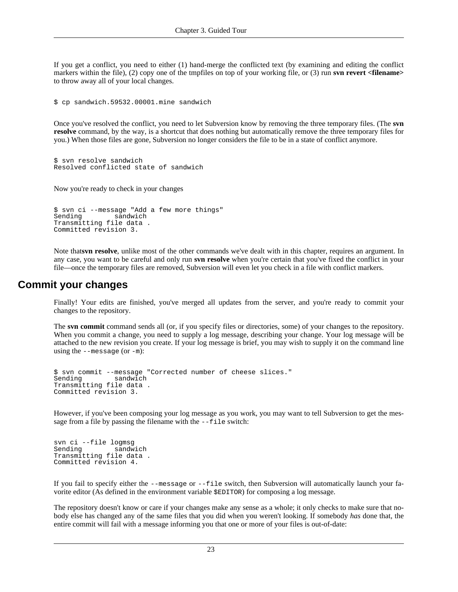If you get a conflict, you need to either (1) hand-merge the conflicted text (by examining and editing the conflict markers within the file), (2) copy one of the tmpfiles on top of your working file, or (3) run **svn revert <filename>** to throw away all of your local changes.

\$ cp sandwich.59532.00001.mine sandwich

Once you've resolved the conflict, you need to let Subversion know by removing the three temporary files. (The **svn resolve** command, by the way, is a shortcut that does nothing but automatically remove the three temporary files for you.) When those files are gone, Subversion no longer considers the file to be in a state of conflict anymore.

```
$ svn resolve sandwich
Resolved conflicted state of sandwich
```
Now you're ready to check in your changes

```
$ svn ci --message "Add a few more things"
Sending sandwich
Transmitting file data .
Committed revision 3.
```
<span id="page-31-0"></span>Note that**svn resolve**, unlike most of the other commands we've dealt with in this chapter, requires an argument. In any case, you want to be careful and only run **svn resolve** when you're certain that you've fixed the conflict in your file—once the temporary files are removed, Subversion will even let you check in a file with conflict markers.

#### **Commit your changes**

Finally! Your edits are finished, you've merged all updates from the server, and you're ready to commit your changes to the repository.

The **svn commit** command sends all (or, if you specify files or directories, some) of your changes to the repository. When you commit a change, you need to supply a log message, describing your change. Your log message will be attached to the new revision you create. If your log message is brief, you may wish to supply it on the command line using the  $-$ -message (or  $-m$ ):

```
$ svn commit --message "Corrected number of cheese slices."
               sandwich
Transmitting file data .
Committed revision 3.
```
However, if you've been composing your log message as you work, you may want to tell Subversion to get the message from a file by passing the filename with the --file switch:

```
svn ci --file logmsg
Sending sandwich
Transmitting file data .
Committed revision 4.
```
If you fail to specify either the --message or --file switch, then Subversion will automatically launch your favorite editor (As defined in the environment variable \$EDITOR) for composing a log message.

The repository doesn't know or care if your changes make any sense as a whole; it only checks to make sure that nobody else has changed any of the same files that you did when you weren't looking. If somebody *has* done that, the entire commit will fail with a message informing you that one or more of your files is out-of-date: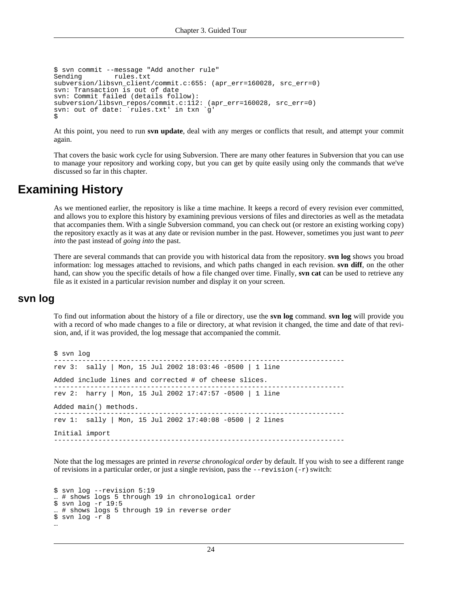```
$ svn commit --message "Add another rule"
              rules.txt
subversion/libsvn_client/commit.c:655: (apr_err=160028, src_err=0)
svn: Transaction is out of date
svn: Commit failed (details follow):
subversion/libsvn_repos/commit.c:112: (apr_err=160028, src_err=0)
svn: out of date: `rules.txt' in txn `g'
$
```
At this point, you need to run **svn update**, deal with any merges or conflicts that result, and attempt your commit again.

<span id="page-32-0"></span>That covers the basic work cycle for using Subversion. There are many other features in Subversion that you can use to manage your repository and working copy, but you can get by quite easily using only the commands that we've discussed so far in this chapter.

### **Examining History**

As we mentioned earlier, the repository is like a time machine. It keeps a record of every revision ever committed, and allows you to explore this history by examining previous versions of files and directories as well as the metadata that accompanies them. With a single Subversion command, you can check out (or restore an existing working copy) the repository exactly as it was at any date or revision number in the past. However, sometimes you just want to *peer into* the past instead of *going into* the past.

<span id="page-32-1"></span>There are several commands that can provide you with historical data from the repository. **svn log** shows you broad information: log messages attached to revisions, and which paths changed in each revision. **svn diff**, on the other hand, can show you the specific details of how a file changed over time. Finally, **svn cat** can be used to retrieve any file as it existed in a particular revision number and display it on your screen.

#### **svn log**

To find out information about the history of a file or directory, use the **svn log** command. **svn log** will provide you with a record of who made changes to a file or directory, at what revision it changed, the time and date of that revision, and, if it was provided, the log message that accompanied the commit.

```
$ svn log
                     ------------------------------------------------------------------------
rev 3: sally | Mon, 15 Jul 2002 18:03:46 -0500 | 1 line
Added include lines and corrected # of cheese slices.
------------------------------------------------------------------------
rev 2: harry | Mon, 15 Jul 2002 17:47:57 -0500 | 1 line
Added main() methods.
------------------------------------------------------------------------
rev 1: sally | Mon, 15 Jul 2002 17:40:08 -0500 | 2 lines
Initial import
------------------------------------------------------------------------
```
Note that the log messages are printed in *reverse chronological order* by default. If you wish to see a different range of revisions in a particular order, or just a single revision, pass the  $-\epsilon v$  switch:

```
$ svn log --revision 5:19
 … # shows logs 5 through 19 in chronological order
$ svn log -r 19:5
 … # shows logs 5 through 19 in reverse order
$ svn log -r 8
…
```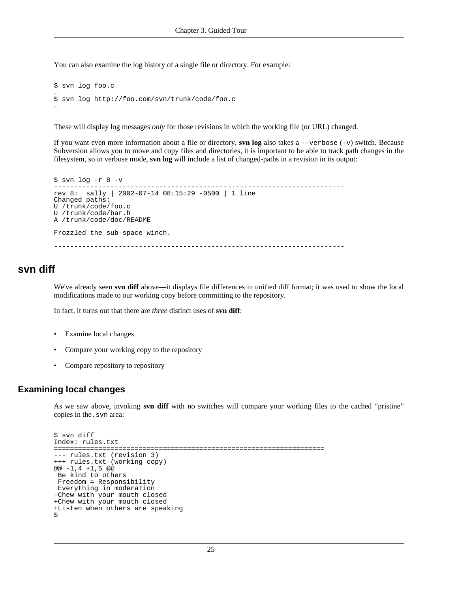You can also examine the log history of a single file or directory. For example:

```
$ svn log foo.c
…
$ svn log http://foo.com/svn/trunk/code/foo.c
…
```
These will display log messages *only* for those revisions in which the working file (or URL) changed.

If you want even more information about a file or directory, **svn log** also takes a --verbose (-v) switch. Because Subversion allows you to move and copy files and directories, it is important to be able to track path changes in the filesystem, so in verbose mode, **svn log** will include a list of changed-paths in a revision in its output:

```
$ svn log -r 8 -v
                          ------------------------------------------------------------------------
rev 8: sally | 2002-07-14 08:15:29 -0500 | 1 line
Changed paths:
U /trunk/code/foo.c
U /trunk/code/bar.h
A /trunk/code/doc/README
Frozzled the sub-space winch.
------------------------------------------------------------------------
```
#### **svn diff**

<span id="page-33-0"></span>We've already seen **svn diff** above—it displays file differences in unified diff format; it was used to show the local modifications made to our working copy before committing to the repository.

In fact, it turns out that there are *three* distinct uses of **svn diff**:

- Examine local changes
- Compare your working copy to the repository
- Compare repository to repository

#### **Examining local changes**

As we saw above, invoking **svn diff** with no switches will compare your working files to the cached "pristine" copies in the.svn area:

```
$ svn diff
Index: rules.txt
===================================================================
--- rules.txt (revision 3)
+++ rules.txt (working copy)
@@ -1,4 +1,5 @@
Be kind to others
Freedom = Responsibility
Everything in moderation
-Chew with your mouth closed
+Chew with your mouth closed
+Listen when others are speaking
\ddot{\mathcal{S}}
```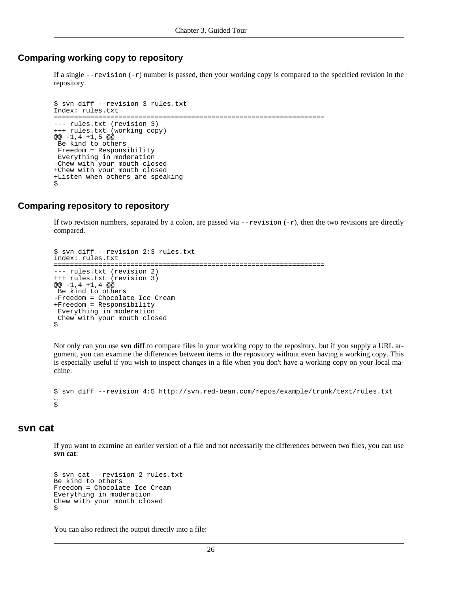#### **Comparing working copy to repository**

If a single  $-\text{revision}(-r)$  number is passed, then your working copy is compared to the specified revision in the repository.

```
$ svn diff --revision 3 rules.txt
Index: rules.txt
===================================================================
--- rules.txt (revision 3)
+++ rules.txt (working copy)
@@ -1,4 +1,5 @@
Be kind to others
Freedom = Responsibility
Everything in moderation
-Chew with your mouth closed
+Chew with your mouth closed
+Listen when others are speaking
$
```
#### **Comparing repository to repository**

If two revision numbers, separated by a colon, are passed via  $-\text{revision}(-r)$ , then the two revisions are directly compared.

```
$ svn diff --revision 2:3 rules.txt
Index: rules.txt
===================================================================
--- rules.txt (revision 2)
+++ rules.txt (revision 3)
@@ -1,4 +1,4 @@
Be kind to others
-Freedom = Chocolate Ice Cream
+Freedom = Responsibility
 Everything in moderation
Chew with your mouth closed
\ddot{s}
```
Not only can you use **svn diff** to compare files in your working copy to the repository, but if you supply a URL argument, you can examine the differences between items in the repository without even having a working copy. This is especially useful if you wish to inspect changes in a file when you don't have a working copy on your local machine:

```
$ svn diff --revision 4:5 http://svn.red-bean.com/repos/example/trunk/text/rules.txt
…
$
```
#### **svn cat**

If you want to examine an earlier version of a file and not necessarily the differences between two files, you can use **svn cat**:

```
$ svn cat --revision 2 rules.txt
Be kind to others
Freedom = Chocolate Ice Cream
Everything in moderation
Chew with your mouth closed
$
```
You can also redirect the output directly into a file: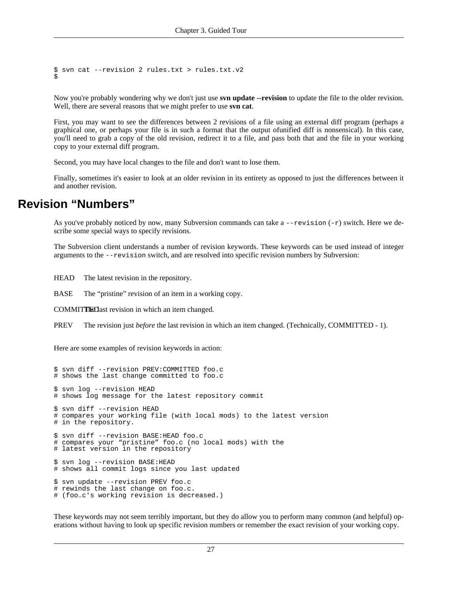```
$ svn cat --revision 2 rules.txt > rules.txt.v2
$
```
Now you're probably wondering why we don't just use **svn update --revision** to update the file to the older revision. Well, there are several reasons that we might prefer to use **svn cat**.

First, you may want to see the differences between 2 revisions of a file using an external diff program (perhaps a graphical one, or perhaps your file is in such a format that the output ofunified diff is nonsensical). In this case, you'll need to grab a copy of the old revision, redirect it to a file, and pass both that and the file in your working copy to your external diff program.

Second, you may have local changes to the file and don't want to lose them.

<span id="page-35-0"></span>Finally, sometimes it's easier to look at an older revision in its entirety as opposed to just the differences between it and another revision.

### **Revision "Numbers"**

As you've probably noticed by now, many Subversion commands can take a  $-\text{revision}(-r)$  switch. Here we describe some special ways to specify revisions.

The Subversion client understands a number of revision keywords. These keywords can be used instead of integer arguments to the --revision switch, and are resolved into specific revision numbers by Subversion:

HEAD The latest revision in the repository.

BASE The "pristine" revision of an item in a working copy.

COMMITTED ast revision in which an item changed.

PREV The revision just *before* the last revision in which an item changed. (Technically, COMMITTED - 1).

Here are some examples of revision keywords in action:

```
$ svn diff --revision PREV:COMMITTED foo.c
# shows the last change committed to foo.c
$ svn log --revision HEAD
# shows log message for the latest repository commit
$ svn diff --revision HEAD
# compares your working file (with local mods) to the latest version
# in the repository.
$ svn diff --revision BASE:HEAD foo.c
# compares your "pristine" foo.c (no local mods) with the
# latest version in the repository
$ svn log --revision BASE:HEAD
# shows all commit logs since you last updated
$ svn update --revision PREV foo.c
 rewinds the last change on foo.c.
# (foo.c's working revision is decreased.)
```
These keywords may not seem terribly important, but they do allow you to perform many common (and helpful) operations without having to look up specific revision numbers or remember the exact revision of your working copy.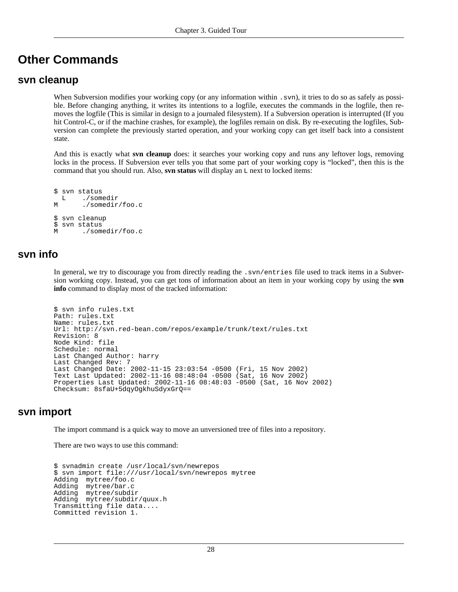# **Other Commands**

### **svn cleanup**

When Subversion modifies your working copy (or any information within . svn), it tries to do so as safely as possible. Before changing anything, it writes its intentions to a logfile, executes the commands in the logfile, then removes the logfile (This is similar in design to a journaled filesystem). If a Subversion operation is interrupted (If you hit Control-C, or if the machine crashes, for example), the logfiles remain on disk. By re-executing the logfiles, Subversion can complete the previously started operation, and your working copy can get itself back into a consistent state.

And this is exactly what **svn cleanup** does: it searches your working copy and runs any leftover logs, removing locks in the process. If Subversion ever tells you that some part of your working copy is "locked", then this is the command that you should run. Also, **svn status** will display an L next to locked items:

```
$ svn status
 L ./somedir
M ./somedir/foo.c
$ svn cleanup
$ svn status
M ./somedir/foo.c
```
### **svn info**

In general, we try to discourage you from directly reading the .svn/entries file used to track items in a Subversion working copy. Instead, you can get tons of information about an item in your working copy by using the **svn info** command to display most of the tracked information:

```
$ svn info rules.txt
Path: rules.txt
Name: rules.txt
Url: http://svn.red-bean.com/repos/example/trunk/text/rules.txt
Revision: 8
Node Kind: file
Schedule: normal
Last Changed Author: harry
Last Changed Rev: 7
Last Changed Date: 2002-11-15 23:03:54 -0500 (Fri, 15 Nov 2002)
Text Last Updated: 2002-11-16 08:48:04 -0500 (Sat, 16 Nov 2002)
Properties Last Updated: 2002-11-16 08:48:03 -0500 (Sat, 16 Nov 2002)
Checksum: 8sfaU+5dqyOgkhuSdyxGrQ==
```
### **svn import**

The import command is a quick way to move an unversioned tree of files into a repository.

There are two ways to use this command:

```
$ svnadmin create /usr/local/svn/newrepos
$ svn import file:///usr/local/svn/newrepos mytree
Adding mytree/foo.c
Adding mytree/bar.c
Adding mytree/subdir
Adding mytree/subdir/quux.h
Transmitting file data....
Committed revision 1.
```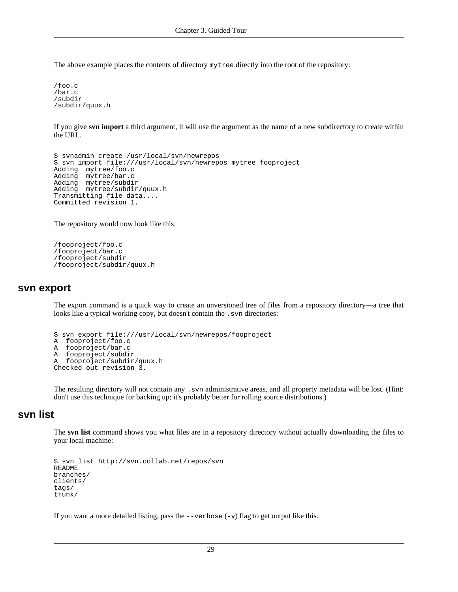The above example places the contents of directory mytree directly into the root of the repository:

/foo.c /bar.c /subdir /subdir/quux.h

If you give **svn import** a third argument, it will use the argument as the name of a new subdirectory to create within the URL.

```
$ svnadmin create /usr/local/svn/newrepos
$ svn import file:///usr/local/svn/newrepos mytree fooproject
Adding mytree/foo.c
Adding mytree/bar.c
Adding mytree/subdir
Adding mytree/subdir/quux.h
Transmitting file data....
Committed revision 1.
```
The repository would now look like this:

```
/fooproject/foo.c
/fooproject/bar.c
/fooproject/subdir
/fooproject/subdir/quux.h
```
#### **svn export**

The export command is a quick way to create an unversioned tree of files from a repository directory—a tree that looks like a typical working copy, but doesn't contain the .svn directories:

```
$ svn export file:///usr/local/svn/newrepos/fooproject
A fooproject/foo.c
A fooproject/bar.c
A fooproject/subdir
A fooproject/subdir/quux.h
Checked out revision 3.
```
The resulting directory will not contain any . svn administrative areas, and all property metadata will be lost. (Hint: don't use this technique for backing up; it's probably better for rolling source distributions.)

### **svn list**

The **svn list** command shows you what files are in a repository directory without actually downloading the files to your local machine:

```
$ svn list http://svn.collab.net/repos/svn
README
branches/
clients/
tags/
trunk/
```
If you want a more detailed listing, pass the  $-\text{verbose}$  ( $-\text{v}$ ) flag to get output like this.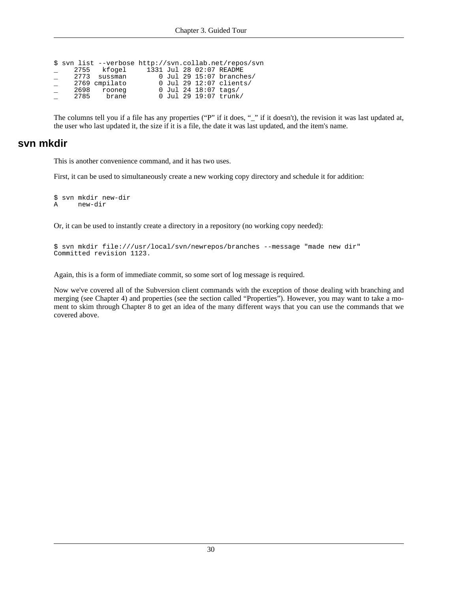|                          |      |               |  |  | \$ svn list --verbose http://svn.collab.net/repos/svn |  |
|--------------------------|------|---------------|--|--|-------------------------------------------------------|--|
| $\overline{\phantom{0}}$ |      | 2755 kfogel   |  |  | 1331 Jul 28 02:07 README                              |  |
| $\overline{\phantom{0}}$ |      | 2773 sussman  |  |  | $0$ Jul 29 15:07 branches/                            |  |
| $\overline{\phantom{0}}$ |      | 2769 cmpilato |  |  | 0 Jul 29 12:07 clients/                               |  |
| $\overline{\phantom{0}}$ |      | 2698 rooneg   |  |  | 0 Jul 24 18:07 tags/                                  |  |
|                          | 2785 | brane         |  |  | 0 Jul 29 19:07 trunk/                                 |  |
|                          |      |               |  |  |                                                       |  |

The columns tell you if a file has any properties ("P" if it does, "\_" if it doesn't), the revision it was last updated at, the user who last updated it, the size if it is a file, the date it was last updated, and the item's name.

### **svn mkdir**

This is another convenience command, and it has two uses.

First, it can be used to simultaneously create a new working copy directory and schedule it for addition:

\$ svn mkdir new-dir new-dir

Or, it can be used to instantly create a directory in a repository (no working copy needed):

```
$ svn mkdir file:///usr/local/svn/newrepos/branches --message "made new dir"
Committed revision 1123.
```
Again, this is a form of immediate commit, so some sort of log message is required.

Now we've covered all of the Subversion client commands with the exception of those dealing with branching and merging (see [Chapter 4](#page--1-0)) and properties (see [the section called "Properties"](#page-74-0)). However, you may want to take a moment to skim through [Chapter 8](#page--1-0) to get an idea of the many different ways that you can use the commands that we covered above.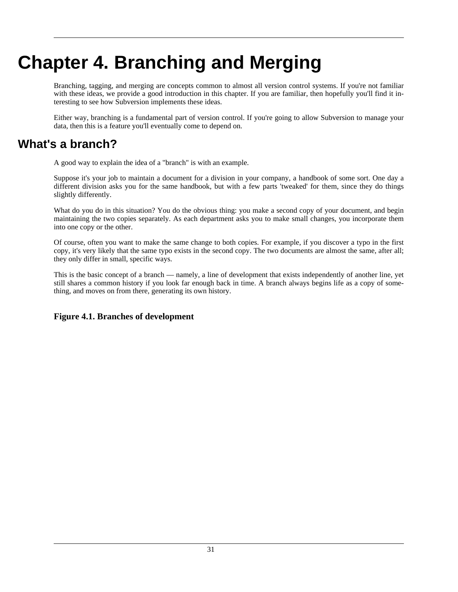# **Chapter 4. Branching and Merging**

Branching, tagging, and merging are concepts common to almost all version control systems. If you're not familiar with these ideas, we provide a good introduction in this chapter. If you are familiar, then hopefully you'll find it interesting to see how Subversion implements these ideas.

Either way, branching is a fundamental part of version control. If you're going to allow Subversion to manage your data, then this is a feature you'll eventually come to depend on.

# **What's a branch?**

A good way to explain the idea of a "branch" is with an example.

Suppose it's your job to maintain a document for a division in your company, a handbook of some sort. One day a different division asks you for the same handbook, but with a few parts 'tweaked' for them, since they do things slightly differently.

What do you do in this situation? You do the obvious thing: you make a second copy of your document, and begin maintaining the two copies separately. As each department asks you to make small changes, you incorporate them into one copy or the other.

Of course, often you want to make the same change to both copies. For example, if you discover a typo in the first copy, it's very likely that the same typo exists in the second copy. The two documents are almost the same, after all; they only differ in small, specific ways.

This is the basic concept of a branch — namely, a line of development that exists independently of another line, yet still shares a common history if you look far enough back in time. A branch always begins life as a copy of something, and moves on from there, generating its own history.

### **Figure 4.1. Branches of development**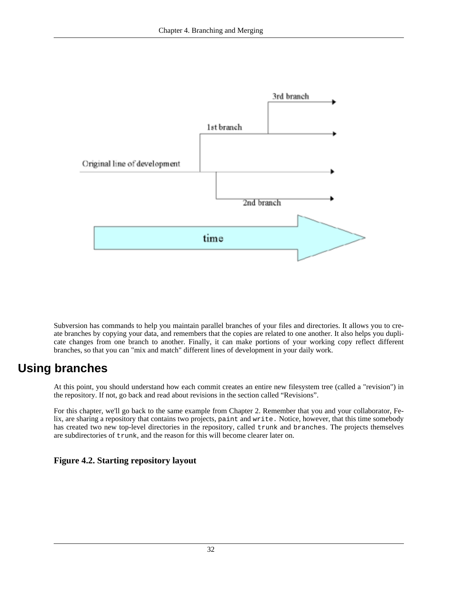

Subversion has commands to help you maintain parallel branches of your files and directories. It allows you to create branches by copying your data, and remembers that the copies are related to one another. It also helps you duplicate changes from one branch to another. Finally, it can make portions of your working copy reflect different branches, so that you can "mix and match" different lines of development in your daily work.

# **Using branches**

At this point, you should understand how each commit creates an entire new filesystem tree (called a "revision") in the repository. If not, go back and read about revisions in [the section called "Revisions"](#page-18-0).

For this chapter, we'll go back to the same example from Chapter 2. Remember that you and your collaborator, Felix, are sharing a repository that contains two projects, paint and write. Notice, however, that this time somebody has created two new top-level directories in the repository, called trunk and branches. The projects themselves are subdirectories of trunk, and the reason for this will become clearer later on.

### **Figure 4.2. Starting repository layout**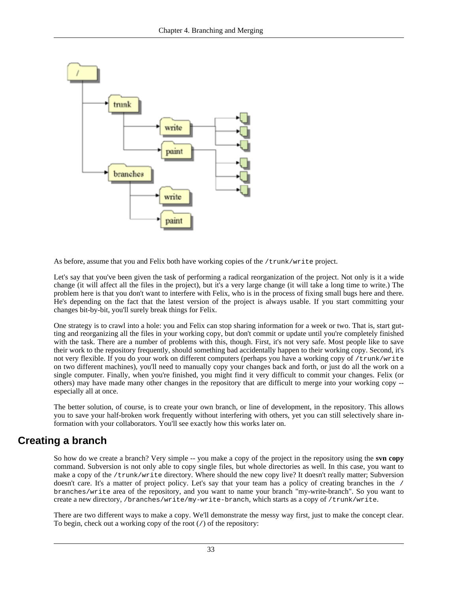

As before, assume that you and Felix both have working copies of the /trunk/write project.

Let's say that you've been given the task of performing a radical reorganization of the project. Not only is it a wide change (it will affect all the files in the project), but it's a very large change (it will take a long time to write.) The problem here is that you don't want to interfere with Felix, who is in the process of fixing small bugs here and there. He's depending on the fact that the latest version of the project is always usable. If you start committing your changes bit-by-bit, you'll surely break things for Felix.

One strategy is to crawl into a hole: you and Felix can stop sharing information for a week or two. That is, start gutting and reorganizing all the files in your working copy, but don't commit or update until you're completely finished with the task. There are a number of problems with this, though. First, it's not very safe. Most people like to save their work to the repository frequently, should something bad accidentally happen to their working copy. Second, it's not very flexible. If you do your work on different computers (perhaps you have a working copy of /trunk/write on two different machines), you'll need to manually copy your changes back and forth, or just do all the work on a single computer. Finally, when you're finished, you might find it very difficult to commit your changes. Felix (or others) may have made many other changes in the repository that are difficult to merge into your working copy - especially all at once.

The better solution, of course, is to create your own branch, or line of development, in the repository. This allows you to save your half-broken work frequently without interfering with others, yet you can still selectively share information with your collaborators. You'll see exactly how this works later on.

## **Creating a branch**

So how do we create a branch? Very simple -- you make a copy of the project in the repository using the **svn copy** command. Subversion is not only able to copy single files, but whole directories as well. In this case, you want to make a copy of the /trunk/write directory. Where should the new copy live? It doesn't really matter; Subversion doesn't care. It's a matter of project policy. Let's say that your team has a policy of creating branches in the / branches/write area of the repository, and you want to name your branch "my-write-branch". So you want to create a new directory, /branches/write/my-write-branch, which starts as a copy of /trunk/write.

There are two different ways to make a copy. We'll demonstrate the messy way first, just to make the concept clear. To begin, check out a working copy of the root (/) of the repository: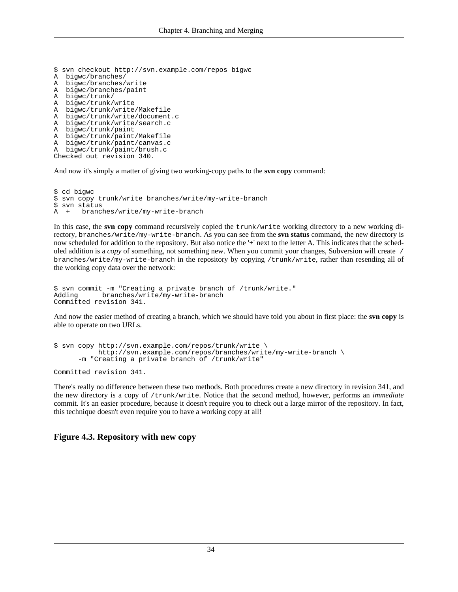\$ svn checkout http://svn.example.com/repos bigwc A bigwc/branches/<br>A bigwc/branches/ A bigwc/branches/write<br>A bigwc/branches/paint bigwc/branches/paint A bigwc/trunk/ A bigwc/trunk/write A bigwc/trunk/write/Makefile A bigwc/trunk/write/document.c<br>A bigwc/trunk/write/search.c A bigwc/trunk/write/search.c<br>A bigwc/trunk/paint bigwc/trunk/paint A bigwc/trunk/paint/Makefile A bigwc/trunk/paint/canvas.c A bigwc/trunk/paint/brush.c Checked out revision 340.

And now it's simply a matter of giving two working-copy paths to the **svn copy** command:

```
$ cd bigwc
$ svn copy trunk/write branches/write/my-write-branch
$ svn status
A + branches/write/my-write-branch
```
In this case, the **svn copy** command recursively copied the trunk/write working directory to a new working directory, branches/write/my-write-branch. As you can see from the **svn status** command, the new directory is now scheduled for addition to the repository. But also notice the '+' next to the letter A. This indicates that the scheduled addition is a *copy* of something, not something new. When you commit your changes, Subversion will create / branches/write/my-write-branch in the repository by copying /trunk/write, rather than resending all of the working copy data over the network:

```
$ svn commit -m "Creating a private branch of /trunk/write."
            branches/write/my-write-branch
Committed revision 341.
```
And now the easier method of creating a branch, which we should have told you about in first place: the **svn copy** is able to operate on two URLs.

```
$ svn copy http://svn.example.com/repos/trunk/write \
           http://svn.example.com/repos/branches/write/my-write-branch \
      -m "Creating a private branch of /trunk/write"
```
Committed revision 341.

There's really no difference between these two methods. Both procedures create a new directory in revision 341, and the new directory is a copy of /trunk/write. Notice that the second method, however, performs an *immediate* commit. It's an easier procedure, because it doesn't require you to check out a large mirror of the repository. In fact, this technique doesn't even require you to have a working copy at all!

#### **Figure 4.3. Repository with new copy**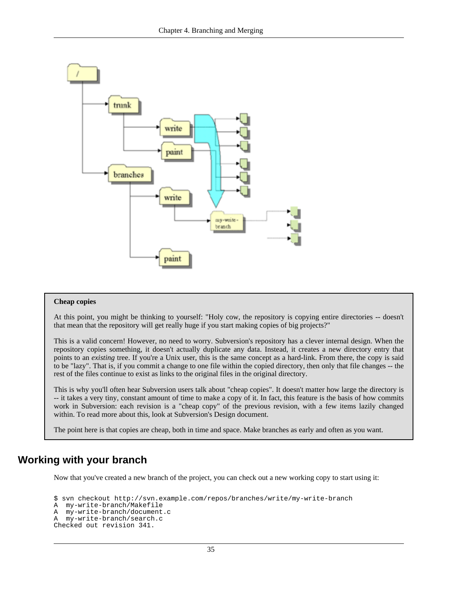

#### **Cheap copies**

At this point, you might be thinking to yourself: "Holy cow, the repository is copying entire directories -- doesn't that mean that the repository will get really huge if you start making copies of big projects?"

This is a valid concern! However, no need to worry. Subversion's repository has a clever internal design. When the repository copies something, it doesn't actually duplicate any data. Instead, it creates a new directory entry that points to an *existing* tree. If you're a Unix user, this is the same concept as a hard-link. From there, the copy is said to be "lazy". That is, if you commit a change to one file within the copied directory, then only that file changes -- the rest of the files continue to exist as links to the original files in the original directory.

This is why you'll often hear Subversion users talk about "cheap copies". It doesn't matter how large the directory is -- it takes a very tiny, constant amount of time to make a copy of it. In fact, this feature is the basis of how commits work in Subversion: each revision is a "cheap copy" of the previous revision, with a few items lazily changed within. To read more about this, look at Subversion's Design document.

The point here is that copies are cheap, both in time and space. Make branches as early and often as you want.

### **Working with your branch**

Now that you've created a new branch of the project, you can check out a new working copy to start using it:

```
$ svn checkout http://svn.example.com/repos/branches/write/my-write-branch
A my-write-branch/Makefile
A my-write-branch/document.c
A my-write-branch/search.c
Checked out revision 341.
```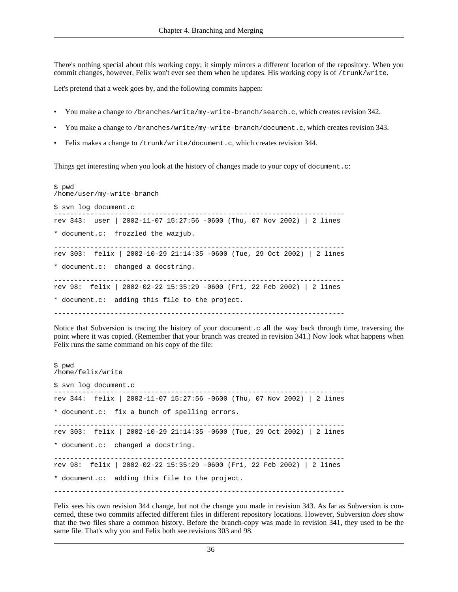There's nothing special about this working copy; it simply mirrors a different location of the repository. When you commit changes, however, Felix won't ever see them when he updates. His working copy is of /trunk/write.

Let's pretend that a week goes by, and the following commits happen:

- You make a change to /branches/write/my-write-branch/search.c, which creates revision 342.
- You make a change to /branches/write/my-write-branch/document.c, which creates revision 343.
- Felix makes a change to /trunk/write/document.c, which creates revision 344.

Things get interesting when you look at the history of changes made to your copy of document.c:

```
$ pwd
/home/user/my-write-branch
$ svn log document.c
------------------------------------------------------------------------
rev 343: user | 2002-11-07 15:27:56 -0600 (Thu, 07 Nov 2002) | 2 lines
* document.c: frozzled the wazjub.
------------------------------------------------------------------------
rev 303: felix | 2002-10-29 21:14:35 -0600 (Tue, 29 Oct 2002) | 2 lines
* document.c: changed a docstring.
------------------------------------------------------------------------
rev 98: felix | 2002-02-22 15:35:29 -0600 (Fri, 22 Feb 2002) | 2 lines
* document.c: adding this file to the project.
------------------------------------------------------------------------
```
Notice that Subversion is tracing the history of your document.c all the way back through time, traversing the point where it was copied. (Remember that your branch was created in revision 341.) Now look what happens when Felix runs the same command on his copy of the file:

```
$ pwd
/home/felix/write
$ svn log document.c
                               ------------------------------------------------------------------------
rev 344: felix | 2002-11-07 15:27:56 -0600 (Thu, 07 Nov 2002) | 2 lines
* document.c: fix a bunch of spelling errors.
    ------------------------------------------------------------------------
rev 303: felix | 2002-10-29 21:14:35 -0600 (Tue, 29 Oct 2002) | 2 lines
* document.c: changed a docstring.
------------------------------------------------------------------------
rev 98: felix | 2002-02-22 15:35:29 -0600 (Fri, 22 Feb 2002) | 2 lines
* document.c: adding this file to the project.
------------------------------------------------------------------------
```
Felix sees his own revision 344 change, but not the change you made in revision 343. As far as Subversion is concerned, these two commits affected different files in different repository locations. However, Subversion *does* show that the two files share a common history. Before the branch-copy was made in revision 341, they used to be the same file. That's why you and Felix both see revisions 303 and 98.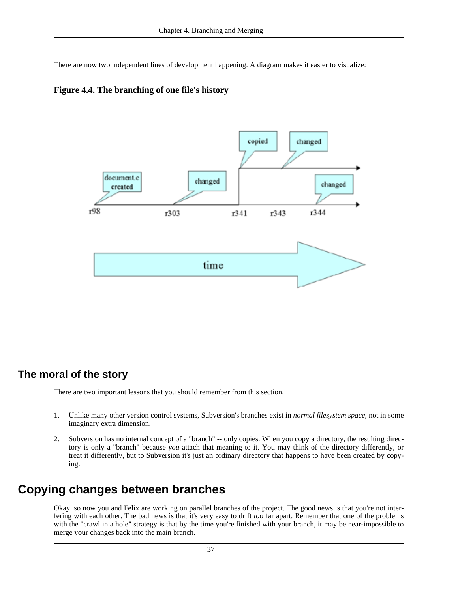There are now two independent lines of development happening. A diagram makes it easier to visualize:

### **Figure 4.4. The branching of one file's history**



### **The moral of the story**

There are two important lessons that you should remember from this section.

- 1. Unlike many other version control systems, Subversion's branches exist in *normal filesystem space*, not in some imaginary extra dimension.
- 2. Subversion has no internal concept of a "branch" -- only copies. When you copy a directory, the resulting directory is only a "branch" because *you* attach that meaning to it. You may think of the directory differently, or treat it differently, but to Subversion it's just an ordinary directory that happens to have been created by copying.

# **Copying changes between branches**

Okay, so now you and Felix are working on parallel branches of the project. The good news is that you're not interfering with each other. The bad news is that it's very easy to drift *too* far apart. Remember that one of the problems with the "crawl in a hole" strategy is that by the time you're finished with your branch, it may be near-impossible to merge your changes back into the main branch.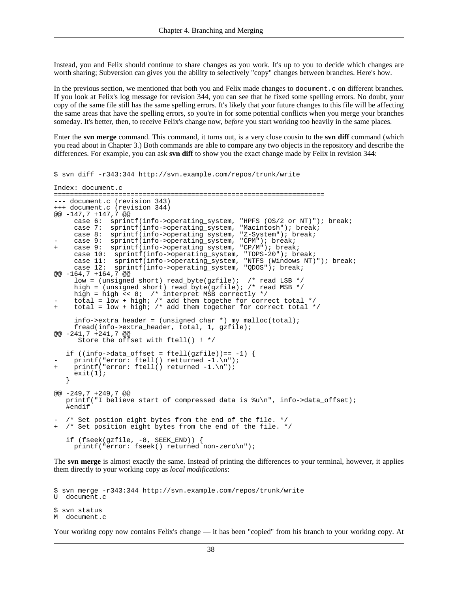Instead, you and Felix should continue to share changes as you work. It's up to you to decide which changes are worth sharing; Subversion can gives you the ability to selectively "copy" changes between branches. Here's how.

In the previous section, we mentioned that both you and Felix made changes to document.c on different branches. If you look at Felix's log message for revision 344, you can see that he fixed some spelling errors. No doubt, your copy of the same file still has the same spelling errors. It's likely that your future changes to this file will be affecting the same areas that have the spelling errors, so you're in for some potential conflicts when you merge your branches someday. It's better, then, to receive Felix's change now, *before* you start working too heavily in the same places.

Enter the **svn merge** command. This command, it turns out, is a very close cousin to the **svn diff** command (which you read about in Chapter 3.) Both commands are able to compare any two objects in the repository and describe the differences. For example, you can ask **svn diff** to show you the exact change made by Felix in revision 344:

\$ svn diff -r343:344 http://svn.example.com/repos/trunk/write

```
Index: document.c
===================================================================
--- document.c (revision 343)
+++ document.c (revision 344)
@@ -147,7 +147,7 @@
     case 6: sprintf(info->operating_system, "HPFS (OS/2 or NT)"); break;
     case 7: sprintf(info->operating_system, "Macintosh"); break;
    case 8: sprintf(info->operating_system, "Z-System"); break;
- case 9: sprintf(info->operating_system, "CPM"); break;
+ case 9: sprintf(info->operating_system, "CP/M"); break;
     case 10: sprintf(info->operating_system, "TOPS-20"); break;
     case 11: sprintf(info->operating_system, "NTFS (Windows NT)"); break;
     case 12: sprintf(info->operating_system, "QDOS"); break;
@@ -164,7 +164,7 @@
     low = (unsigned short) read_byte(gzfile); /* read LSB */
     high = (unsigned short) read_byte(gzfile); /* read MSB */
    high = high << 8; /* interpret MSB correctly */
    total = 1ow + high; /* add them togethe for correct total */
     total = low + high; /* add them together for correct total */
     info->extra_header = (unsigned char *) my_malloc(total);
     fread(info->extra_header, total, 1, gzfile);
@@ -241,7 +241,7 @@
     Store the offset with ftell() ! */
   if ((info-\texttt{data_offset = ftell(gzfile)) == -1) {
    printf("error: ftell() retturned -1.\n\n\cdot i;
    print(f("error: ftell() returned -1.\n');
     exit(1);}
@@ -249,7 +249,7 @@
  printf("I believe start of compressed data is %u\n", info->data_offset);
   #endif
  /* Set postion eight bytes from the end of the file. */* Set position eight bytes from the end of the file. */if (fseek(gzfile, -8, SEEK_END)) {
```
printf("error: fseek() returned non-zero\n");

The **svn merge** is almost exactly the same. Instead of printing the differences to your terminal, however, it applies them directly to your working copy as *local modifications*:

```
$ svn merge -r343:344 http://svn.example.com/repos/trunk/write
U document.c
$ svn status
M document.c
```
Your working copy now contains Felix's change — it has been "copied" from his branch to your working copy. At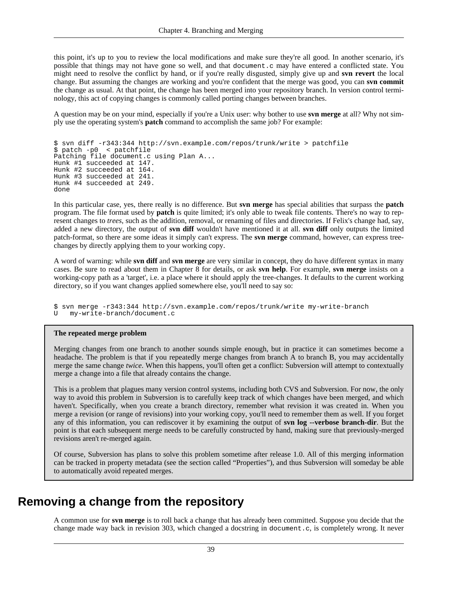this point, it's up to you to review the local modifications and make sure they're all good. In another scenario, it's possible that things may not have gone so well, and that document.c may have entered a conflicted state. You might need to resolve the conflict by hand, or if you're really disgusted, simply give up and **svn revert** the local change. But assuming the changes are working and you're confident that the merge was good, you can **svn commit** the change as usual. At that point, the change has been merged into your repository branch. In version control terminology, this act of copying changes is commonly called porting changes between branches.

A question may be on your mind, especially if you're a Unix user: why bother to use **svn merge** at all? Why not simply use the operating system's **patch** command to accomplish the same job? For example:

```
$ svn diff -r343:344 http://svn.example.com/repos/trunk/write > patchfile
$ patch -p0 < patchfile
Patching file document.c using Plan A...
Hunk #1 succeeded at 147.
Hunk #2 succeeded at 164.
Hunk #3 succeeded at 241.
Hunk #4 succeeded at 249.
done
```
In this particular case, yes, there really is no difference. But **svn merge** has special abilities that surpass the **patch** program. The file format used by **patch** is quite limited; it's only able to tweak file contents. There's no way to represent changes to *trees*, such as the addition, removal, or renaming of files and directories. If Felix's change had, say, added a new directory, the output of **svn diff** wouldn't have mentioned it at all. **svn diff** only outputs the limited patch-format, so there are some ideas it simply can't express. The **svn merge** command, however, can express treechanges by directly applying them to your working copy.

A word of warning: while **svn diff** and **svn merge** are very similar in concept, they do have different syntax in many cases. Be sure to read about them in Chapter 8 for details, or ask **svn help**. For example, **svn merge** insists on a working-copy path as a 'target', i.e. a place where it should apply the tree-changes. It defaults to the current working directory, so if you want changes applied somewhere else, you'll need to say so:

```
$ svn merge -r343:344 http://svn.example.com/repos/trunk/write my-write-branch
U my-write-branch/document.c
```
#### **The repeated merge problem**

Merging changes from one branch to another sounds simple enough, but in practice it can sometimes become a headache. The problem is that if you repeatedly merge changes from branch A to branch B, you may accidentally merge the same change *twice*. When this happens, you'll often get a conflict: Subversion will attempt to contextually merge a change into a file that already contains the change.

This is a problem that plagues many version control systems, including both CVS and Subversion. For now, the only way to avoid this problem in Subversion is to carefully keep track of which changes have been merged, and which haven't. Specifically, when you create a branch directory, remember what revision it was created in. When you merge a revision (or range of revisions) into your working copy, you'll need to remember them as well. If you forget any of this information, you can rediscover it by examining the output of **svn log --verbose branch-dir**. But the point is that each subsequent merge needs to be carefully constructed by hand, making sure that previously-merged revisions aren't re-merged again.

Of course, Subversion has plans to solv[e this problem sometime after](#page-74-0) release 1.0. All of this merging information can be tracked in property metadata (see the section called "Properties"), and thus Subversion will someday be able to automatically avoid repeated merges.

# **Removing a change from the repository**

A common use for **svn merge** is to roll back a change that has already been committed. Suppose you decide that the change made way back in revision 303, which changed a docstring in document.c, is completely wrong. It never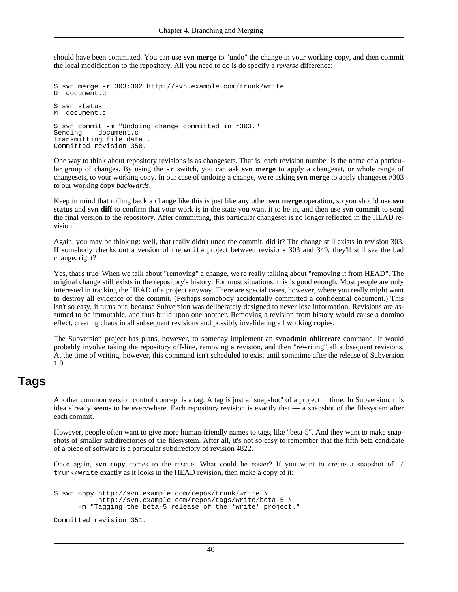should have been committed. You can use **svn merge** to "undo" the change in your working copy, and then commit the local modification to the repository. All you need to do is do specify a *reverse* difference:

```
$ svn merge -r 303:302 http://svn.example.com/trunk/write
U document.c
$ svn status
M document.c
$ svn commit -m "Undoing change committed in r303."
Sending document.c
Transmitting file data .
Committed revision 350.
```
One way to think about repository revisions is as changesets. That is, each revision number is the name of a particular group of changes. By using the -r switch, you can ask **svn merge** to apply a changeset, or whole range of changesets, to your working copy. In our case of undoing a change, we're asking **svn merge** to apply changeset #303 to our working copy *backwards*.

Keep in mind that rolling back a change like this is just like any other **svn merge** operation, so you should use **svn status** and **svn diff** to confirm that your work is in the state you want it to be in, and then use **svn commit** to send the final version to the repository. After committing, this particular changeset is no longer reflected in the HEAD revision.

Again, you may be thinking: well, that really didn't undo the commit, did it? The change still exists in revision 303. If somebody checks out a version of the write project between revisions 303 and 349, they'll still see the bad change, right?

Yes, that's true. When we talk about "removing" a change, we're really talking about "removing it from HEAD". The original change still exists in the repository's history. For most situations, this is good enough. Most people are only interested in tracking the HEAD of a project anyway. There are special cases, however, where you really might want to destroy all evidence of the commit. (Perhaps somebody accidentally committed a confidential document.) This isn't so easy, it turns out, because Subversion was deliberately designed to never lose information. Revisions are assumed to be immutable, and thus build upon one another. Removing a revision from history would cause a domino effect, creating chaos in all subsequent revisions and possibly invalidating all working copies.

The Subversion project has plans, however, to someday implement an **svnadmin obliterate** command. It would probably involve taking the repository off-line, removing a revision, and then "rewriting" all subsequent revisions. At the time of writing, however, this command isn't scheduled to exist until sometime after the release of Subversion 1.0.

## **Tags**

Another common version control concept is a tag. A tag is just a "snapshot" of a project in time. In Subversion, this idea already seems to be everywhere. Each repository revision is exactly that — a snapshot of the filesystem after each commit.

However, people often want to give more human-friendly names to tags, like "beta-5". And they want to make snapshots of smaller subdirectories of the filesystem. After all, it's not so easy to remember that the fifth beta candidate of a piece of software is a particular subdirectory of revision 4822.

Once again, **svn copy** comes to the rescue. What could be easier? If you want to create a snapshot of / trunk/write exactly as it looks in the HEAD revision, then make a copy of it:

```
$ svn copy http://svn.example.com/repos/trunk/write \
           http://svn.example.com/repos/tags/write/beta-5 \
      -m "Tagging the beta-5 release of the 'write' project."
```
Committed revision 351.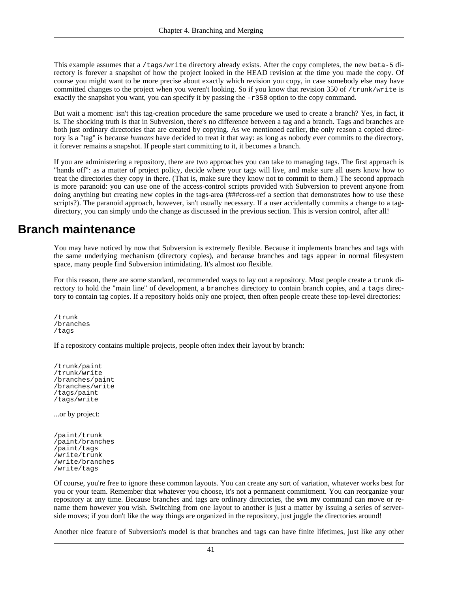This example assumes that a /tags/write directory already exists. After the copy completes, the new beta-5 directory is forever a snapshot of how the project looked in the HEAD revision at the time you made the copy. Of course you might want to be more precise about exactly which revision you copy, in case somebody else may have committed changes to the project when you weren't looking. So if you know that revision 350 of /trunk/write is exactly the snapshot you want, you can specify it by passing the  $-x350$  option to the copy command.

But wait a moment: isn't this tag-creation procedure the same procedure we used to create a branch? Yes, in fact, it is. The shocking truth is that in Subversion, there's no difference between a tag and a branch. Tags and branches are both just ordinary directories that are created by copying. As we mentioned earlier, the only reason a copied directory is a "tag" is because *humans* have decided to treat it that way: as long as nobody ever commits to the directory, it forever remains a snapshot. If people start committing to it, it becomes a branch.

If you are administering a repository, there are two approaches you can take to managing tags. The first approach is "hands off": as a matter of project policy, decide where your tags will live, and make sure all users know how to treat the directories they copy in there. (That is, make sure they know not to commit to them.) The second approach is more paranoid: you can use one of the access-control scripts provided with Subversion to prevent anyone from doing anything but creating new copies in the tags-area (###cross-ref a section that demonstrates how to use these scripts?). The paranoid approach, however, isn't usually necessary. If a user accidentally commits a change to a tagdirectory, you can simply undo the change as discussed in the previous section. This is version control, after all!

# **Branch maintenance**

You may have noticed by now that Subversion is extremely flexible. Because it implements branches and tags with the same underlying mechanism (directory copies), and because branches and tags appear in normal filesystem space, many people find Subversion intimidating. It's almost *too* flexible.

For this reason, there are some standard, recommended ways to lay out a repository. Most people create a trunk directory to hold the "main line" of development, a branches directory to contain branch copies, and a tags directory to contain tag copies. If a repository holds only one project, then often people create these top-level directories:

```
/trunk
/branches
/tags
```
If a repository contains multiple projects, people often index their layout by branch:

```
/trunk/paint
/trunk/write
/branches/paint
/branches/write
/tags/paint
/tags/write
```
...or by project:

```
/paint/trunk
/paint/branches
/paint/tags
/write/trunk
/write/branches
/write/tags
```
Of course, you're free to ignore these common layouts. You can create any sort of variation, whatever works best for you or your team. Remember that whatever you choose, it's not a permanent commitment. You can reorganize your repository at any time. Because branches and tags are ordinary directories, the **svn mv** command can move or rename them however you wish. Switching from one layout to another is just a matter by issuing a series of serverside moves; if you don't like the way things are organized in the repository, just juggle the directories around!

Another nice feature of Subversion's model is that branches and tags can have finite lifetimes, just like any other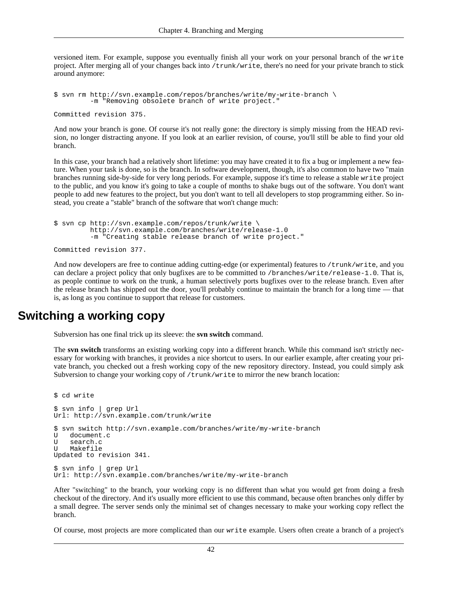versioned item. For example, suppose you eventually finish all your work on your personal branch of the write project. After merging all of your changes back into /trunk/write, there's no need for your private branch to stick around anymore:

```
$ svn rm http://svn.example.com/repos/branches/write/my-write-branch \
         -m "Removing obsolete branch of write project.
```
Committed revision 375.

And now your branch is gone. Of course it's not really gone: the directory is simply missing from the HEAD revision, no longer distracting anyone. If you look at an earlier revision, of course, you'll still be able to find your old branch.

In this case, your branch had a relatively short lifetime: you may have created it to fix a bug or implement a new feature. When your task is done, so is the branch. In software development, though, it's also common to have two "main branches running side-by-side for very long periods. For example, suppose it's time to release a stable write project to the public, and you know it's going to take a couple of months to shake bugs out of the software. You don't want people to add new features to the project, but you don't want to tell all developers to stop programming either. So instead, you create a "stable" branch of the software that won't change much:

```
$ svn cp http://svn.example.com/repos/trunk/write \
         http://svn.example.com/branches/write/release-1.0
         -m "Creating stable release branch of write project."
```

```
Committed revision 377.
```
And now developers are free to continue adding cutting-edge (or experimental) features to /trunk/write, and you can declare a project policy that only bugfixes are to be committed to /branches/write/release-1.0. That is, as people continue to work on the trunk, a human selectively ports bugfixes over to the release branch. Even after the release branch has shipped out the door, you'll probably continue to maintain the branch for a long time — that is, as long as you continue to support that release for customers.

# **Switching a working copy**

Subversion has one final trick up its sleeve: the **svn switch** command.

The **svn switch** transforms an existing working copy into a different branch. While this command isn't strictly necessary for working with branches, it provides a nice shortcut to users. In our earlier example, after creating your private branch, you checked out a fresh working copy of the new repository directory. Instead, you could simply ask Subversion to change your working copy of  $/\text{trunk}/\text{write}$  to mirror the new branch location:

```
$ cd write
$ svn info | grep Url
Url: http://svn.example.com/trunk/write
$ svn switch http://svn.example.com/branches/write/my-write-branch
U document.c<br>U search.c
U search.c<br>U Makefile
    Makefile
Updated to revision 341.
$ svn info | grep Url
Url: http://svn.example.com/branches/write/my-write-branch
```
After "switching" to the branch, your working copy is no different than what you would get from doing a fresh checkout of the directory. And it's usually more efficient to use this command, because often branches only differ by a small degree. The server sends only the minimal set of changes necessary to make your working copy reflect the branch.

Of course, most projects are more complicated than our write example. Users often create a branch of a project's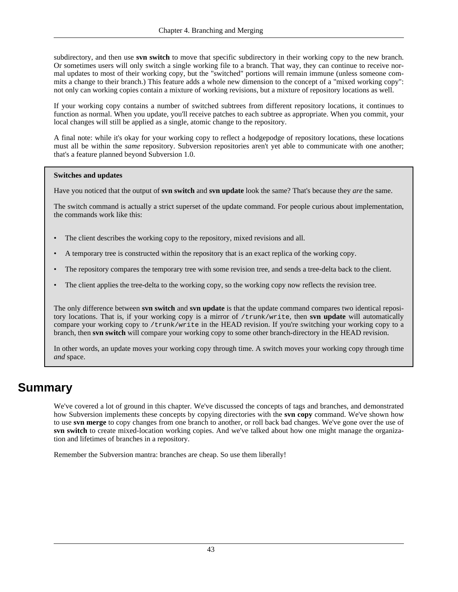subdirectory, and then use **svn switch** to move that specific subdirectory in their working copy to the new branch. Or sometimes users will only switch a single working file to a branch. That way, they can continue to receive normal updates to most of their working copy, but the "switched" portions will remain immune (unless someone commits a change to their branch.) This feature adds a whole new dimension to the concept of a "mixed working copy": not only can working copies contain a mixture of working revisions, but a mixture of repository locations as well.

If your working copy contains a number of switched subtrees from different repository locations, it continues to function as normal. When you update, you'll receive patches to each subtree as appropriate. When you commit, your local changes will still be applied as a single, atomic change to the repository.

A final note: while it's okay for your working copy to reflect a hodgepodge of repository locations, these locations must all be within the *same* repository. Subversion repositories aren't yet able to communicate with one another; that's a feature planned beyond Subversion 1.0.

#### **Switches and updates**

Have you noticed that the output of **svn switch** and **svn update** look the same? That's because they *are* the same.

The switch command is actually a strict superset of the update command. For people curious about implementation, the commands work like this:

- The client describes the working copy to the repository, mixed revisions and all.
- A temporary tree is constructed within the repository that is an exact replica of the working copy.
- The repository compares the temporary tree with some revision tree, and sends a tree-delta back to the client.
- The client applies the tree-delta to the working copy, so the working copy now reflects the revision tree.

The only difference between **svn switch** and **svn update** is that the update command compares two identical repository locations. That is, if your working copy is a mirror of /trunk/write, then **svn update** will automatically compare your working copy to /trunk/write in the HEAD revision. If you're switching your working copy to a branch, then **svn switch** will compare your working copy to some other branch-directory in the HEAD revision.

In other words, an update moves your working copy through time. A switch moves your working copy through time *and* space.

# **Summary**

We've covered a lot of ground in this chapter. We've discussed the concepts of tags and branches, and demonstrated how Subversion implements these concepts by copying directories with the **svn copy** command. We've shown how to use **svn merge** to copy changes from one branch to another, or roll back bad changes. We've gone over the use of **svn switch** to create mixed-location working copies. And we've talked about how one might manage the organization and lifetimes of branches in a repository.

Remember the Subversion mantra: branches are cheap. So use them liberally!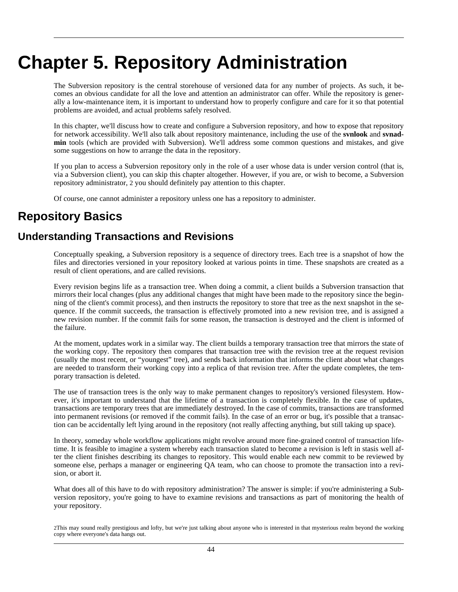# **Chapter 5. Repository Administration**

The Subversion repository is the central storehouse of versioned data for any number of projects. As such, it becomes an obvious candidate for all the love and attention an administrator can offer. While the repository is generally a low-maintenance item, it is important to understand how to properly configure and care for it so that potential problems are avoided, and actual problems safely resolved.

In this chapter, we'll discuss how to create and configure a Subversion repository, and how to expose that repository for network accessibility. We'll also talk about repository maintenance, including the use of the **svnlook** and **svnadmin** tools (which are provided with Subversion). We'll address some common questions and mistakes, and give some suggestions on how to arrange the data in the repository.

If you plan to access a Subversion repository only in the role of a user whose data is under version control (that is, via a Subversion client), you can skip this chapter altogether. However, if you are, or wish to become, a Subversion repository administrator, 2 you should definitely pay attention to this chapter.

Of course, one cannot administer a repository unless one has a repository to administer.

# **Repository Basics**

# **Understanding Transactions and Revisions**

Conceptually speaking, a Subversion repository is a sequence of directory trees. Each tree is a snapshot of how the files and directories versioned in your repository looked at various points in time. These snapshots are created as a result of client operations, and are called revisions.

Every revision begins life as a transaction tree. When doing a commit, a client builds a Subversion transaction that mirrors their local changes (plus any additional changes that might have been made to the repository since the beginning of the client's commit process), and then instructs the repository to store that tree as the next snapshot in the sequence. If the commit succeeds, the transaction is effectively promoted into a new revision tree, and is assigned a new revision number. If the commit fails for some reason, the transaction is destroyed and the client is informed of the failure.

At the moment, updates work in a similar way. The client builds a temporary transaction tree that mirrors the state of the working copy. The repository then compares that transaction tree with the revision tree at the request revision (usually the most recent, or "youngest" tree), and sends back information that informs the client about what changes are needed to transform their working copy into a replica of that revision tree. After the update completes, the temporary transaction is deleted.

The use of transaction trees is the only way to make permanent changes to repository's versioned filesystem. However, it's important to understand that the lifetime of a transaction is completely flexible. In the case of updates, transactions are temporary trees that are immediately destroyed. In the case of commits, transactions are transformed into permanent revisions (or removed if the commit fails). In the case of an error or bug, it's possible that a transaction can be accidentally left lying around in the repository (not really affecting anything, but still taking up space).

In theory, someday whole workflow applications might revolve around more fine-grained control of transaction lifetime. It is feasible to imagine a system whereby each transaction slated to become a revision is left in stasis well after the client finishes describing its changes to repository. This would enable each new commit to be reviewed by someone else, perhaps a manager or engineering QA team, who can choose to promote the transaction into a revision, or abort it.

What does all of this have to do with repository administration? The answer is simple: if you're administering a Subversion repository, you're going to have to examine revisions and transactions as part of monitoring the health of your repository.

2This may sound really prestigious and lofty, but we're just talking about anyone who is interested in that mysterious realm beyond the working copy where everyone's data hangs out.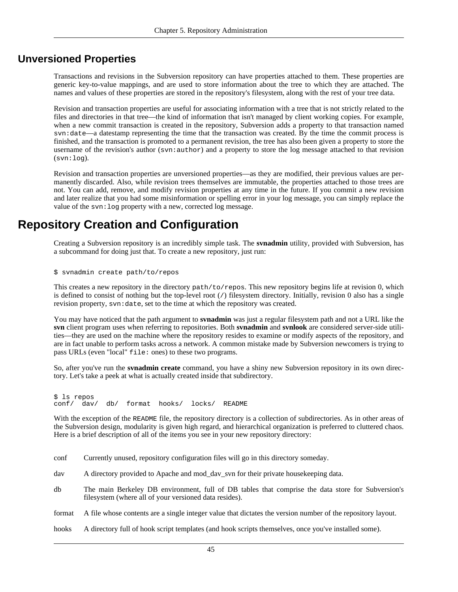# **Unversioned Properties**

Transactions and revisions in the Subversion repository can have properties attached to them. These properties are generic key-to-value mappings, and are used to store information about the tree to which they are attached. The names and values of these properties are stored in the repository's filesystem, along with the rest of your tree data.

Revision and transaction properties are useful for associating information with a tree that is not strictly related to the files and directories in that tree—the kind of information that isn't managed by client working copies. For example, when a new commit transaction is created in the repository, Subversion adds a property to that transaction named svn:date—a datestamp representing the time that the transaction was created. By the time the commit process is finished, and the transaction is promoted to a permanent revision, the tree has also been given a property to store the username of the revision's author (svn:author) and a property to store the log message attached to that revision  $(svn:log)$ .

Revision and transaction properties are unversioned properties—as they are modified, their previous values are permanently discarded. Also, while revision trees themselves are immutable, the properties attached to those trees are not. You can add, remove, and modify revision properties at any time in the future. If you commit a new revision and later realize that you had some misinformation or spelling error in your log message, you can simply replace the value of the svn:log property with a new, corrected log message.

# **Repository Creation and Configuration**

<span id="page-53-0"></span>Creating a Subversion repository is an incredibly simple task. The **svnadmin** utility, provided with Subversion, has a subcommand for doing just that. To create a new repository, just run:

#### \$ svnadmin create path/to/repos

This creates a new repository in the directory path/to/repos. This new repository begins life at revision 0, which is defined to consist of nothing but the top-level root  $\left(\frac{1}{1}\right)$  filesystem directory. Initially, revision 0 also has a single revision property, svn:date, set to the time at which the repository was created.

You may have noticed that the path argument to **svnadmin** was just a regular filesystem path and not a URL like the **svn** client program uses when referring to repositories. Both **svnadmin** and **svnlook** are considered server-side utilities—they are used on the machine where the repository resides to examine or modify aspects of the repository, and are in fact unable to perform tasks across a network. A common mistake made by Subversion newcomers is trying to pass URLs (even "local" file: ones) to these two programs.

So, after you've run the **svnadmin create** command, you have a shiny new Subversion repository in its own directory. Let's take a peek at what is actually created inside that subdirectory.

\$ ls repos conf/ dav/ db/ format hooks/ locks/ README

With the exception of the README file, the repository directory is a collection of subdirectories. As in other areas of the Subversion design, modularity is given high regard, and hierarchical organization is preferred to cluttered chaos. Here is a brief description of all of the items you see in your new repository directory:

- conf Currently unused, repository configuration files will go in this directory someday.
- dav A directory provided to Apache and mod\_dav\_svn for their private housekeeping data.
- db The main Berkeley DB environment, full of DB tables that comprise the data store for Subversion's filesystem (where all of your versioned data resides).
- format A file whose contents are a single integer value that dictates the version number of the repository layout.
- hooks A directory full of hook script templates (and hook scripts themselves, once you've installed some).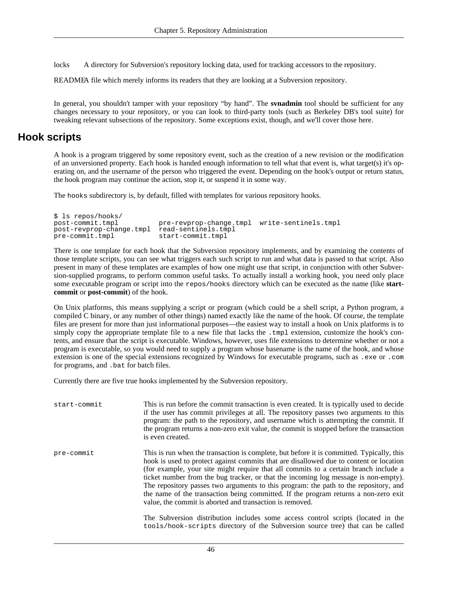locks A directory for Subversion's repository locking data, used for tracking accessors to the repository.

READMEA file which merely informs its readers that they are looking at a Subversion repository.

<span id="page-54-0"></span>In general, you shouldn't tamper with your repository "by hand". The **svnadmin** tool should be sufficient for any changes necessary to your repository, or you can look to third-party tools (such as Berkeley DB's tool suite) for tweaking relevant subsections of the repository. Some exceptions exist, though, and we'll cover those here.

### **Hook scripts**

A hook is a program triggered by some repository event, such as the creation of a new revision or the modification of an unversioned property. Each hook is handed enough information to tell what that event is, what target(s) it's operating on, and the username of the person who triggered the event. Depending on the hook's output or return status, the hook program may continue the action, stop it, or suspend it in some way.

The hooks subdirectory is, by default, filled with templates for various repository hooks.

```
$ ls repos/hooks/<br>post-commit.tmpl
                                        pre-revprop-change.tmpl write-sentinels.tmpl read-sentinels.tmpl
post-revprop-change.tmpl<br>pre-commit.tmpl
                                        start-commit.tmpl
```
There is one template for each hook that the Subversion repository implements, and by examining the contents of those template scripts, you can see what triggers each such script to run and what data is passed to that script. Also present in many of these templates are examples of how one might use that script, in conjunction with other Subversion-supplied programs, to perform common useful tasks. To actually install a working hook, you need only place some executable program or script into the repos/hooks directory which can be executed as the name (like **startcommit** or **post-commit**) of the hook.

On Unix platforms, this means supplying a script or program (which could be a shell script, a Python program, a compiled C binary, or any number of other things) named exactly like the name of the hook. Of course, the template files are present for more than just informational purposes—the easiest way to install a hook on Unix platforms is to simply copy the appropriate template file to a new file that lacks the .tmpl extension, customize the hook's contents, and ensure that the script is executable. Windows, however, uses file extensions to determine whether or not a program is executable, so you would need to supply a program whose basename is the name of the hook, and whose extension is one of the special extensions recognized by Windows for executable programs, such as .exe or .com for programs, and .bat for batch files.

Currently there are five true hooks implemented by the Subversion repository.

| start-commit | This is run before the commit transaction is even created. It is typically used to decide<br>if the user has commit privileges at all. The repository passes two arguments to this<br>program: the path to the repository, and username which is attempting the commit. If<br>the program returns a non-zero exit value, the commit is stopped before the transaction<br>is even created.                                                                                                                                                                                                                     |
|--------------|---------------------------------------------------------------------------------------------------------------------------------------------------------------------------------------------------------------------------------------------------------------------------------------------------------------------------------------------------------------------------------------------------------------------------------------------------------------------------------------------------------------------------------------------------------------------------------------------------------------|
| pre-commit   | This is run when the transaction is complete, but before it is committed. Typically, this<br>hook is used to protect against commits that are disallowed due to content or location<br>(for example, your site might require that all commits to a certain branch include a<br>ticket number from the bug tracker, or that the incoming log message is non-empty).<br>The repository passes two arguments to this program: the path to the repository, and<br>the name of the transaction being committed. If the program returns a non-zero exit<br>value, the commit is aborted and transaction is removed. |
|              | The Subversion distribution includes some access control scripts (located in the<br>tools/hook-scripts directory of the Subversion source tree) that can be called                                                                                                                                                                                                                                                                                                                                                                                                                                            |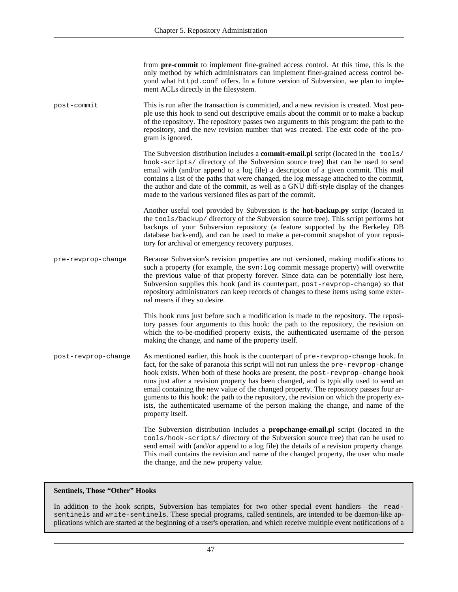from **pre-commit** to implement fine-grained access control. At this time, this is the only method by which administrators can implement finer-grained access control beyond what httpd.conf offers. In a future version of Subversion, we plan to implement ACLs directly in the filesystem.

post-commit This is run after the transaction is committed, and a new revision is created. Most people use this hook to send out descriptive emails about the commit or to make a backup of the repository. The repository passes two arguments to this program: the path to the repository, and the new revision number that was created. The exit code of the program is ignored.

> The Subversion distribution includes a **commit-email.pl** script (located in the tools/ hook-scripts/ directory of the Subversion source tree) that can be used to send email with (and/or append to a log file) a description of a given commit. This mail contains a list of the paths that were changed, the log message attached to the commit, the author and date of the commit, as well as a GNU diff-style display of the changes made to the various versioned files as part of the commit.

> Another useful tool provided by Subversion is the **hot-backup.py** script (located in the tools/backup/ directory of the Subversion source tree). This script performs hot backups of your Subversion repository (a feature supported by the Berkeley DB database back-end), and can be used to make a per-commit snapshot of your repository for archival or emergency recovery purposes.

pre-revprop-change Because Subversion's revision properties are not versioned, making modifications to such a property (for example, the svn:log commit message property) will overwrite the previous value of that property forever. Since data can be potentially lost here, Subversion supplies this hook (and its counterpart, post-revprop-change) so that repository administrators can keep records of changes to these items using some external means if they so desire.

> This hook runs just before such a modification is made to the repository. The repository passes four arguments to this hook: the path to the repository, the revision on which the to-be-modified property exists, the authenticated username of the person making the change, and name of the property itself.

post-revprop-change As mentioned earlier, this hook is the counterpart of pre-revprop-change hook. In fact, for the sake of paranoia this script will not run unless the pre-revprop-change hook exists. When both of these hooks are present, the post-revprop-change hook runs just after a revision property has been changed, and is typically used to send an email containing the new value of the changed property. The repository passes four arguments to this hook: the path to the repository, the revision on which the property exists, the authenticated username of the person making the change, and name of the property itself.

> The Subversion distribution includes a **propchange-email.pl** script (located in the tools/hook-scripts/ directory of the Subversion source tree) that can be used to send email with (and/or append to a log file) the details of a revision property change. This mail contains the revision and name of the changed property, the user who made the change, and the new property value.

#### **Sentinels, Those "Other" Hooks**

In addition to the hook scripts, Subversion has templates for two other special event handlers—the readsentinels and write-sentinels. These special programs, called sentinels, are intended to be daemon-like applications which are started at the beginning of a user's operation, and which receive multiple event notifications of a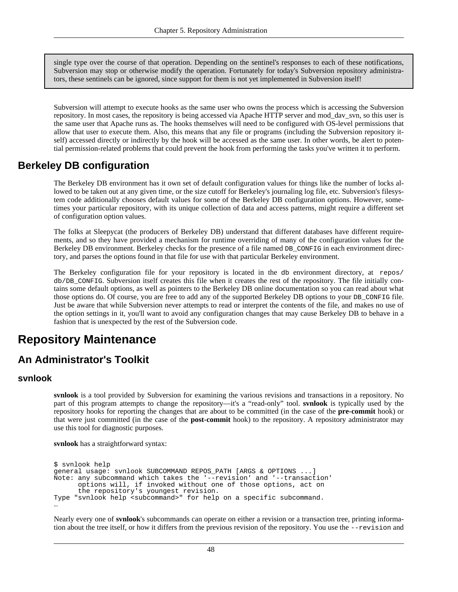single type over the course of that operation. Depending on the sentinel's responses to each of these notifications, Subversion may stop or otherwise modify the operation. Fortunately for today's Subversion repository administrators, these sentinels can be ignored, since support for them is not yet implemented in Subversion itself!

Subversion will attempt to execute hooks as the same user who owns the process which is accessing the Subversion repository. In most cases, the repository is being accessed via Apache HTTP server and mod\_dav\_svn, so this user is the same user that Apache runs as. The hooks themselves will need to be configured with OS-level permissions that allow that user to execute them. Also, this means that any file or programs (including the Subversion repository itself) accessed directly or indirectly by the hook will be accessed as the same user. In other words, be alert to potential permission-related problems that could prevent the hook from performing the tasks you've written it to perform.

### **Berkeley DB configuration**

The Berkeley DB environment has it own set of default configuration values for things like the number of locks allowed to be taken out at any given time, or the size cutoff for Berkeley's journaling log file, etc. Subversion's filesystem code additionally chooses default values for some of the Berkeley DB configuration options. However, sometimes your particular repository, with its unique collection of data and access patterns, might require a different set of configuration option values.

The folks at Sleepycat (the producers of Berkeley DB) understand that different databases have different requirements, and so they have provided a mechanism for runtime overriding of many of the configuration values for the Berkeley DB environment. Berkeley checks for the presence of a file named DB CONFIG in each environment directory, and parses the options found in that file for use with that particular Berkeley environment.

The Berkeley configuration file for your repository is located in the db environment directory, at repos/ db/DB\_CONFIG. Subversion itself creates this file when it creates the rest of the repository. The file initially contains some default options, as well as pointers to the Berkeley DB online documentation so you can read about what those options do. Of course, you are free to add any of the supported Berkeley DB options to your DB\_CONFIG file. Just be aware that while Subversion never attempts to read or interpret the contents of the file, and makes no use of the option settings in it, you'll want to avoid any configuration changes that may cause Berkeley DB to behave in a fashion that is unexpected by the rest of the Subversion code.

# **Repository Maintenance**

# <span id="page-56-0"></span>**An Administrator's Toolkit**

### **svnlook**

**svnlook** is a tool provided by Subversion for examining the various revisions and transactions in a repository. No part of this program attempts to change the repository—it's a "read-only" tool. **svnlook** is typically used by the repository hooks for reporting the changes that are about to be committed (in the case of the **pre-commit** hook) or that were just committed (in the case of the **post-commit** hook) to the repository. A repository administrator may use this tool for diagnostic purposes.

**svnlook** has a straightforward syntax:

```
$ svnlook help
general usage: svnlook SUBCOMMAND REPOS_PATH [ARGS & OPTIONS ...]
Note: any subcommand which takes the '--revision' and '--transaction'
      options will, if invoked without one of those options, act on
      the repository's youngest revision.
Type "svnlook help <subcommand>" for help on a specific subcommand.
…
```
Nearly every one of **svnlook**'s subcommands can operate on either a revision or a transaction tree, printing information about the tree itself, or how it differs from the previous revision of the repository. You use the --revision and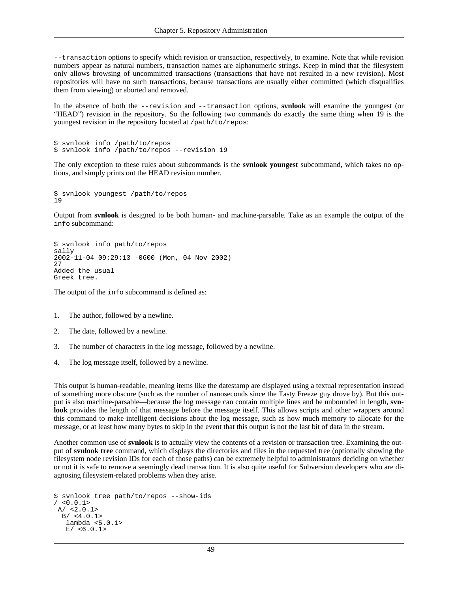--transaction options to specify which revision or transaction, respectively, to examine. Note that while revision numbers appear as natural numbers, transaction names are alphanumeric strings. Keep in mind that the filesystem only allows browsing of uncommitted transactions (transactions that have not resulted in a new revision). Most repositories will have no such transactions, because transactions are usually either committed (which disqualifies them from viewing) or aborted and removed.

In the absence of both the --revision and --transaction options, **svnlook** will examine the youngest (or "HEAD") revision in the repository. So the following two commands do exactly the same thing when 19 is the youngest revision in the repository located at /path/to/repos:

```
$ svnlook info /path/to/repos
$ svnlook info /path/to/repos --revision 19
```
The only exception to these rules about subcommands is the **svnlook youngest** subcommand, which takes no options, and simply prints out the HEAD revision number.

```
$ svnlook youngest /path/to/repos
19
```
Output from **svnlook** is designed to be both human- and machine-parsable. Take as an example the output of the info subcommand:

```
$ svnlook info path/to/repos
sally
2002-11-04 09:29:13 -0600 (Mon, 04 Nov 2002)
27
Added the usual
Greek tree.
```
The output of the info subcommand is defined as:

- 1. The author, followed by a newline.
- 2. The date, followed by a newline.
- 3. The number of characters in the log message, followed by a newline.
- 4. The log message itself, followed by a newline.

This output is human-readable, meaning items like the datestamp are displayed using a textual representation instead of something more obscure (such as the number of nanoseconds since the Tasty Freeze guy drove by). But this output is also machine-parsable—because the log message can contain multiple lines and be unbounded in length, **svnlook** provides the length of that message before the message itself. This allows scripts and other wrappers around this command to make intelligent decisions about the log message, such as how much memory to allocate for the message, or at least how many bytes to skip in the event that this output is not the last bit of data in the stream.

Another common use of **svnlook** is to actually view the contents of a revision or transaction tree. Examining the output of **svnlook tree** command, which displays the directories and files in the requested tree (optionally showing the filesystem node revision IDs for each of those paths) can be extremely helpful to administrators deciding on whether or not it is safe to remove a seemingly dead transaction. It is also quite useful for Subversion developers who are diagnosing filesystem-related problems when they arise.

```
$ svnlook tree path/to/repos --show-ids
/ 0.0.1A/ <2.0.1>
 B / 4.0.1lambda <5.0.1>
  E/ < 6.0.1
```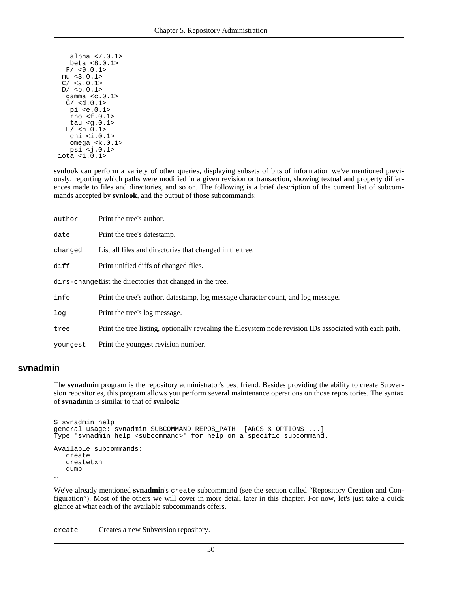| alpha <7.0.1>        |
|----------------------|
| beta $< 8.0.1$       |
| $F/$ <9.0.1>         |
| mu <3.0.1>           |
| $C/$ <a.0.1></a.0.1> |
| $D/$ <b.0.1></b.0.1> |
| qamma $<$ c. $0.1$ > |
| $G/$ <d.0.1></d.0.1> |
| pi <e.0.1></e.0.1>   |
| rho < f.0.1          |
| tau $< q.0.1$        |
| $H/$ <h.0.1></h.0.1> |
| chi <i.0.1></i.0.1>  |
| omega $<$ k.0.1>     |
| psi <j.0.1></j.0.1>  |
| iota <1.0.1>         |
|                      |

**svnlook** can perform a variety of other queries, displaying subsets of bits of information we've mentioned previously, reporting which paths were modified in a given revision or transaction, showing textual and property differences made to files and directories, and so on. The following is a brief description of the current list of subcommands accepted by **svnlook**, and the output of those subcommands:

| author                                                     | Print the tree's author.                                                                                 |  |  |
|------------------------------------------------------------|----------------------------------------------------------------------------------------------------------|--|--|
| date                                                       | Print the tree's datestamp.                                                                              |  |  |
| changed                                                    | List all files and directories that changed in the tree.                                                 |  |  |
| diff                                                       | Print unified diffs of changed files.                                                                    |  |  |
| dirs-change List the directories that changed in the tree. |                                                                                                          |  |  |
| info                                                       | Print the tree's author, datestamp, log message character count, and log message.                        |  |  |
| log                                                        | Print the tree's log message.                                                                            |  |  |
| tree                                                       | Print the tree listing, optionally revealing the filesystem node revision IDs associated with each path. |  |  |
| youngest                                                   | Print the youngest revision number.                                                                      |  |  |

### **svnadmin**

The **svnadmin** program is the repository administrator's best friend. Besides providing the ability to create Subversion repositories, this program allows you perform several maintenance operations on those repositories. The syntax of **svnadmin** is similar to that of **svnlook**:

```
$ svnadmin help
general usage: svnadmin SUBCOMMAND REPOS_PATH [ARGS & OPTIONS ...]
Type "svnadmin help <subcommand>" for help on a specific subcommand.
Available subcommands:
  create
   createtxn
  dump
…
```
We've already mentioned **svnadmin**'s create subcommand (see [the section called "Repository Creation and](#page-53-0) Con[figuration"\)](#page-53-0). Most of the others we will cover in more detail later in this chapter. For now, let's just take a quick glance at what each of the available subcommands offers.

create Creates a new Subversion repository.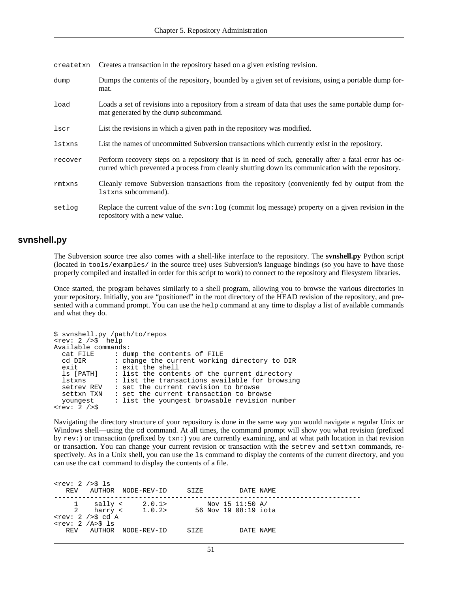| createtxn | Creates a transaction in the repository based on a given existing revision.                                                                                                                                 |
|-----------|-------------------------------------------------------------------------------------------------------------------------------------------------------------------------------------------------------------|
| dump      | Dumps the contents of the repository, bounded by a given set of revisions, using a portable dump for-<br>mat.                                                                                               |
| load      | Loads a set of revisions into a repository from a stream of data that uses the same portable dump for-<br>mat generated by the dump subcommand.                                                             |
| lscr      | List the revisions in which a given path in the repository was modified.                                                                                                                                    |
| lstxns    | List the names of uncommitted Subversion transactions which currently exist in the repository.                                                                                                              |
| recover   | Perform recovery steps on a repository that is in need of such, generally after a fatal error has oc-<br>curred which prevented a process from cleanly shutting down its communication with the repository. |
| rmtxns    | Cleanly remove Subversion transactions from the repository (conveniently fed by output from the<br>lstxns subcommand).                                                                                      |
| setlog    | Replace the current value of the $svn: log$ (commit log message) property on a given revision in the<br>repository with a new value.                                                                        |

#### **svnshell.py**

The Subversion source tree also comes with a shell-like interface to the repository. The **svnshell.py** Python script (located in tools/examples/ in the source tree) uses Subversion's language bindings (so you have to have those properly compiled and installed in order for this script to work) to connect to the repository and filesystem libraries.

Once started, the program behaves similarly to a shell program, allowing you to browse the various directories in your repository. Initially, you are "positioned" in the root directory of the HEAD revision of the repository, and presented with a command prompt. You can use the help command at any time to display a list of available commands and what they do.

```
$ svnshell.py /path/to/repos
<rev: 2 />$ help
Available commands:
  cat FILE : dump the contents of FILE<br>cd DIR : change the current working
  cd DIR : change the current working directory to DIR<br>exit : exit the shell
  exit : exit the shell
  ls [PATH] : list the contents of the current directory
  lstxns : list the transactions available for browsing
  setrev REV : set the current revision to browse<br>settxn TXN : set the current transaction to bro
  settxn TXN : set the current transaction to browse<br>youngest : list the youngest browsable revision
                   : list the youngest browsable revision number
<rev: 2 />$
```
Navigating the directory structure of your repository is done in the same way you would navigate a regular Unix or Windows shell—using the cd command. At all times, the command prompt will show you what revision (prefixed by  $rev$ :) or transaction (prefixed by  $txn$ :) you are currently examining, and at what path location in that revision or transaction. You can change your current revision or transaction with the setrev and settxn commands, respectively. As in a Unix shell, you can use the 1s command to display the contents of the current directory, and you can use the cat command to display the contents of a file.

<rev: 2 />\$ ls REV AUTHOR NODE-REV-ID SIZE DATE NAME ---------------------------------------------------------------------------- 1 sally < 2.0.1> Nov 15 11:50 A/ 56 Nov 19 08:19 iota  $<$ rev: 2  $/$ >\$ cd A  $<$ rev: 2  $/$ A>\$ ls REV AUTHOR NODE-REV-ID SIZE DATE NAME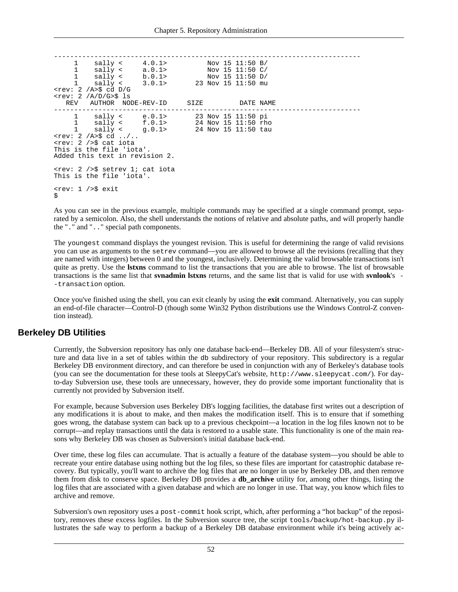---------------------------------------------------------------------------- 1 sally < 4.0.1> Nov 15 11:50 B/ 1 sally < a.0.1> Nov 15 11:50 C/<br>1 sally < b.0.1> Nov 15 11:50 D/ 1 sally < b.0.1> Nov 15 11:50 D/<br>1 sally < 3.0.1> 23 Nov 15 11:50 mu 23 Nov 15 11:50 mu <rev: 2 /A>\$ cd D/G <rev: 2 /A/D/G>\$ ls REV AUTHOR NODE-REV-ID SIZE DATE NAME ---------------------------------------------------------------------------- 1 sally < e.0.1> 23 Nov 15 11:50 pi 24 Nov 15 11:50 rho 1 sally < g.0.1> 24 Nov 15 11:50 tau  $<$ rev: 2 /A>\$ cd ../.. <rev: 2 />\$ cat iota This is the file 'iota'. Added this text in revision 2. <rev: 2 />\$ setrev 1; cat iota This is the file 'iota'. <rev: 1 />\$ exit \$

As you can see in the previous example, multiple commands may be specified at a single command prompt, separated by a semicolon. Also, the shell understands the notions of relative and absolute paths, and will properly handle the "." and ".." special path components.

The youngest command displays the youngest revision. This is useful for determining the range of valid revisions you can use as arguments to the setrev command—you are allowed to browse all the revisions (recalling that they are named with integers) between 0 and the youngest, inclusively. Determining the valid browsable transactions isn't quite as pretty. Use the **lstxns** command to list the transactions that you are able to browse. The list of browsable transactions is the same list that **svnadmin lstxns** returns, and the same list that is valid for use with **svnlook**'s - -transaction option.

Once you've finished using the shell, you can exit cleanly by using the **exit** command. Alternatively, you can supply an end-of-file character—Control-D (though some Win32 Python distributions use the Windows Control-Z convention instead).

### **Berkeley DB Utilities**

Currently, the Subversion repository has only one database back-end—Berkeley DB. All of your filesystem's structure and data live in a set of tables within the db subdirectory of your repository. This subdirectory is a regular Berkeley DB environment directory, and can therefore be used in conjunction with any of Berkeley's database tools (you can see the documentation for these tools at SleepyCat's website, http://www.sleepycat.com/). For dayto-day Subversion use, these tools are unnecessary, however, they do provide some important functionality that is currently not provided by Subversion itself.

For example, because Subversion uses Berkeley DB's logging facilities, the database first writes out a description of any modifications it is about to make, and then makes the modification itself. This is to ensure that if something goes wrong, the database system can back up to a previous checkpoint—a location in the log files known not to be corrupt—and replay transactions until the data is restored to a usable state. This functionality is one of the main reasons why Berkeley DB was chosen as Subversion's initial database back-end.

Over time, these log files can accumulate. That is actually a feature of the database system—you should be able to recreate your entire database using nothing but the log files, so these files are important for catastrophic database recovery. But typically, you'll want to archive the log files that are no longer in use by Berkeley DB, and then remove them from disk to conserve space. Berkeley DB provides a **db\_archive** utility for, among other things, listing the log files that are associated with a given database and which are no longer in use. That way, you know which files to archive and remove.

Subversion's own repository uses a post-commit hook script, which, after performing a "hot backup" of the repository, removes these excess logfiles. In the Subversion source tree, the script tools/backup/hot-backup.py illustrates the safe way to perform a backup of a Berkeley DB database environment while it's being actively ac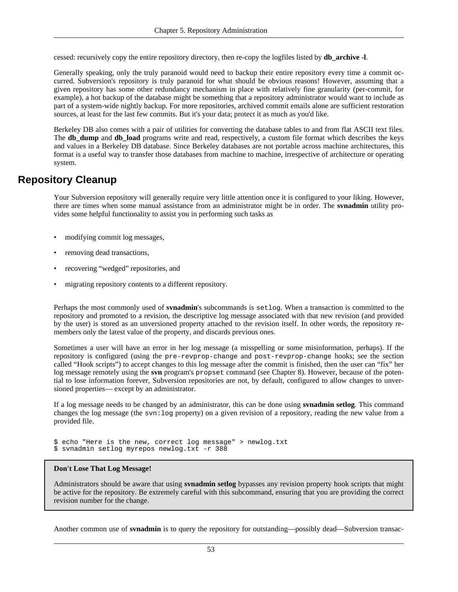cessed: recursively copy the entire repository directory, then re-copy the logfiles listed by **db\_archive -l**.

Generally speaking, only the truly paranoid would need to backup their entire repository every time a commit occurred. Subversion's repository is truly paranoid for what should be obvious reasons! However, assuming that a given repository has some other redundancy mechanism in place with relatively fine granularity (per-commit, for example), a hot backup of the database might be something that a repository administrator would want to include as part of a system-wide nightly backup. For more repositories, archived commit emails alone are sufficient restoration sources, at least for the last few commits. But it's your data; protect it as much as you'd like.

Berkeley DB also comes with a pair of utilities for converting the database tables to and from flat ASCII text files. The **db\_dump** and **db\_load** programs write and read, respectively, a custom file format which describes the keys and values in a Berkeley DB database. Since Berkeley databases are not portable across machine architectures, this format is a useful way to transfer those databases from machine to machine, irrespective of architecture or operating system.

### **Repository Cleanup**

Your Subversion repository will generally require very little attention once it is configured to your liking. However, there are times when some manual assistance from an administrator might be in order. The **svnadmin** utility provides some helpful functionality to assist you in performing such tasks as

- modifying commit log messages,
- removing dead transactions,
- recovering "wedged" repositories, and
- migrating repository contents to a different repository.

Perhaps the most commonly used of **svnadmin**'s subcommands is setlog. When a transaction is committed to the repository and promoted to a revision, the descriptive log message associated with that new revision (and provided by the user) is stored as an unversioned property attached to the revision itself. In other words, the repository remembers only the latest value of the property, and discards previous ones.

Sometimes a user will have an error in her log message (a misspelling or some misinformation, perhaps). If the repository is configured (using the pre-revprop-change and post-revprop-change hooks; see [the section](#page-54-0) [called "Hook scripts"](#page-54-0)) to accept changes to this log message after the commit is finished, then the user can "fix" her log message remotely using the **svn** program's propset command (see [Chapter 8](#page--1-0)). However, because of the potential to lose information forever, Subversion repositories are not, by default, configured to allow changes to unversioned properties— except by an administrator.

If a log message needs to be changed by an administrator, this can be done using **svnadmin setlog**. This command changes the log message (the svn:log property) on a given revision of a repository, reading the new value from a provided file.

```
$ echo "Here is the new, correct log message" > newlog.txt
$ svnadmin setlog myrepos newlog.txt -r 388
```
#### **Don't Lose That Log Message!**

Administrators should be aware that using **svnadmin setlog** bypasses any revision property hook scripts that might be active for the repository. Be extremely careful with this subcommand, ensuring that you are providing the correct revision number for the change.

Another common use of **svnadmin** is to query the repository for outstanding—possibly dead—Subversion transac-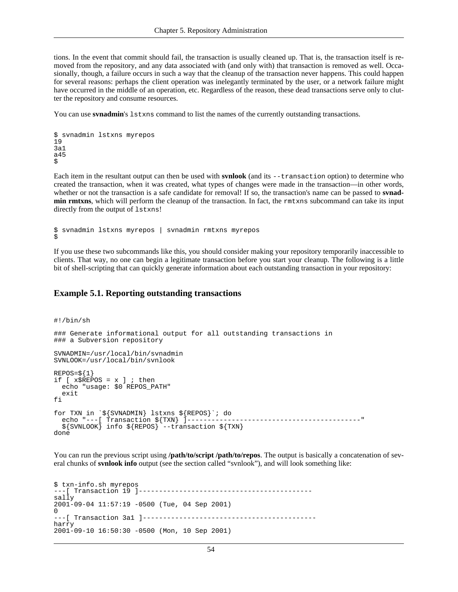tions. In the event that commit should fail, the transaction is usually cleaned up. That is, the transaction itself is removed from the repository, and any data associated with (and only with) that transaction is removed as well. Occasionally, though, a failure occurs in such a way that the cleanup of the transaction never happens. This could happen for several reasons: perhaps the client operation was inelegantly terminated by the user, or a network failure might have occurred in the middle of an operation, etc. Regardless of the reason, these dead transactions serve only to clutter the repository and consume resources.

You can use **svnadmin**'s lstxns command to list the names of the currently outstanding transactions.

```
$ svnadmin lstxns myrepos
19
3a1
a45
$
```
Each item in the resultant output can then be used with **svnlook** (and its --transaction option) to determine who created the transaction, when it was created, what types of changes were made in the transaction—in other words, whether or not the transaction is a safe candidate for removal! If so, the transaction's name can be passed to **svnadmin rmtxns**, which will perform the cleanup of the transaction. In fact, the rmtxns subcommand can take its input directly from the output of lstxns!

```
$ svnadmin lstxns myrepos | svnadmin rmtxns myrepos
$
```
If you use these two subcommands like this, you should consider making your repository temporarily inaccessible to clients. That way, no one can begin a legitimate transaction before you start your cleanup. The following is a little bit of shell-scripting that can quickly generate information about each outstanding transaction in your repository:

#### **Example 5.1. Reporting outstanding transactions**

```
#!/bin/sh
```

```
### Generate informational output for all outstanding transactions in
### a Subversion repository
SVNADMIN=/usr/local/bin/svnadmin
SVNLOOK=/usr/local/bin/svnlook
REPOS=\${1}if [x$REPOS = x] ; then
 echo "usage: $0 REPOS_PATH"
  exit
f_ifor TXN in `${SVNADMIN} lstxns ${REPOS}`; do
  echo "---[ Transaction ${TXN} ]-------------------------------------------"
 ${SVNLOOK} info ${REPOS} --transaction ${TXN}
done
```
You can run the previous script using **/path/to/script /path/to/repos**. The output is basically a concatenation of several chunks of **svnlook info** output (see [the section called "svnlook"](#page-56-0)), and will look something like:

```
$ txn-info.sh myrepos
---[ Transaction 19 ]-------------------------------------------
sally
2001-09-04 11:57:19 -0500 (Tue, 04 Sep 2001)
\Omega---[ Transaction 3a1 ]-------------------------------------------
harry
2001-09-10 16:50:30 -0500 (Mon, 10 Sep 2001)
```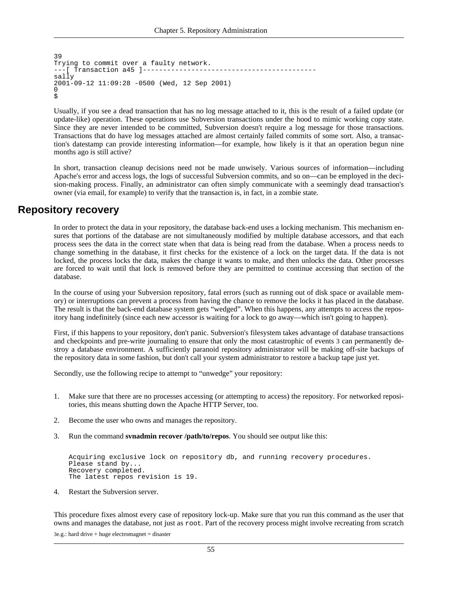```
39
Trying to commit over a faulty network.
---[ Transaction a45 ]-------------------------------------------
sally
2001-09-12 11:09:28 -0500 (Wed, 12 Sep 2001)
\cap$
```
Usually, if you see a dead transaction that has no log message attached to it, this is the result of a failed update (or update-like) operation. These operations use Subversion transactions under the hood to mimic working copy state. Since they are never intended to be committed, Subversion doesn't require a log message for those transactions. Transactions that do have log messages attached are almost certainly failed commits of some sort. Also, a transaction's datestamp can provide interesting information—for example, how likely is it that an operation begun nine months ago is still active?

In short, transaction cleanup decisions need not be made unwisely. Various sources of information—including Apache's error and access logs, the logs of successful Subversion commits, and so on—can be employed in the decision-making process. Finally, an administrator can often simply communicate with a seemingly dead transaction's owner (via email, for example) to verify that the transaction is, in fact, in a zombie state.

### **Repository recovery**

In order to protect the data in your repository, the database back-end uses a locking mechanism. This mechanism ensures that portions of the database are not simultaneously modified by multiple database accessors, and that each process sees the data in the correct state when that data is being read from the database. When a process needs to change something in the database, it first checks for the existence of a lock on the target data. If the data is not locked, the process locks the data, makes the change it wants to make, and then unlocks the data. Other processes are forced to wait until that lock is removed before they are permitted to continue accessing that section of the database.

In the course of using your Subversion repository, fatal errors (such as running out of disk space or available memory) or interruptions can prevent a process from having the chance to remove the locks it has placed in the database. The result is that the back-end database system gets "wedged". When this happens, any attempts to access the repository hang indefinitely (since each new accessor is waiting for a lock to go away—which isn't going to happen).

First, if this happens to your repository, don't panic. Subversion's filesystem takes advantage of database transactions and checkpoints and pre-write journaling to ensure that only the most catastrophic of events 3 can permanently destroy a database environment. A sufficiently paranoid repository administrator will be making off-site backups of the repository data in some fashion, but don't call your system administrator to restore a backup tape just yet.

Secondly, use the following recipe to attempt to "unwedge" your repository:

- 1. Make sure that there are no processes accessing (or attempting to access) the repository. For networked repositories, this means shutting down the Apache HTTP Server, too.
- 2. Become the user who owns and manages the repository.
- 3. Run the command **svnadmin recover /path/to/repos**. You should see output like this:

Acquiring exclusive lock on repository db, and running recovery procedures. Please stand by... Recovery completed. The latest repos revision is 19.

4. Restart the Subversion server.

This procedure fixes almost every case of repository lock-up. Make sure that you run this command as the user that owns and manages the database, not just as root. Part of the recovery process might involve recreating from scratch

3e.g.: hard drive + huge electromagnet = disaster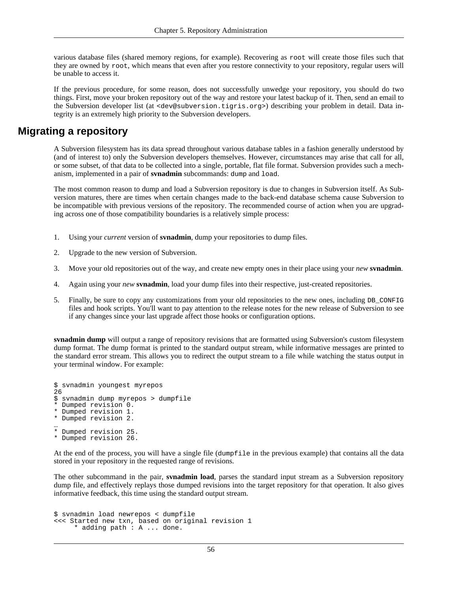various database files (shared memory regions, for example). Recovering as root will create those files such that they are owned by root, which means that even after you restore connectivity to your repository, regular users will be unable to access it.

If the previous procedure, for some reason, does not successfully unwedge your repository, you should do two things. First, move your broken repository out of the way and restore your latest backup of it. Then, send an email to the Subversion developer list (at <dev@subversion.tigris.org>) describing your problem in detail. Data integrity is an extremely high priority to the Subversion developers.

### **Migrating a repository**

A Subversion filesystem has its data spread throughout various database tables in a fashion generally understood by (and of interest to) only the Subversion developers themselves. However, circumstances may arise that call for all, or some subset, of that data to be collected into a single, portable, flat file format. Subversion provides such a mechanism, implemented in a pair of **svnadmin** subcommands: dump and load.

The most common reason to dump and load a Subversion repository is due to changes in Subversion itself. As Subversion matures, there are times when certain changes made to the back-end database schema cause Subversion to be incompatible with previous versions of the repository. The recommended course of action when you are upgrading across one of those compatibility boundaries is a relatively simple process:

- 1. Using your *current* version of **svnadmin**, dump your repositories to dump files.
- 2. Upgrade to the new version of Subversion.
- 3. Move your old repositories out of the way, and create new empty ones in their place using your *new* **svnadmin**.
- 4. Again using your *new* **svnadmin**, load your dump files into their respective, just-created repositories.
- 5. Finally, be sure to copy any customizations from your old repositories to the new ones, including DB\_CONFIG files and hook scripts. You'll want to pay attention to the release notes for the new release of Subversion to see if any changes since your last upgrade affect those hooks or configuration options.

**svnadmin dump** will output a range of repository revisions that are formatted using Subversion's custom filesystem dump format. The dump format is printed to the standard output stream, while informative messages are printed to the standard error stream. This allows you to redirect the output stream to a file while watching the status output in your terminal window. For example:

```
$ svnadmin youngest myrepos
26
$ svnadmin dump myrepos > dumpfile
* Dumped revision 0.
* Dumped revision 1.
 Dumped revision 2.
…
* Dumped revision 25.
* Dumped revision 26.
```
At the end of the process, you will have a single file (dumpfile in the previous example) that contains all the data stored in your repository in the requested range of revisions.

The other subcommand in the pair, **svnadmin load**, parses the standard input stream as a Subversion repository dump file, and effectively replays those dumped revisions into the target repository for that operation. It also gives informative feedback, this time using the standard output stream.

```
$ svnadmin load newrepos < dumpfile
<<< Started new txn, based on original revision 1
     * adding path : A ... done.
```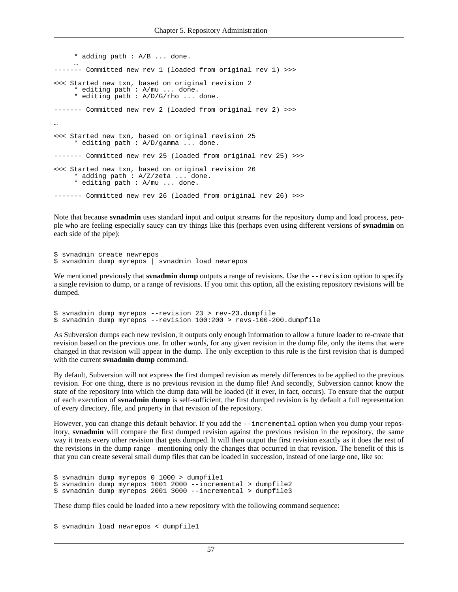```
* adding path : A/B ... done.
     …
------- Committed new rev 1 (loaded from original rev 1) >>>
<<< Started new txn, based on original revision 2
     * editing path : A/mu ... done.
     * editing path : A/D/G/rho ... done.
------- Committed new rev 2 (loaded from original rev 2) >>>
…
<<< Started new txn, based on original revision 25
     * editing path : A/D/gamma ... done.
------- Committed new rev 25 (loaded from original rev 25) >>>
<<< Started new txn, based on original revision 26
     * adding path : A/Z/zeta ... done.
     * editing path : A/mu ... done.
------- Committed new rev 26 (loaded from original rev 26) >>>
```
Note that because **svnadmin** uses standard input and output streams for the repository dump and load process, people who are feeling especially saucy can try things like this (perhaps even using different versions of **svnadmin** on each side of the pipe):

```
$ svnadmin create newrepos
$ svnadmin dump myrepos | svnadmin load newrepos
```
We mentioned previously that **svnadmin dump** outputs a range of revisions. Use the  $-\text{revision}$  option to specify a single revision to dump, or a range of revisions. If you omit this option, all the existing repository revisions will be dumped.

```
$ svnadmin dump myrepos --revision 23 > rev-23.dumpfile
$ svnadmin dump myrepos --revision 100:200 > revs-100-200.dumpfile
```
As Subversion dumps each new revision, it outputs only enough information to allow a future loader to re-create that revision based on the previous one. In other words, for any given revision in the dump file, only the items that were changed in that revision will appear in the dump. The only exception to this rule is the first revision that is dumped with the current **svnadmin dump** command.

By default, Subversion will not express the first dumped revision as merely differences to be applied to the previous revision. For one thing, there is no previous revision in the dump file! And secondly, Subversion cannot know the state of the repository into which the dump data will be loaded (if it ever, in fact, occurs). To ensure that the output of each execution of **svnadmin dump** is self-sufficient, the first dumped revision is by default a full representation of every directory, file, and property in that revision of the repository.

However, you can change this default behavior. If you add the --incremental option when you dump your repository, **svnadmin** will compare the first dumped revision against the previous revision in the repository, the same way it treats every other revision that gets dumped. It will then output the first revision exactly as it does the rest of the revisions in the dump range—mentioning only the changes that occurred in that revision. The benefit of this is that you can create several small dump files that can be loaded in succession, instead of one large one, like so:

```
$ svnadmin dump myrepos 0 1000 > dumpfile1
$ svnadmin dump myrepos 1001 2000 --incremental > dumpfile2
$ svnadmin dump myrepos 2001 3000 --incremental > dumpfile3
```
These dump files could be loaded into a new repository with the following command sequence:

```
$ svnadmin load newrepos < dumpfile1
```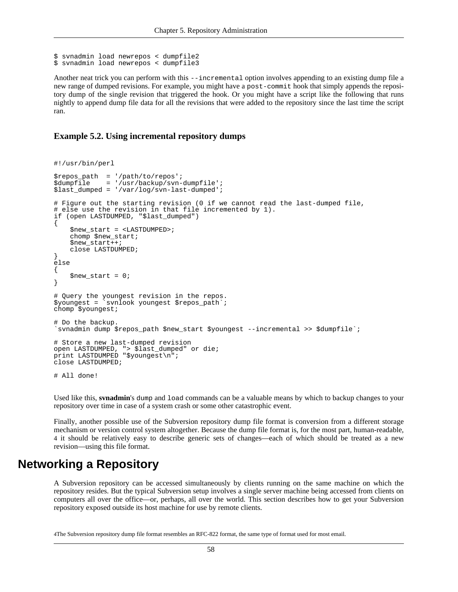```
$ svnadmin load newrepos < dumpfile2
$ svnadmin load newrepos < dumpfile3
```
Another neat trick you can perform with this --incremental option involves appending to an existing dump file a new range of dumped revisions. For example, you might have a post-commit hook that simply appends the repository dump of the single revision that triggered the hook. Or you might have a script like the following that runs nightly to append dump file data for all the revisions that were added to the repository since the last time the script ran.

#### **Example 5.2. Using incremental repository dumps**

```
#!/usr/bin/perl
$repos_path = '/path/to/repos';
             = '/usr/backup/svn-dumpfile';
$last_dumped = '/var/log/svn-last-dumped';
# Figure out the starting revision (0 if we cannot read the last-dumped file,
# else use the revision in that file incremented by 1).
if (open LASTDUMPED, "$last_dumped")
{
    $new_start = <LASTDUMPED>;
    chomp $new_start;
    $new_start++;
    close LASTDUMPED;
}
else
{
    $new\_start = 0;}
# Query the youngest revision in the repos.
$youngest = `svnlook youngest $repos_path`;
chomp $youngest;
# Do the backup.
`svnadmin dump $repos_path $new_start $youngest --incremental >> $dumpfile`;
# Store a new last-dumped revision
open LASTDUMPED, "> $last_dumped" or die;
print LASTDUMPED "$youngest\n";
close LASTDUMPED;
# All done!
```
Used like this, **svnadmin**'s dump and load commands can be a valuable means by which to backup changes to your repository over time in case of a system crash or some other catastrophic event.

Finally, another possible use of the Subversion repository dump file format is conversion from a different storage mechanism or version control system altogether. Because the dump file format is, for the most part, human-readable, 4 it should be relatively easy to describe generic sets of changes—each of which should be treated as a new revision—using this file format.

# **Networking a Repository**

A Subversion repository can be accessed simultaneously by clients running on the same machine on which the repository resides. But the typical Subversion setup involves a single server machine being accessed from clients on computers all over the office—or, perhaps, all over the world. This section describes how to get your Subversion repository exposed outside its host machine for use by remote clients.

<sup>4</sup>The Subversion repository dump file format resembles an RFC-822 format, the same type of format used for most email.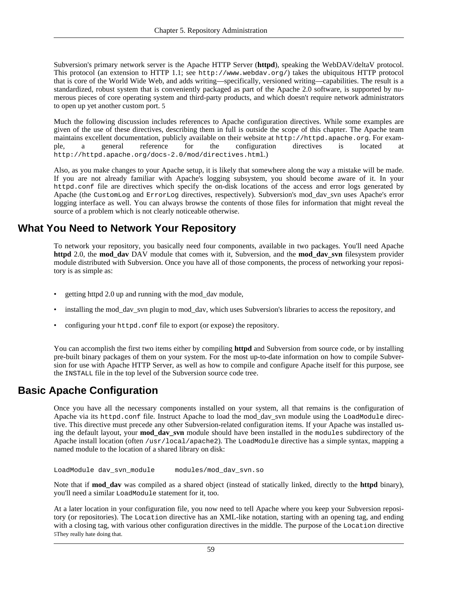Subversion's primary network server is the Apache HTTP Server (**httpd**), speaking the WebDAV/deltaV protocol. This protocol (an extension to HTTP 1.1; see http://www.webdav.org/) takes the ubiquitous HTTP protocol that is core of the World Wide Web, and adds writing—specifically, versioned writing—capabilities. The result is a standardized, robust system that is conveniently packaged as part of the Apache 2.0 software, is supported by numerous pieces of core operating system and third-party products, and which doesn't require network administrators to open up yet another custom port. 5

Much the following discussion includes references to Apache configuration directives. While some examples are given of the use of these directives, describing them in full is outside the scope of this chapter. The Apache team maintains excellent documentation, publicly available on their website at http://httpd.apache.org. For example, a general reference for the configuration directives is located at http://httpd.apache.org/docs-2.0/mod/directives.html.)

Also, as you make changes to your Apache setup, it is likely that somewhere along the way a mistake will be made. If you are not already familiar with Apache's logging subsystem, you should become aware of it. In your httpd.conf file are directives which specify the on-disk locations of the access and error logs generated by Apache (the CustomLog and ErrorLog directives, respectively). Subversion's mod\_dav\_svn uses Apache's error logging interface as well. You can always browse the contents of those files for information that might reveal the source of a problem which is not clearly noticeable otherwise.

# **What You Need to Network Your Repository**

To network your repository, you basically need four components, available in two packages. You'll need Apache **httpd** 2.0, the **mod\_dav** DAV module that comes with it, Subversion, and the **mod\_dav\_svn** filesystem provider module distributed with Subversion. Once you have all of those components, the process of networking your repository is as simple as:

- getting httpd 2.0 up and running with the mod dav module,
- installing the mod dav svn plugin to mod dav, which uses Subversion's libraries to access the repository, and
- configuring your httpd.conf file to export (or expose) the repository.

You can accomplish the first two items either by compiling **httpd** and Subversion from source code, or by installing pre-built binary packages of them on your system. For the most up-to-date information on how to compile Subversion for use with Apache HTTP Server, as well as how to compile and configure Apache itself for this purpose, see the INSTALL file in the top level of the Subversion source code tree.

# **Basic Apache Configuration**

Once you have all the necessary components installed on your system, all that remains is the configuration of Apache via its httpd.conf file. Instruct Apache to load the mod dav svn module using the LoadModule directive. This directive must precede any other Subversion-related configuration items. If your Apache was installed using the default layout, your **mod\_dav\_svn** module should have been installed in the modules subdirectory of the Apache install location (often /usr/local/apache2). The LoadModule directive has a simple syntax, mapping a named module to the location of a shared library on disk:

LoadModule dav\_svn\_module modules/mod\_dav\_svn.so

Note that if **mod\_dav** was compiled as a shared object (instead of statically linked, directly to the **httpd** binary), you'll need a similar LoadModule statement for it, too.

5They really hate doing that. At a later location in your configuration file, you now need to tell Apache where you keep your Subversion repository (or repositories). The Location directive has an XML-like notation, starting with an opening tag, and ending with a closing tag, with various other configuration directives in the middle. The purpose of the Location directive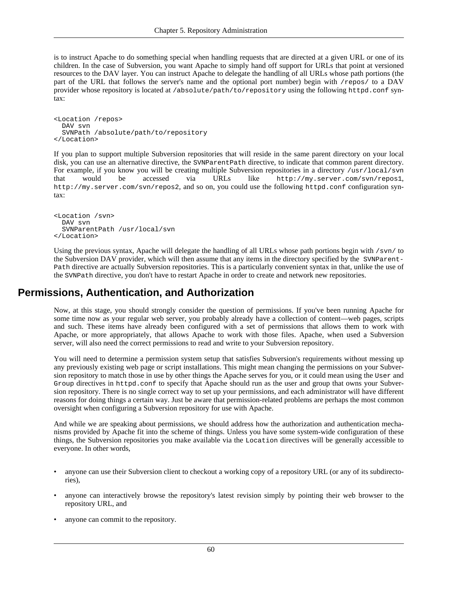is to instruct Apache to do something special when handling requests that are directed at a given URL or one of its children. In the case of Subversion, you want Apache to simply hand off support for URLs that point at versioned resources to the DAV layer. You can instruct Apache to delegate the handling of all URLs whose path portions (the part of the URL that follows the server's name and the optional port number) begin with /repos/ to a DAV provider whose repository is located at /absolute/path/to/repository using the following httpd.conf syntax:

```
<Location /repos>
 DAV svn
 SVNPath /absolute/path/to/repository
</Location>
```
If you plan to support multiple Subversion repositories that will reside in the same parent directory on your local disk, you can use an alternative directive, the SVNParentPath directive, to indicate that common parent directory. For example, if you know you will be creating multiple Subversion repositories in a directory /usr/local/svn that would be accessed via URLs like http://my.server.com/svn/repos1, http://my.server.com/svn/repos2, and so on, you could use the following httpd.conf configuration syntax:

```
<Location /svn>
 DAV svn
 SVNParentPath /usr/local/svn
</Location>
```
Using the previous syntax, Apache will delegate the handling of all URLs whose path portions begin with /svn/ to the Subversion DAV provider, which will then assume that any items in the directory specified by the SVNParent-Path directive are actually Subversion repositories. This is a particularly convenient syntax in that, unlike the use of the SVNPath directive, you don't have to restart Apache in order to create and network new repositories.

### **Permissions, Authentication, and Authorization**

Now, at this stage, you should strongly consider the question of permissions. If you've been running Apache for some time now as your regular web server, you probably already have a collection of content—web pages, scripts and such. These items have already been configured with a set of permissions that allows them to work with Apache, or more appropriately, that allows Apache to work with those files. Apache, when used a Subversion server, will also need the correct permissions to read and write to your Subversion repository.

You will need to determine a permission system setup that satisfies Subversion's requirements without messing up any previously existing web page or script installations. This might mean changing the permissions on your Subversion repository to match those in use by other things the Apache serves for you, or it could mean using the User and Group directives in httpd.conf to specify that Apache should run as the user and group that owns your Subversion repository. There is no single correct way to set up your permissions, and each administrator will have different reasons for doing things a certain way. Just be aware that permission-related problems are perhaps the most common oversight when configuring a Subversion repository for use with Apache.

And while we are speaking about permissions, we should address how the authorization and authentication mechanisms provided by Apache fit into the scheme of things. Unless you have some system-wide configuration of these things, the Subversion repositories you make available via the Location directives will be generally accessible to everyone. In other words,

- anyone can use their Subversion client to checkout a working copy of a repository URL (or any of its subdirectories)
- anyone can interactively browse the repository's latest revision simply by pointing their web browser to the repository URL, and
- anyone can commit to the repository.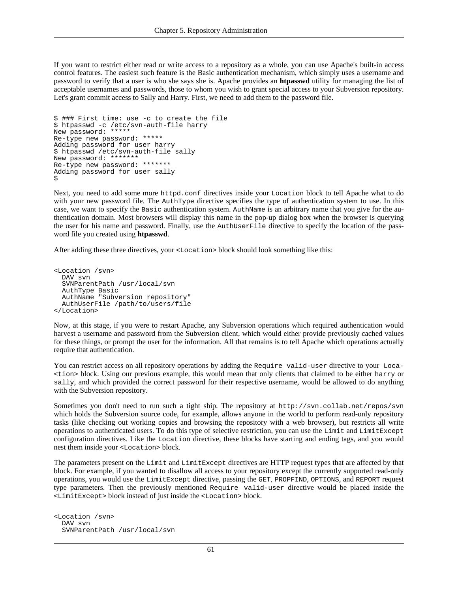If you want to restrict either read or write access to a repository as a whole, you can use Apache's built-in access control features. The easiest such feature is the Basic authentication mechanism, which simply uses a username and password to verify that a user is who she says she is. Apache provides an **htpasswd** utility for managing the list of acceptable usernames and passwords, those to whom you wish to grant special access to your Subversion repository. Let's grant commit access to Sally and Harry. First, we need to add them to the password file.

```
$ ### First time: use -c to create the file
$ htpasswd -c /etc/svn-auth-file harry
New password: *****
Re-type new password: *****
Adding password for user harry
$ htpasswd /etc/svn-auth-file sally
New password: *******
Re-type new password: *******
Adding password for user sally
$
```
Next, you need to add some more httpd.conf directives inside your Location block to tell Apache what to do with your new password file. The AuthType directive specifies the type of authentication system to use. In this case, we want to specify the Basic authentication system. AuthName is an arbitrary name that you give for the authentication domain. Most browsers will display this name in the pop-up dialog box when the browser is querying the user for his name and password. Finally, use the AuthUserFile directive to specify the location of the password file you created using **htpasswd**.

After adding these three directives, your <Location> block should look something like this:

```
<Location /svn>
 DAV svn
  SVNParentPath /usr/local/svn
 AuthType Basic
 AuthName "Subversion repository"
 AuthUserFile /path/to/users/file
</Location>
```
Now, at this stage, if you were to restart Apache, any Subversion operations which required authentication would harvest a username and password from the Subversion client, which would either provide previously cached values for these things, or prompt the user for the information. All that remains is to tell Apache which operations actually require that authentication.

You can restrict access on all repository operations by adding the Require valid-user directive to your Loca- <tion> block. Using our previous example, this would mean that only clients that claimed to be either harry or sally, and which provided the correct password for their respective username, would be allowed to do anything with the Subversion repository.

Sometimes you don't need to run such a tight ship. The repository at http://svn.collab.net/repos/svn which holds the Subversion source code, for example, allows anyone in the world to perform read-only repository tasks (like checking out working copies and browsing the repository with a web browser), but restricts all write operations to authenticated users. To do this type of selective restriction, you can use the Limit and LimitExcept configuration directives. Like the Location directive, these blocks have starting and ending tags, and you would nest them inside your <Location> block.

The parameters present on the Limit and LimitExcept directives are HTTP request types that are affected by that block. For example, if you wanted to disallow all access to your repository except the currently supported read-only operations, you would use the LimitExcept directive, passing the GET, PROPFIND, OPTIONS, and REPORT request type parameters. Then the previously mentioned Require valid-user directive would be placed inside the <LimitExcept> block instead of just inside the <Location> block.

```
<Location /svn>
 DAV svn
 SVNParentPath /usr/local/svn
```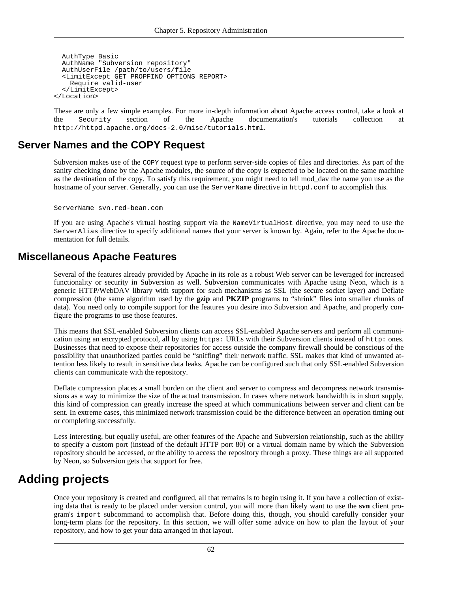```
AuthType Basic
 AuthName "Subversion repository"
 AuthUserFile /path/to/users/file
  <LimitExcept GET PROPFIND OPTIONS REPORT>
    Require valid-user
  </LimitExcept>
</Location>
```
These are only a few simple examples. For more in-depth information about Apache access control, take a look at the Security section of the Apache documentation's tutorials collection at http://httpd.apache.org/docs-2.0/misc/tutorials.html.

### **Server Names and the COPY Request**

Subversion makes use of the COPY request type to perform server-side copies of files and directories. As part of the sanity checking done by the Apache modules, the source of the copy is expected to be located on the same machine as the destination of the copy. To satisfy this requirement, you might need to tell mod\_dav the name you use as the hostname of your server. Generally, you can use the ServerName directive in httpd.conf to accomplish this.

ServerName svn.red-bean.com

If you are using Apache's virtual hosting support via the NameVirtualHost directive, you may need to use the ServerAlias directive to specify additional names that your server is known by. Again, refer to the Apache documentation for full details.

### **Miscellaneous Apache Features**

Several of the features already provided by Apache in its role as a robust Web server can be leveraged for increased functionality or security in Subversion as well. Subversion communicates with Apache using Neon, which is a generic HTTP/WebDAV library with support for such mechanisms as SSL (the secure socket layer) and Deflate compression (the same algorithm used by the **gzip** and **PKZIP** programs to "shrink" files into smaller chunks of data). You need only to compile support for the features you desire into Subversion and Apache, and properly configure the programs to use those features.

This means that SSL-enabled Subversion clients can access SSL-enabled Apache servers and perform all communication using an encrypted protocol, all by using https: URLs with their Subversion clients instead of http: ones. Businesses that need to expose their repositories for access outside the company firewall should be conscious of the possibility that unauthorized parties could be "sniffing" their network traffic. SSL makes that kind of unwanted attention less likely to result in sensitive data leaks. Apache can be configured such that only SSL-enabled Subversion clients can communicate with the repository.

Deflate compression places a small burden on the client and server to compress and decompress network transmissions as a way to minimize the size of the actual transmission. In cases where network bandwidth is in short supply, this kind of compression can greatly increase the speed at which communications between server and client can be sent. In extreme cases, this minimized network transmission could be the difference between an operation timing out or completing successfully.

Less interesting, but equally useful, are other features of the Apache and Subversion relationship, such as the ability to specify a custom port (instead of the default HTTP port 80) or a virtual domain name by which the Subversion repository should be accessed, or the ability to access the repository through a proxy. These things are all supported by Neon, so Subversion gets that support for free.

# **Adding projects**

Once your repository is created and configured, all that remains is to begin using it. If you have a collection of existing data that is ready to be placed under version control, you will more than likely want to use the **svn** client program's import subcommand to accomplish that. Before doing this, though, you should carefully consider your long-term plans for the repository. In this section, we will offer some advice on how to plan the layout of your repository, and how to get your data arranged in that layout.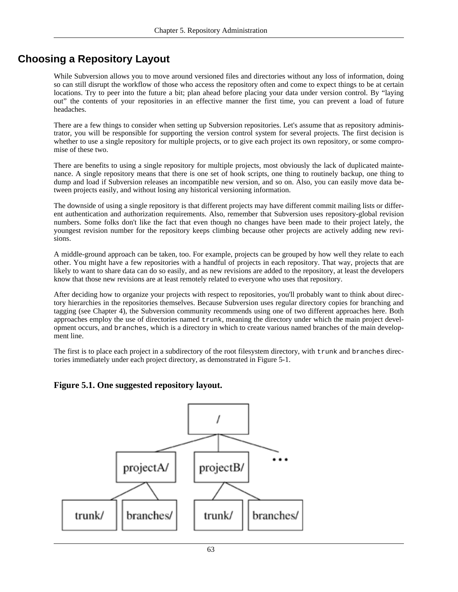# **Choosing a Repository Layout**

While Subversion allows you to move around versioned files and directories without any loss of information, doing so can still disrupt the workflow of those who access the repository often and come to expect things to be at certain locations. Try to peer into the future a bit; plan ahead before placing your data under version control. By "laying out" the contents of your repositories in an effective manner the first time, you can prevent a load of future headaches.

There are a few things to consider when setting up Subversion repositories. Let's assume that as repository administrator, you will be responsible for supporting the version control system for several projects. The first decision is whether to use a single repository for multiple projects, or to give each project its own repository, or some compromise of these two.

There are benefits to using a single repository for multiple projects, most obviously the lack of duplicated maintenance. A single repository means that there is one set of hook scripts, one thing to routinely backup, one thing to dump and load if Subversion releases an incompatible new version, and so on. Also, you can easily move data between projects easily, and without losing any historical versioning information.

The downside of using a single repository is that different projects may have different commit mailing lists or different authentication and authorization requirements. Also, remember that Subversion uses repository-global revision numbers. Some folks don't like the fact that even though no changes have been made to their project lately, the youngest revision number for the repository keeps climbing because other projects are actively adding new revisions.

A middle-ground approach can be taken, too. For example, projects can be grouped by how well they relate to each other. You might have a few repositories with a handful of projects in each repository. That way, projects that are likely to want to share data can do so easily, and as new revisions are added to the repository, at least the developers know that those new revisions are at least remotely related to everyone who uses that repository.

After deciding how to organize your projects with respect to repositories, you'll probably want to think about directory hierarchies in the repositories themselves. Because Subversion uses regular directory copies for branching and tagging (see [Chapter 4](#page--1-0)), the Subversion community recommends using one of two different approaches here. Both approaches employ the use of directories named trunk, meaning the directory under which the main project development occurs, and branches, which is a directory in which to create various named branches of the main development line.

The first is to place each project in a subdirectory of the root filesystem directory, with trunk and branches directories immediately under each project directory, as demonstrated in Figure 5-1.

### **Figure 5.1. One suggested repository layout.**

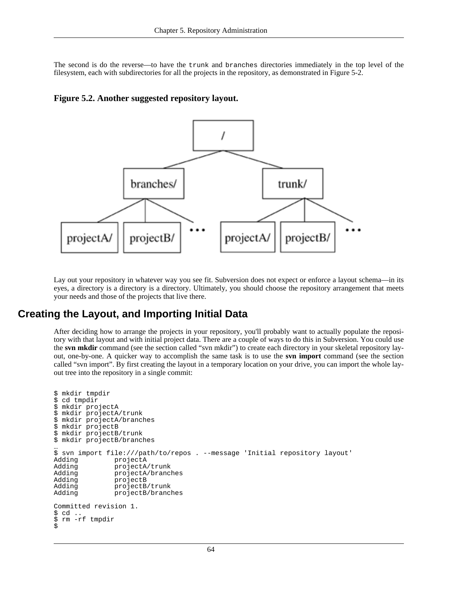The second is do the reverse—to have the trunk and branches directories immediately in the top level of the filesystem, each with subdirectories for all the projects in the repository, as demonstrated in Figure 5-2.

#### **Figure 5.2. Another suggested repository layout.**



Lay out your repository in whatever way you see fit. Subversion does not expect or enforce a layout schema—in its eyes, a directory is a directory is a directory. Ultimately, you should choose the repository arrangement that meets your needs and those of the projects that live there.

## **Creating the Layout, and Importing Initial Data**

After deciding how to arrange the projects in your repository, you'll probably want to actually populate the repository with that layout and with initial project data. There are a couple of ways to do this in Subversion. You could use the **svn mkdir** command (see [the section called "svn mkdir"](#page-38-0)) to create each directory in your skeletal repository layout, one-by-one. A quicker way to accomplish the same task is to use the **svn import** command (see [the section](#page-36-0) [called "svn import"](#page-36-0). By first creating the layout in a temporary location on your drive, you can import the whole layout tree into the repository in a single commit:

```
$ mkdir tmpdir
$ cd tmpdir<br>$ mkdir pro
  mkdir projectA
$ mkdir projectA/trunk
$ mkdir projectA/branches
$ mkdir projectB
$ mkdir projectB/trunk
$ mkdir projectB/branches
…
$ svn import file:///path/to/repos . --message 'Initial repository layout'
Adding projectA<br>Adding projectA
Adding projectA/trunk<br>Adding projectA/brancl
Adding projectA/branches<br>Adding projectB
                  projectB
Adding projectB/trunk<br>Adding projectB/brancl
                  projectB/branches
Committed revision 1.
$ cd ..
  rm -rf tmpdir
\frac{5}{5}
```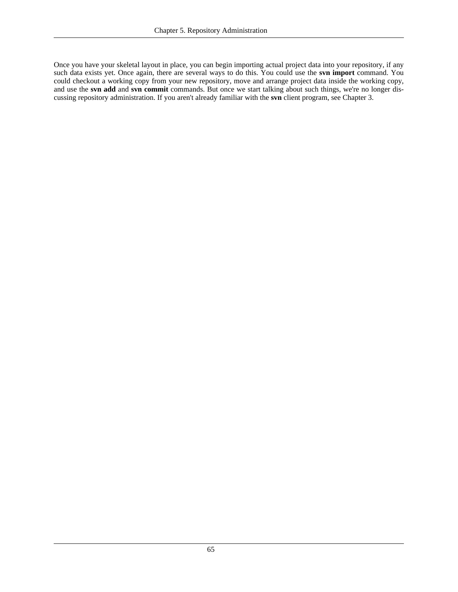Once you have your skeletal layout in place, you can begin importing actual project data into your repository, if any such data exists yet. Once again, there are several ways to do this. You could use the **svn import** command. You could checkout a working copy from your new repository, move and arrange project data inside the working copy, and use the **svn add** and **svn commit** commands. But once we start talking about such things, we're no longer discussing repository administration. If you aren't already familiar with the **svn** client program, see [Chapter 3](#page--1-0).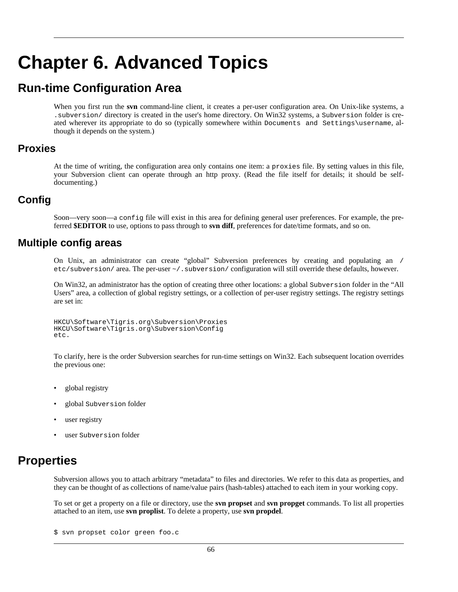# **Chapter 6. Advanced Topics**

# **Run-time Configuration Area**

When you first run the **svn** command-line client, it creates a per-user configuration area. On Unix-like systems, a .subversion/ directory is created in the user's home directory. On Win32 systems, a Subversion folder is created wherever its appropriate to do so (typically somewhere within Documents and Settings\username, although it depends on the system.)

## **Proxies**

At the time of writing, the configuration area only contains one item: a proxies file. By setting values in this file, your Subversion client can operate through an http proxy. (Read the file itself for details; it should be selfdocumenting.)

## **Config**

Soon—very soon—a config file will exist in this area for defining general user preferences. For example, the preferred **\$EDITOR** to use, options to pass through to **svn diff**, preferences for date/time formats, and so on.

## **Multiple config areas**

On Unix, an administrator can create "global" Subversion preferences by creating and populating an / etc/subversion/ area. The per-user ~/. subversion/ configuration will still override these defaults, however.

On Win32, an administrator has the option of creating three other locations: a global Subversion folder in the "All Users" area, a collection of global registry settings, or a collection of per-user registry settings. The registry settings are set in:

```
HKCU\Software\Tigris.org\Subversion\Proxies
HKCU\Software\Tigris.org\Subversion\Config
etc.
```
To clarify, here is the order Subversion searches for run-time settings on Win32. Each subsequent location overrides the previous one:

- global registry
- global Subversion folder
- user registry
- <span id="page-74-0"></span>user Subversion folder

# **Properties**

Subversion allows you to attach arbitrary "metadata" to files and directories. We refer to this data as properties, and they can be thought of as collections of name/value pairs (hash-tables) attached to each item in your working copy.

To set or get a property on a file or directory, use the **svn propset** and **svn propget** commands. To list all properties attached to an item, use **svn proplist**. To delete a property, use **svn propdel**.

```
$ svn propset color green foo.c
```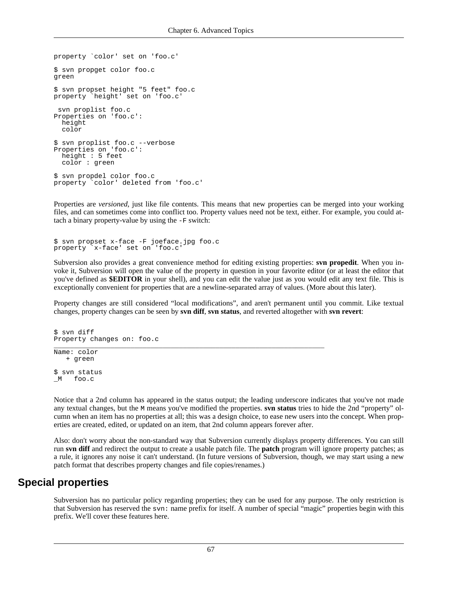```
property `color' set on 'foo.c'
$ svn propget color foo.c
green
$ svn propset height "5 feet" foo.c
property `height' set on 'foo.c'
 svn proplist foo.c
Properties on 'foo.c':
  height
  color
$ svn proplist foo.c --verbose
Properties on 'foo.c':
  height : 5 feet
  color : green
$ svn propdel color foo.c
property `color' deleted from 'foo.c'
```
Properties are *versioned*, just like file contents. This means that new properties can be merged into your working files, and can sometimes come into conflict too. Property values need not be text, either. For example, you could attach a binary property-value by using the -F switch:

```
$ svn propset x-face -F joeface.jpg foo.c
property `x-face' set on 'foo.c'
```
Subversion also provides a great convenience method for editing existing properties: **svn propedit**. When you invoke it, Subversion will open the value of the property in question in your favorite editor (or at least the editor that you've defined as **\$EDITOR** in your shell), and you can edit the value just as you would edit any text file. This is exceptionally convenient for properties that are a newline-separated array of values. (More about this later).

Property changes are still considered "local modifications", and aren't permanent until you commit. Like textual changes, property changes can be seen by **svn diff**, **svn status**, and reverted altogether with **svn revert**:

```
$ svn diff
Property changes on: foo.c
\overline{\phantom{a}} , and the contribution of the contribution of the contribution of the contribution of the contribution of the contribution of the contribution of the contribution of the contribution of the contribution of the
Name: color
      + green
$ svn status<br>M   foo.c
        _M foo.c
```
Notice that a 2nd column has appeared in the status output; the leading underscore indicates that you've not made any textual changes, but the M means you've modified the properties. **svn status** tries to hide the 2nd "property" olcumn when an item has no properties at all; this was a design choice, to ease new users into the concept. When properties are created, edited, or updated on an item, that 2nd column appears forever after.

Also: don't worry about the non-standard way that Subversion currently displays property differences. You can still run **svn diff** and redirect the output to create a usable patch file. The **patch** program will ignore property patches; as a rule, it ignores any noise it can't understand. (In future versions of Subversion, though, we may start using a new patch format that describes property changes and file copies/renames.)

## **Special properties**

Subversion has no particular policy regarding properties; they can be used for any purpose. The only restriction is that Subversion has reserved the svn: name prefix for itself. A number of special "magic" properties begin with this prefix. We'll cover these features here.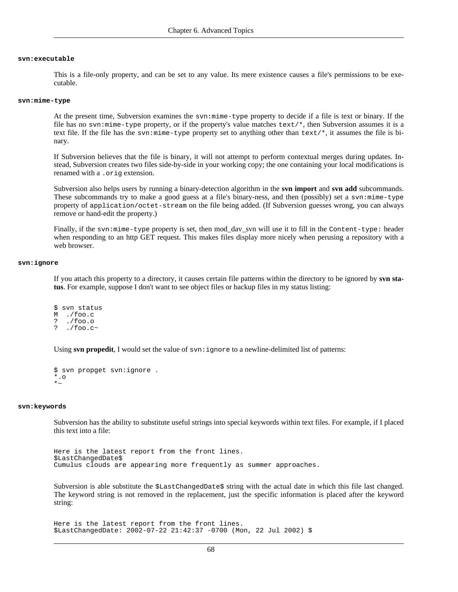#### **svn:executable**

This is a file-only property, and can be set to any value. Its mere existence causes a file's permissions to be executable.

#### **svn:mime-type**

At the present time, Subversion examines the svn:mime-type property to decide if a file is text or binary. If the file has no syn:mime-type property, or if the property's value matches  $text/*,$  then Subversion assumes it is a text file. If the file has the syn:mime-type property set to anything other than text/ $\star$ , it assumes the file is binary.

If Subversion believes that the file is binary, it will not attempt to perform contextual merges during updates. Instead, Subversion creates two files side-by-side in your working copy; the one containing your local modifications is renamed with a .orig extension.

Subversion also helps users by running a binary-detection algorithm in the **svn import** and **svn add** subcommands. These subcommands try to make a good guess at a file's binary-ness, and then (possibly) set a svn:mime-type property of application/octet-stream on the file being added. (If Subversion guesses wrong, you can always remove or hand-edit the property.)

Finally, if the svn:mime-type property is set, then mod\_dav\_svn will use it to fill in the Content-type: header when responding to an http GET request. This makes files display more nicely when perusing a repository with a web browser

#### **svn:ignore**

If you attach this property to a directory, it causes certain file patterns within the directory to be ignored by **svn status**. For example, suppose I don't want to see object files or backup files in my status listing:

\$ svn status<br>M / foo.c  $./$ foo.c ? ./foo.o  $.$ /foo.c~

Using **svn propedit**, I would set the value of svn:ignore to a newline-delimited list of patterns:

```
$ svn propget svn:ignore .
*.o
*~
```
#### **svn:keywords**

Subversion has the ability to substitute useful strings into special keywords within text files. For example, if I placed this text into a file:

Here is the latest report from the front lines. \$LastChangedDate\$ Cumulus clouds are appearing more frequently as summer approaches.

Subversion is able substitute the \$LastChangedDate\$ string with the actual date in which this file last changed. The keyword string is not removed in the replacement, just the specific information is placed after the keyword string:

```
Here is the latest report from the front lines.
$LastChangedDate: 2002-07-22 21:42:37 -0700 (Mon, 22 Jul 2002) $
```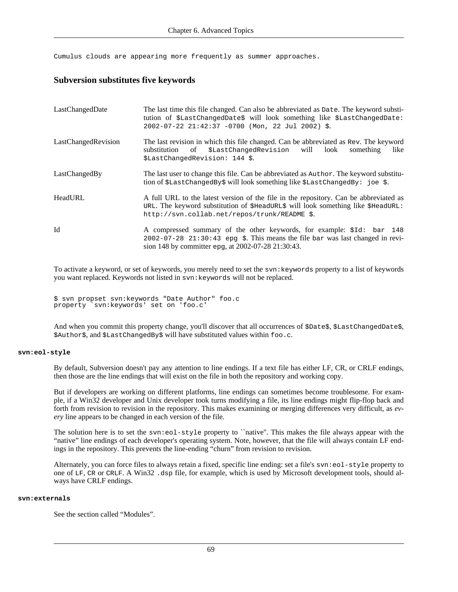Cumulus clouds are appearing more frequently as summer approaches.

#### **Subversion substitutes five keywords**

| LastChangedDate     | The last time this file changed. Can also be abbreviated as Date. The keyword substi-<br>tution of \$LastChangedDate\$ will look something like \$LastChangedDate:<br>2002-07-22 21:42:37 -0700 (Mon, 22 Jul 2002) \$.    |  |
|---------------------|---------------------------------------------------------------------------------------------------------------------------------------------------------------------------------------------------------------------------|--|
| LastChangedRevision | The last revision in which this file changed. Can be abbreviated as Rev. The keyword<br>substitution<br>\$LastChangedRevision<br>look<br>something<br>of<br>will<br>like<br>\$LastChangedRevision: 144 \$.                |  |
| LastChangedBy       | The last user to change this file. Can be abbreviated as Author. The keyword substitu-<br>tion of \$LastChangedBy\$ will look something like \$LastChangedBy: joe \$.                                                     |  |
| HeadURL             | A full URL to the latest version of the file in the repository. Can be abbreviated as<br>URL. The keyword substitution of \$HeadURL\$ will look something like \$HeadURL:<br>http://svn.collab.net/repos/trunk/README \$. |  |
| Id                  | A compressed summary of the other keywords, for example: $$Id: bar 148$<br>$2002-07-28$ 21:30:43 epg \$. This means the file bar was last changed in revi-<br>sion 148 by committer epg, at 2002-07-28 21:30:43.          |  |

To activate a keyword, or set of keywords, you merely need to set the svn:keywords property to a list of keywords you want replaced. Keywords not listed in svn:keywords will not be replaced.

\$ svn propset svn:keywords "Date Author" foo.c property `svn:keywords' set on 'foo.c'

And when you commit this property change, you'll discover that all occurrences of \$Date\$, \$LastChangedDate\$, \$Author\$, and \$LastChangedBy\$ will have substituted values within foo.c.

#### **svn:eol-style**

By default, Subversion doesn't pay any attention to line endings. If a text file has either LF, CR, or CRLF endings, then those are the line endings that will exist on the file in both the repository and working copy.

But if developers are working on different platforms, line endings can sometimes become troublesome. For example, if a Win32 developer and Unix developer took turns modifying a file, its line endings might flip-flop back and forth from revision to revision in the repository. This makes examining or merging differences very difficult, as *every* line appears to be changed in each version of the file.

The solution here is to set the svn:eol-style property to ``native''. This makes the file always appear with the "native" line endings of each developer's operating system. Note, however, that the file will always contain LF endings in the repository. This prevents the line-ending "churn" from revision to revision.

Alternately, you can force files to always retain a fixed, specific line ending: set a file's svn:eol-style property to one of LF, CR or CRLF. A Win32 .dsp file, for example, which is used by Microsoft development tools, should always have CRLF endings.

#### **svn:externals**

See [the section called "Modules"](#page-78-0).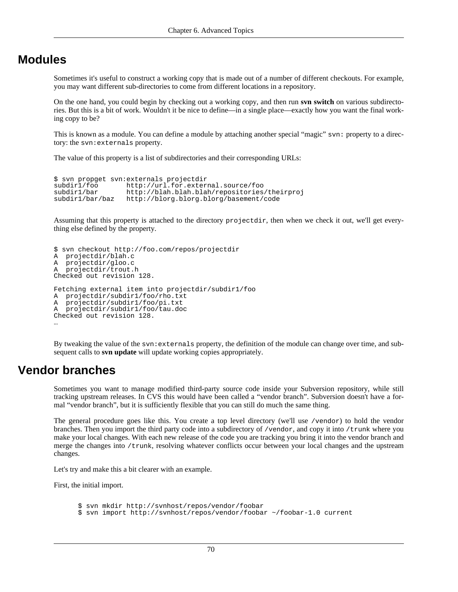## **Modules**

<span id="page-78-0"></span>Sometimes it's useful to construct a working copy that is made out of a number of different checkouts. For example, you may want different sub-directories to come from different locations in a repository.

On the one hand, you could begin by checking out a working copy, and then run **svn switch** on various subdirectories. But this is a bit of work. Wouldn't it be nice to define—in a single place—exactly how you want the final working copy to be?

This is known as a module. You can define a module by attaching another special "magic" svn: property to a directory: the svn:externals property.

The value of this property is a list of subdirectories and their corresponding URLs:

```
$ svn propget svn: externals projectdir<br>subdir1/foo http://url.for.exter
                    http://url.for.external.source/foo
subdir1/bar http://blah.blah.blah/repositories/theirproj
subdir1/bar/baz http://blorg.blorg.blorg/basement/code
```
Assuming that this property is attached to the directory projectdir, then when we check it out, we'll get everything else defined by the property.

```
$ svn checkout http://foo.com/repos/projectdir
A projectdir/blah.c
A projectdir/gloo.c
A projectdir/trout.h
Checked out revision 128.
Fetching external item into projectdir/subdir1/foo
A projectdir/subdir1/foo/rho.txt
A projectdir/subdir1/foo/pi.txt
A projectdir/subdir1/foo/tau.doc
Checked out revision 128.
…
```
By tweaking the value of the svn: externals property, the definition of the module can change over time, and subsequent calls to **svn update** will update working copies appropriately.

## **Vendor branches**

Sometimes you want to manage modified third-party source code inside your Subversion repository, while still tracking upstream releases. In CVS this would have been called a "vendor branch". Subversion doesn't have a formal "vendor branch", but it is sufficiently flexible that you can still do much the same thing.

The general procedure goes like this. You create a top level directory (we'll use /vendor) to hold the vendor branches. Then you import the third party code into a subdirectory of /vendor, and copy it into /trunk where you make your local changes. With each new release of the code you are tracking you bring it into the vendor branch and merge the changes into /trunk, resolving whatever conflicts occur between your local changes and the upstream changes.

Let's try and make this a bit clearer with an example.

First, the initial import.

```
$ svn mkdir http://svnhost/repos/vendor/foobar
```

```
$ svn import http://svnhost/repos/vendor/foobar ~/foobar-1.0 current
```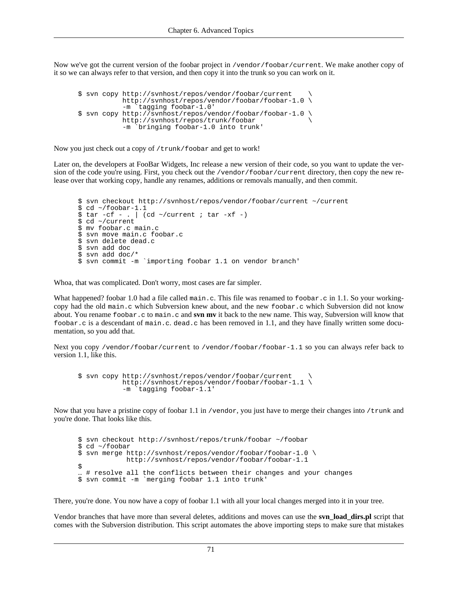Now we've got the current version of the foobar project in /vendor/foobar/current. We make another copy of it so we can always refer to that version, and then copy it into the trunk so you can work on it.

```
$ svn copy http://svnhost/repos/vendor/foobar/current \
           http://svnhost/repos/vendor/foobar/foobar-1.0 \
           -m `tagging foobar-1.0'
$ svn copy http://svnhost/repos/vendor/foobar/foobar-1.0 \
           http://svnhost/repos/trunk/foobar \
           -m `bringing foobar-1.0 into trunk'
```
Now you just check out a copy of /trunk/foobar and get to work!

Later on, the developers at FooBar Widgets, Inc release a new version of their code, so you want to update the version of the code you're using. First, you check out the /vendor/foobar/current directory, then copy the new release over that working copy, handle any renames, additions or removals manually, and then commit.

```
$ svn checkout http://svnhost/repos/vendor/foobar/current ~/current
$ cd ~ \sim /footar -1.1<br>$ tar -cf - . | ()tar -cf -. \vert (cd ~/current ; tar -xf -)
\boldsymbol{\xi}cd ~/current
$ mv foobar.c main.c
$ svn move main.c foobar.c
$ svn delete dead.c
$ svn add doc
$ svn add doc/*
$ svn commit -m `importing foobar 1.1 on vendor branch'
```
Whoa, that was complicated. Don't worry, most cases are far simpler.

What happened? foobar 1.0 had a file called main.c. This file was renamed to foobar.c in 1.1. So your workingcopy had the old main.c which Subversion knew about, and the new foobar.c which Subversion did not know about. You rename foobar.c to main.c and **svn mv** it back to the new name. This way, Subversion will know that foobar.c is a descendant of main.c. dead.c has been removed in 1.1, and they have finally written some documentation, so you add that.

Next you copy /vendor/foobar/current to /vendor/foobar/foobar-1.1 so you can always refer back to version 1.1, like this.

```
$ svn copy http://svnhost/repos/vendor/foobar/current \
           http://svnhost/repos/vendor/foobar/foobar-1.1 \
           -m `tagging foobar-1.1'
```
Now that you have a pristine copy of foobar 1.1 in /vendor, you just have to merge their changes into /trunk and you're done. That looks like this.

```
$ svn checkout http://svnhost/repos/trunk/foobar ~/foobar
$ cd ~ \sim /foot$ svn merge http://svnhost/repos/vendor/foobar/foobar-1.0 \
            http://svnhost/repos/vendor/foobar/foobar-1.1
$
 # resolve all the conflicts between their changes and your changes
$ svn commit -m `merging foobar 1.1 into trunk'
```
There, you're done. You now have a copy of foobar 1.1 with all your local changes merged into it in your tree.

Vendor branches that have more than several deletes, additions and moves can use the **svn\_load\_dirs.pl** script that comes with the Subversion distribution. This script automates the above importing steps to make sure that mistakes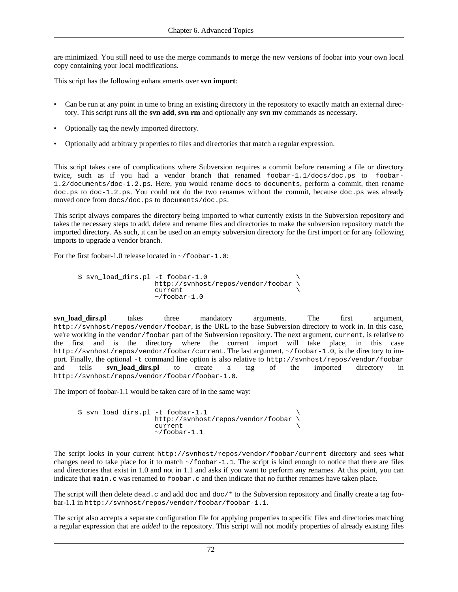are minimized. You still need to use the merge commands to merge the new versions of foobar into your own local copy containing your local modifications.

This script has the following enhancements over **svn import**:

- Can be run at any point in time to bring an existing directory in the repository to exactly match an external directory. This script runs all the **svn add**, **svn rm** and optionally any **svn mv** commands as necessary.
- Optionally tag the newly imported directory.
- Optionally add arbitrary properties to files and directories that match a regular expression.

This script takes care of complications where Subversion requires a commit before renaming a file or directory twice, such as if you had a vendor branch that renamed foobar-1.1/docs/doc.ps to foobar-1.2/documents/doc-1.2.ps. Here, you would rename docs to documents, perform a commit, then rename doc.ps to doc-1.2.ps. You could not do the two renames without the commit, because doc.ps was already moved once from docs/doc.ps to documents/doc.ps.

This script always compares the directory being imported to what currently exists in the Subversion repository and takes the necessary steps to add, delete and rename files and directories to make the subversion repository match the imported directory. As such, it can be used on an empty subversion directory for the first import or for any following imports to upgrade a vendor branch.

For the first foobar-1.0 release located in  $\sim$ /foobar-1.0:

```
$ svn_load_dirs.pl -t foobar-1.0 \
                   http://svnhost/repos/vendor/foobar \
                   current
                   \sim/foobar-1.0
```
**svn\_load\_dirs.pl** takes three mandatory arguments. The first argument, http://svnhost/repos/vendor/foobar, is the URL to the base Subversion directory to work in. In this case, we're working in the vendor/foobar part of the Subversion repository. The next argument, current, is relative to the first and is the directory where the current import will take place, in this case http://svnhost/repos/vendor/foobar/current. The last argument, ~/foobar-1.0, is the directory to import. Finally, the optional -t command line option is also relative to http://svnhost/repos/vendor/foobar and tells **svn\_load\_dirs.pl** to create a tag of the imported directory in http://svnhost/repos/vendor/foobar/foobar-1.0.

The import of foobar-1.1 would be taken care of in the same way:

\$ svn\_load\_dirs.pl -t foobar-1.1 \ http://svnhost/repos/vendor/foobar \ current  $\setminus$  $\sim$ /foobar-1.1

The script looks in your current http://svnhost/repos/vendor/foobar/current directory and sees what changes need to take place for it to match  $\sim$ /foobar-1.1. The script is kind enough to notice that there are files and directories that exist in 1.0 and not in 1.1 and asks if you want to perform any renames. At this point, you can indicate that main.c was renamed to foobar.c and then indicate that no further renames have taken place.

The script will then delete dead.c and add doc and  $\frac{d}{c}$  to the Subversion repository and finally create a tag foobar-1.1 in http://svnhost/repos/vendor/foobar/foobar-1.1.

The script also accepts a separate configuration file for applying properties to specific files and directories matching a regular expression that are *added* to the repository. This script will not modify properties of already existing files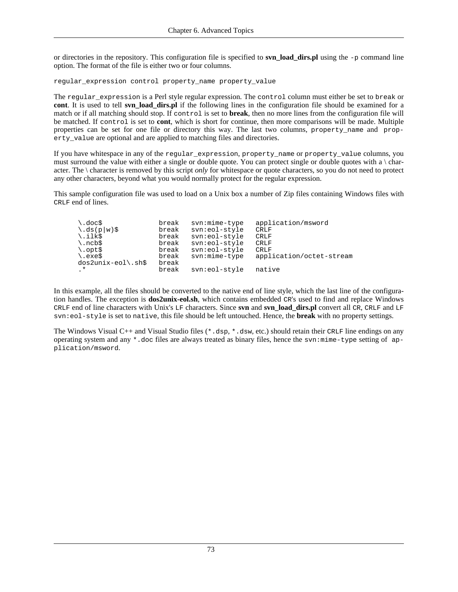or directories in the repository. This configuration file is specified to **svn\_load\_dirs.pl** using the -p command line option. The format of the file is either two or four columns.

```
regular_expression control property_name property_value
```
The regular expression is a Perl style regular expression. The control column must either be set to break or **cont**. It is used to tell **svn** load dirs.pl if the following lines in the configuration file should be examined for a match or if all matching should stop. If control is set to **break**, then no more lines from the configuration file will be matched. If control is set to **cont**, which is short for continue, then more comparisons will be made. Multiple properties can be set for one file or directory this way. The last two columns, property\_name and property value are optional and are applied to matching files and directories.

If you have whitespace in any of the regular expression, property name or property value columns, you must surround the value with either a single or double quote. You can protect single or double quotes with a  $\chi$  character. The \ character is removed by this script *only* for whitespace or quote characters, so you do not need to protect any other characters, beyond what you would normally protect for the regular expression.

This sample configuration file was used to load on a Unix box a number of Zip files containing Windows files with CRLF end of lines.

| $\backslash$ .doc\$ | break | syn:mime-type | application/msword       |
|---------------------|-------|---------------|--------------------------|
| $\cdot$ ds(p w)\$   | break | syn:eol-style | CRLF                     |
| \.ilk\$             | break | syn:eol-style | CRLF                     |
| \.ncb\$             | break | syn:eol-style | <b>CRLF</b>              |
| \.opt\$             | break | syn:eol-style | <b>CRLF</b>              |
| \.exe\$             | break | svn:mime-type | application/octet-stream |
| dos2unix-eol\.sh\$  | break |               |                          |
| $\cdot$ *           | break | svn:eol-style | native                   |
|                     |       |               |                          |

In this example, all the files should be converted to the native end of line style, which the last line of the configuration handles. The exception is **dos2unix-eol.sh**, which contains embedded CR's used to find and replace Windows CRLF end of line characters with Unix's LF characters. Since **svn** and **svn\_load\_dirs.pl** convert all CR, CRLF and LF svn:eol-style is set to native, this file should be left untouched. Hence, the **break** with no property settings.

The Windows Visual C++ and Visual Studio files  $(*.dsp, *.dsw, etc.)$  should retain their CRLF line endings on any operating system and any \*.doc files are always treated as binary files, hence the svn:mime-type setting of application/msword.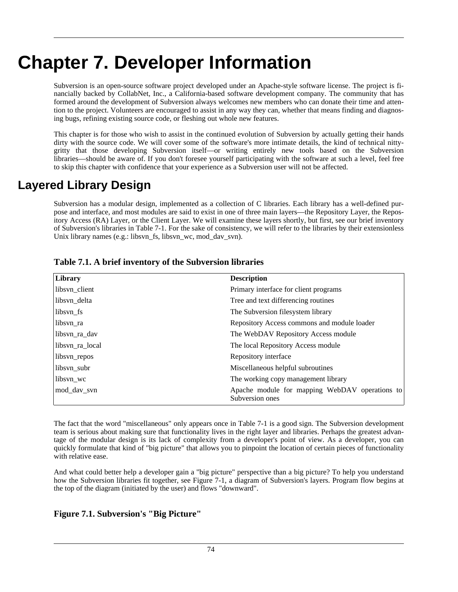# **Chapter 7. Developer Information**

Subversion is an open-source software project developed under an Apache-style software license. The project is financially backed by CollabNet, Inc., a California-based software development company. The community that has formed around the development of Subversion always welcomes new members who can donate their time and attention to the project. Volunteers are encouraged to assist in any way they can, whether that means finding and diagnosing bugs, refining existing source code, or fleshing out whole new features.

This chapter is for those who wish to assist in the continued evolution of Subversion by actually getting their hands dirty with the source code. We will cover some of the software's more intimate details, the kind of technical nittygritty that those developing Subversion itself—or writing entirely new tools based on the Subversion libraries—should be aware of. If you don't foresee yourself participating with the software at such a level, feel free to skip this chapter with confidence that your experience as a Subversion user will not be affected.

# **Layered Library Design**

Subversion has a modular design, implemented as a collection of C libraries. Each library has a well-defined purpose and interface, and most modules are said to exist in one of three main layers—the Repository Layer, the Repository Access (RA) Layer, or the Client Layer. We will examine these layers shortly, but first, see our brief inventory of Subversion's libraries in Table 7-1. For the sake of consistency, we will refer to the libraries by their extensionless Unix library names (e.g.: libsvn\_fs, libsvn\_wc, mod\_dav\_svn).

| Library         | <b>Description</b>                                                |
|-----------------|-------------------------------------------------------------------|
| libsyn_client   | Primary interface for client programs                             |
| libsyn delta    | Tree and text differencing routines                               |
| libsyn_fs       | The Subversion filesystem library                                 |
| libsyn ra       | Repository Access commons and module loader                       |
| libsvn_ra_dav   | The WebDAV Repository Access module                               |
| libsyn ra local | The local Repository Access module                                |
| libsyn repos    | Repository interface                                              |
| libsvn_subr     | Miscellaneous helpful subroutines                                 |
| libsyn wc       | The working copy management library                               |
| mod_dav_svn     | Apache module for mapping WebDAV operations to<br>Subversion ones |

### **Table 7.1. A brief inventory of the Subversion libraries**

The fact that the word "miscellaneous" only appears once in Table 7-1 is a good sign. The Subversion development team is serious about making sure that functionality lives in the right layer and libraries. Perhaps the greatest advantage of the modular design is its lack of complexity from a developer's point of view. As a developer, you can quickly formulate that kind of "big picture" that allows you to pinpoint the location of certain pieces of functionality with relative ease.

And what could better help a developer gain a "big picture" perspective than a big picture? To help you understand how the Subversion libraries fit together, see Figure 7-1, a diagram of Subversion's layers. Program flow begins at the top of the diagram (initiated by the user) and flows "downward".

## **Figure 7.1. Subversion's "Big Picture"**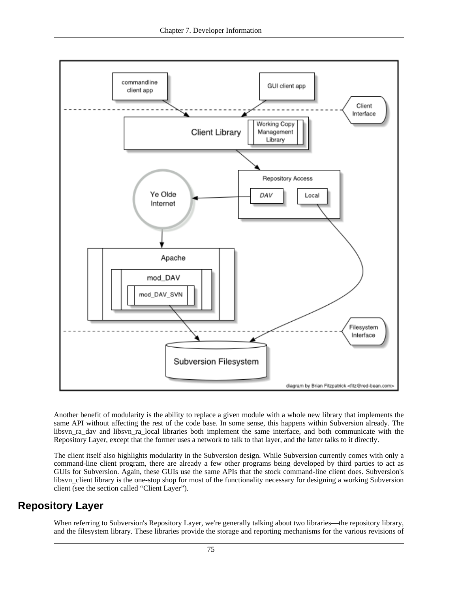

Another benefit of modularity is the ability to replace a given module with a whole new library that implements the same API without affecting the rest of the code base. In some sense, this happens within Subversion already. The libsvn\_ra\_dav and libsvn\_ra\_local libraries both implement the same interface, and both communicate with the Repository Layer, except that the former uses a network to talk to that layer, and the latter talks to it directly.

The client itself also highlights modularity in the Subversion design. While Subversion currently comes with only a command-line client program, there are already a few other programs being developed by third parties to act as GUIs for Subversion. Again, these GUIs use the same APIs that the stock command-line client does. Subversion's libsvn\_client library is the one-stop shop for most of the functionality necessary for designing a working Subversion client (see [the section called "Client Layer"](#page-90-0)).

## **Repository Layer**

When referring to Subversion's Repository Layer, we're generally talking about two libraries—the repository library, and the filesystem library. These libraries provide the storage and reporting mechanisms for the various revisions of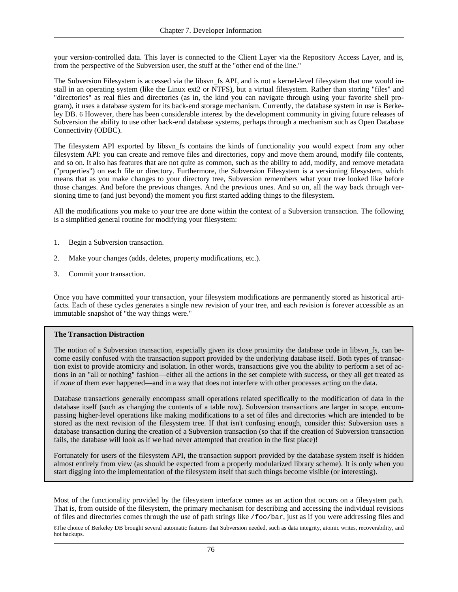your version-controlled data. This layer is connected to the Client Layer via the Repository Access Layer, and is, from the perspective of the Subversion user, the stuff at the "other end of the line."

The Subversion Filesystem is accessed via the libsvn fs API, and is not a kernel-level filesystem that one would install in an operating system (like the Linux ext2 or NTFS), but a virtual filesystem. Rather than storing "files" and "directories" as real files and directories (as in, the kind you can navigate through using your favorite shell program), it uses a database system for its back-end storage mechanism. Currently, the database system in use is Berkeley DB. 6 However, there has been considerable interest by the development community in giving future releases of Subversion the ability to use other back-end database systems, perhaps through a mechanism such as Open Database Connectivity (ODBC).

The filesystem API exported by libsvn fs contains the kinds of functionality you would expect from any other filesystem API: you can create and remove files and directories, copy and move them around, modify file contents, and so on. It also has features that are not quite as common, such as the ability to add, modify, and remove metadata ("properties") on each file or directory. Furthermore, the Subversion Filesystem is a versioning filesystem, which means that as you make changes to your directory tree, Subversion remembers what your tree looked like before those changes. And before the previous changes. And the previous ones. And so on, all the way back through versioning time to (and just beyond) the moment you first started adding things to the filesystem.

All the modifications you make to your tree are done within the context of a Subversion transaction. The following is a simplified general routine for modifying your filesystem:

- 1. Begin a Subversion transaction.
- 2. Make your changes (adds, deletes, property modifications, etc.).
- 3. Commit your transaction.

Once you have committed your transaction, your filesystem modifications are permanently stored as historical artifacts. Each of these cycles generates a single new revision of your tree, and each revision is forever accessible as an immutable snapshot of "the way things were."

#### **The Transaction Distraction**

The notion of a Subversion transaction, especially given its close proximity the database code in libsvn fs, can become easily confused with the transaction support provided by the underlying database itself. Both types of transaction exist to provide atomicity and isolation. In other words, transactions give you the ability to perform a set of actions in an "all or nothing" fashion—either all the actions in the set complete with success, or they all get treated as if *none* of them ever happened—and in a way that does not interfere with other processes acting on the data.

Database transactions generally encompass small operations related specifically to the modification of data in the database itself (such as changing the contents of a table row). Subversion transactions are larger in scope, encompassing higher-level operations like making modifications to a set of files and directories which are intended to be stored as the next revision of the filesystem tree. If that isn't confusing enough, consider this: Subversion uses a database transaction during the creation of a Subversion transaction (so that if the creation of Subversion transaction fails, the database will look as if we had never attempted that creation in the first place)!

Fortunately for users of the filesystem API, the transaction support provided by the database system itself is hidden almost entirely from view (as should be expected from a properly modularized library scheme). It is only when you start digging into the implementation of the filesystem itself that such things become visible (or interesting).

Most of the functionality provided by the filesystem interface comes as an action that occurs on a filesystem path. That is, from outside of the filesystem, the primary mechanism for describing and accessing the individual revisions of files and directories comes through the use of path strings like /foo/bar, just as if you were addressing files and

6The choice of Berkeley DB brought several automatic features that Subversion needed, such as data integrity, atomic writes, recoverability, and hot backups.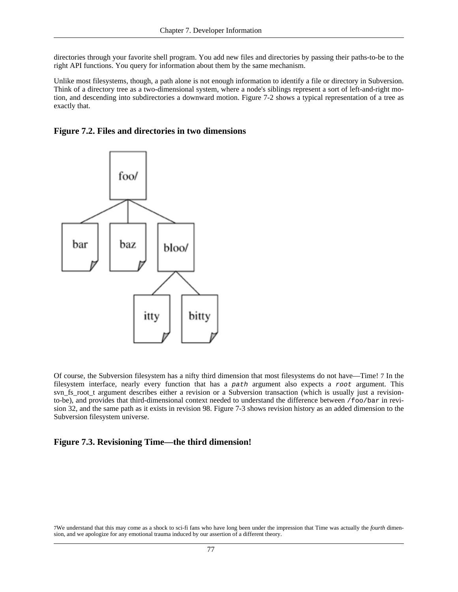directories through your favorite shell program. You add new files and directories by passing their paths-to-be to the right API functions. You query for information about them by the same mechanism.

Unlike most filesystems, though, a path alone is not enough information to identify a file or directory in Subversion. Think of a directory tree as a two-dimensional system, where a node's siblings represent a sort of left-and-right motion, and descending into subdirectories a downward motion. Figure 7-2 shows a typical representation of a tree as exactly that.





Of course, the Subversion filesystem has a nifty third dimension that most filesystems do not have—Time! 7 In the filesystem interface, nearly every function that has a path argument also expects a root argument. This svn fs root t argument describes either a revision or a Subversion transaction (which is usually just a revisionto-be), and provides that third-dimensional context needed to understand the difference between /foo/bar in revision 32, and the same path as it exists in revision 98. Figure 7-3 shows revision history as an added dimension to the Subversion filesystem universe.

#### **Figure 7.3. Revisioning Time—the third dimension!**

7We understand that this may come as a shock to sci-fi fans who have long been under the impression that Time was actually the *fourth* dimension, and we apologize for any emotional trauma induced by our assertion of a different theory.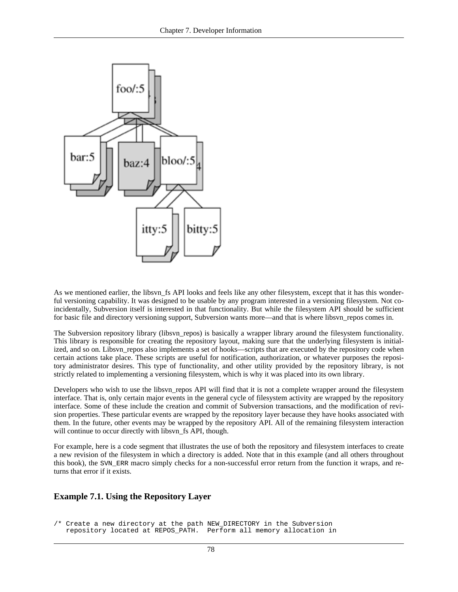

As we mentioned earlier, the libsvn\_fs API looks and feels like any other filesystem, except that it has this wonderful versioning capability. It was designed to be usable by any program interested in a versioning filesystem. Not coincidentally, Subversion itself is interested in that functionality. But while the filesystem API should be sufficient for basic file and directory versioning support, Subversion wants more—and that is where libsvn\_repos comes in.

The Subversion repository library (libsvn\_repos) is basically a wrapper library around the filesystem functionality. This library is responsible for creating the repository layout, making sure that the underlying filesystem is initialized, and so on. Libsvn\_repos also implements a set of hooks—scripts that are executed by the repository code when certain actions take place. These scripts are useful for notification, authorization, or whatever purposes the repository administrator desires. This type of functionality, and other utility provided by the repository library, is not strictly related to implementing a versioning filesystem, which is why it was placed into its own library.

Developers who wish to use the libsvn\_repos API will find that it is not a complete wrapper around the filesystem interface. That is, only certain major events in the general cycle of filesystem activity are wrapped by the repository interface. Some of these include the creation and commit of Subversion transactions, and the modification of revision properties. These particular events are wrapped by the repository layer because they have hooks associated with them. In the future, other events may be wrapped by the repository API. All of the remaining filesystem interaction will continue to occur directly with libsvn\_fs API, though.

For example, here is a code segment that illustrates the use of both the repository and filesystem interfaces to create a new revision of the filesystem in which a directory is added. Note that in this example (and all others throughout this book), the SVN\_ERR macro simply checks for a non-successful error return from the function it wraps, and returns that error if it exists.

#### **Example 7.1. Using the Repository Layer**

<sup>/\*</sup> Create a new directory at the path NEW\_DIRECTORY in the Subversion Perform all memory allocation in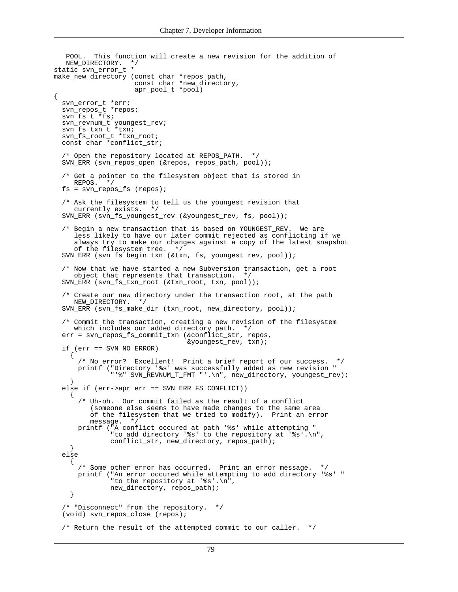```
POOL. This function will create a new revision for the addition of
  NEW_DIRECTORY. */
static svn_error t *
make_new_directory (const char *repos_path,
                   const char *new_directory,
                    apr_pool_t *pool)
{
  svn_error_t *err;
  svn_repos_t *repos;
 svn_fs_t *fs;
 svn_revnum_t youngest_rev;
 svn_fs_txn_t *txn;
 svn_fs_root_t *txn_root;
 const char *conflict_str;
  /* Open the repository located at REPOS_PATH. */
 SVN_ERR (svn_repos_open (&repos, repos_path, pool));
  /* Get a pointer to the filesystem object that is stored in
    REPOS. */
  fs = svn_repos_fs (repos);
  /* Ask the filesystem to tell us the youngest revision that
    currently exists. */
 SVN_ERR (svn_fs_youngest_rev (&youngest_rev, fs, pool));
  /* Begin a new transaction that is based on YOUNGEST_REV. We are
    less likely to have our later commit rejected as conflicting if we
     always try to make our changes against a copy of the latest snapshot
    of the filesystem tree. */
 SVN_ERR (svn_fs_begin_txn (&txn, fs, youngest_rev, pool));
  /* Now that we have started a new Subversion transaction, get a root
    object that represents that transaction. */
  SVN_ERR (svn_fs_txn_root (&txn_root, txn, pool));
  /* Create our new directory under the transaction root, at the path
    NEW DIRECTORY. */
 SVN_ERR (svn_fs_make_dir (txn_root, new_directory, pool));
  /* Commit the transaction, creating a new revision of the filesystem
    which includes our added directory path. */
  err = svn_repos_fs_commit_txn (&conflict_str, repos,
                                 &youngest_rev, txn);
 if (err == SVN_NO_ERROR)
    {
      /* No error? Excellent! Print a brief report of our success. */
      printf ("Directory '%s' was successfully added as new revision "
              "'%" SVN_REVNUM_T_FMT "'.\n", new_directory, youngest_rev);
    }
  else if (err->apr_err == SVN_ERR_FS_CONFLICT))
    {
      /* Uh-oh. Our commit failed as the result of a conflict
         (someone else seems to have made changes to the same area
         of the filesystem that we tried to modify). Print an error
         message. */
      printf ("A conflict occured at path '%s' while attempting "
              "to add directory '%s' to the repository at '%s'.\n",
              conflict_str, new_directory, repos_path);
    }
  else
    {
      /* Some other error has occurred. Print an error message. */
     printf ("An error occured while attempting to add directory '%s' "
              "to the repository at '%s'.\n",
              new_directory, repos_path);
    }
  /* "Disconnect" from the repository. */
  (void) svn_repos_close (repos);
  /* Return the result of the attempted commit to our caller. */
```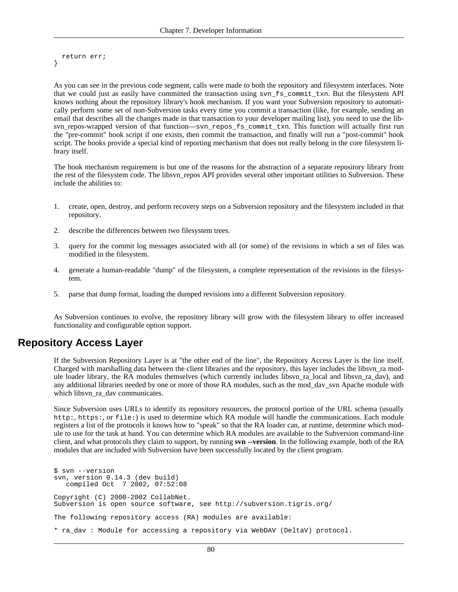```
return err;
}
```
As you can see in the previous code segment, calls were made to both the repository and filesystem interfaces. Note that we could just as easily have committed the transaction using svn\_fs\_commit\_txn. But the filesystem API knows nothing about the repository library's hook mechanism. If you want your Subversion repository to automatically perform some set of non-Subversion tasks every time you commit a transaction (like, for example, sending an email that describes all the changes made in that transaction to your developer mailing list), you need to use the libsvn\_repos-wrapped version of that function—svn\_repos\_fs\_commit\_txn. This function will actually first run the "pre-commit" hook script if one exists, then commit the transaction, and finally will run a "post-commit" hook script. The hooks provide a special kind of reporting mechanism that does not really belong in the core filesystem library itself.

The hook mechanism requirement is but one of the reasons for the abstraction of a separate repository library from the rest of the filesystem code. The libsvn repos API provides several other important utilities to Subversion. These include the abilities to:

- 1. create, open, destroy, and perform recovery steps on a Subversion repository and the filesystem included in that repository.
- 2. describe the differences between two filesystem trees.
- 3. query for the commit log messages associated with all (or some) of the revisions in which a set of files was modified in the filesystem.
- 4. generate a human-readable "dump" of the filesystem, a complete representation of the revisions in the filesystem.
- 5. parse that dump format, loading the dumped revisions into a different Subversion repository.

As Subversion continues to evolve, the repository library will grow with the filesystem library to offer increased functionality and configurable option support.

## **Repository Access Layer**

If the Subversion Repository Layer is at "the other end of the line", the Repository Access Layer is the line itself. Charged with marshalling data between the client libraries and the repository, this layer includes the libsvn\_ra module loader library, the RA modules themselves (which currently includes libsvn\_ra\_local and libsvn\_ra\_dav), and any additional libraries needed by one or more of those RA modules, such as the mod\_dav\_svn Apache module with which libsvn\_ra\_dav communicates.

Since Subversion uses URLs to identify its repository resources, the protocol portion of the URL schema (usually http:, https:, or file:) is used to determine which RA module will handle the communications. Each module registers a list of the protocols it knows how to "speak" so that the RA loader can, at runtime, determine which module to use for the task at hand. You can determine which RA modules are available to the Subversion command-line client, and what protocols they claim to support, by running **svn --version**. In the following example, both of the RA modules that are included with Subversion have been successfully located by the client program.

```
$ svn --version
svn, version 0.14.3 (dev build)
  compiled Oct 7 2002, 07:52:08
Copyright (C) 2000-2002 CollabNet.
Subversion is open source software, see http://subversion.tigris.org/
The following repository access (RA) modules are available:
* ra_dav : Module for accessing a repository via WebDAV (DeltaV) protocol.
```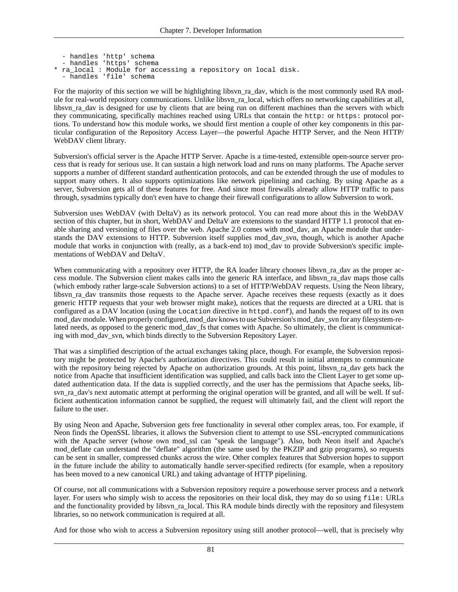| - handles 'http' schema                                      |
|--------------------------------------------------------------|
| - handles 'https' schema                                     |
| * ra local: Module for accessing a repository on local disk. |
| - handles 'file' schema                                      |

For the majority of this section we will be highlighting libsvn ra dav, which is the most commonly used RA module for real-world repository communications. Unlike libsvn\_ra\_local, which offers no networking capabilities at all, libsvn\_ra\_dav is designed for use by clients that are being run on different machines than the servers with which they communicating, specifically machines reached using URLs that contain the http: or https: protocol portions. To understand how this module works, we should first mention a couple of other key components in this particular configuration of the Repository Access Layer—the powerful Apache HTTP Server, and the Neon HTTP/ WebDAV client library.

Subversion's official server is the Apache HTTP Server. Apache is a time-tested, extensible open-source server process that is ready for serious use. It can sustain a high network load and runs on many platforms. The Apache server supports a number of different standard authentication protocols, and can be extended through the use of modules to support many others. It also supports optimizations like network pipelining and caching. By using Apache as a server, Subversion gets all of these features for free. And since most firewalls already allow HTTP traffic to pass through, sysadmins typically don't even have to change their firewall configurations to allow Subversion to work.

Subversion uses WebDAV (with DeltaV) as its network protocol. You can read more about this in the WebDAV section of this chapter, but in short, WebDAV and DeltaV are extensions to the standard HTTP 1.1 protocol that enable sharing and versioning of files over the web. Apache 2.0 comes with mod\_dav, an Apache module that understands the DAV extensions to HTTP. Subversion itself supplies mod\_dav\_svn, though, which is another Apache module that works in conjunction with (really, as a back-end to) mod\_dav to provide Subversion's specific implementations of WebDAV and DeltaV.

When communicating with a repository over HTTP, the RA loader library chooses libsvn ra dav as the proper access module. The Subversion client makes calls into the generic RA interface, and libsvn\_ra\_dav maps those calls (which embody rather large-scale Subversion actions) to a set of HTTP/WebDAV requests. Using the Neon library, libsvn ra dav transmits those requests to the Apache server. Apache receives these requests (exactly as it does generic HTTP requests that your web browser might make), notices that the requests are directed at a URL that is configured as a DAV location (using the Location directive in httpd.conf), and hands the request off to its own mod dav module. When properly configured, mod dav knows to use Subversion's mod dav svn for any filesystem-related needs, as opposed to the generic mod\_dav\_fs that comes with Apache. So ultimately, the client is communicating with mod\_dav\_svn, which binds directly to the Subversion Repository Layer.

That was a simplified description of the actual exchanges taking place, though. For example, the Subversion repository might be protected by Apache's authorization directives. This could result in initial attempts to communicate with the repository being rejected by Apache on authorization grounds. At this point, libsvn\_ra\_dav gets back the notice from Apache that insufficient identification was supplied, and calls back into the Client Layer to get some updated authentication data. If the data is supplied correctly, and the user has the permissions that Apache seeks, libsvn\_ra\_dav's next automatic attempt at performing the original operation will be granted, and all will be well. If sufficient authentication information cannot be supplied, the request will ultimately fail, and the client will report the failure to the user.

By using Neon and Apache, Subversion gets free functionality in several other complex areas, too. For example, if Neon finds the OpenSSL libraries, it allows the Subversion client to attempt to use SSL-encrypted communications with the Apache server (whose own mod\_ssl can "speak the language"). Also, both Neon itself and Apache's mod\_deflate can understand the "deflate" algorithm (the same used by the PKZIP and gzip programs), so requests can be sent in smaller, compressed chunks across the wire. Other complex features that Subversion hopes to support in the future include the ability to automatically handle server-specified redirects (for example, when a repository has been moved to a new canonical URL) and taking advantage of HTTP pipelining.

Of course, not all communications with a Subversion repository require a powerhouse server process and a network layer. For users who simply wish to access the repositories on their local disk, they may do so using file: URLs and the functionality provided by libsvn\_ra\_local. This RA module binds directly with the repository and filesystem libraries, so no network communication is required at all.

And for those who wish to access a Subversion repository using still another protocol—well, that is precisely why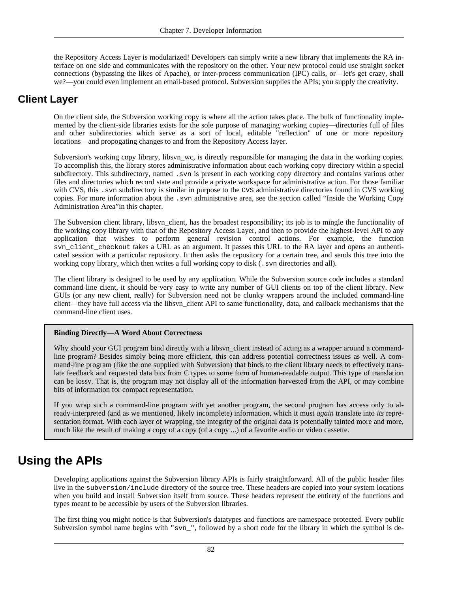<span id="page-90-0"></span>the Repository Access Layer is modularized! Developers can simply write a new library that implements the RA interface on one side and communicates with the repository on the other. Your new protocol could use straight socket connections (bypassing the likes of Apache), or inter-process communication (IPC) calls, or—let's get crazy, shall we?—you could even implement an email-based protocol. Subversion supplies the APIs; you supply the creativity.

## **Client Layer**

On the client side, the Subversion working copy is where all the action takes place. The bulk of functionality implemented by the client-side libraries exists for the sole purpose of managing working copies—directories full of files and other subdirectories which serve as a sort of local, editable "reflection" of one or more repository locations—and propogating changes to and from the Repository Access layer.

Subversion's working copy library, libsvn wc, is directly responsible for managing the data in the working copies. To accomplish this, the library stores administrative information about each working copy directory within a special subdirectory. This subdirectory, named . svn is present in each working copy directory and contains various other files and directories which record state and provide a private workspace for administrative action. For those familiar with CVS, this . svn subdirectory is similar in purpose to the CVS administrative directories found in CVS working copies. For more information about the .svn administrative area, see [the section called "Inside the Working Copy](#page-93-0) [Administration Area"](#page-93-0)in this chapter.

The Subversion client library, libsvn\_client, has the broadest responsibility; its job is to mingle the functionality of the working copy library with that of the Repository Access Layer, and then to provide the highest-level API to any application that wishes to perform general revision control actions. For example, the function svn\_client\_checkout takes a URL as an argument. It passes this URL to the RA layer and opens an authenticated session with a particular repository. It then asks the repository for a certain tree, and sends this tree into the working copy library, which then writes a full working copy to disk (. svn directories and all).

The client library is designed to be used by any application. While the Subversion source code includes a standard command-line client, it should be very easy to write any number of GUI clients on top of the client library. New GUIs (or any new client, really) for Subversion need not be clunky wrappers around the included command-line client—they have full access via the libsvn\_client API to same functionality, data, and callback mechanisms that the command-line client uses.

#### **Binding Directly—A Word About Correctness**

Why should your GUI program bind directly with a libsvn\_client instead of acting as a wrapper around a commandline program? Besides simply being more efficient, this can address potential correctness issues as well. A command-line program (like the one supplied with Subversion) that binds to the client library needs to effectively translate feedback and requested data bits from C types to some form of human-readable output. This type of translation can be lossy. That is, the program may not display all of the information harvested from the API, or may combine bits of information for compact representation.

If you wrap such a command-line program with yet another program, the second program has access only to already-interpreted (and as we mentioned, likely incomplete) information, which it must *again* translate into *its* representation format. With each layer of wrapping, the integrity of the original data is potentially tainted more and more, much like the result of making a copy of a copy (of a copy ...) of a favorite audio or video cassette.

# **Using the APIs**

Developing applications against the Subversion library APIs is fairly straightforward. All of the public header files live in the subversion/include directory of the source tree. These headers are copied into your system locations when you build and install Subversion itself from source. These headers represent the entirety of the functions and types meant to be accessible by users of the Subversion libraries.

The first thing you might notice is that Subversion's datatypes and functions are namespace protected. Every public Subversion symbol name begins with "svn\_", followed by a short code for the library in which the symbol is de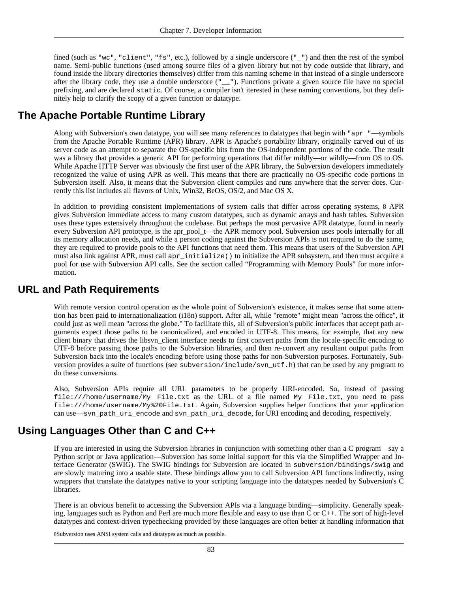fined (such as "wc", "client", "fs", etc.), followed by a single underscore  $(\lceil \cdot \rceil)$  and then the rest of the symbol name. Semi-public functions (used among source files of a given library but not by code outside that library, and found inside the library directories themselves) differ from this naming scheme in that instead of a single underscore after the library code, they use a double underscore ("\_\_"). Functions private a given source file have no special prefixing, and are declared static. Of course, a compiler isn't iterested in these naming conventions, but they definitely help to clarify the scopy of a given function or datatype.

## **The Apache Portable Runtime Library**

Along with Subversion's own datatype, you will see many references to datatypes that begin with "apr\_"—symbols from the Apache Portable Runtime (APR) library. APR is Apache's portability library, originally carved out of its server code as an attempt to separate the OS-specific bits from the OS-independent portions of the code. The result was a library that provides a generic API for performing operations that differ mildly—or wildly—from OS to OS. While Apache HTTP Server was obviously the first user of the APR library, the Subversion developers immediately recognized the value of using APR as well. This means that there are practically no OS-specific code portions in Subversion itself. Also, it means that the Subversion client compiles and runs anywhere that the server does. Currently this list includes all flavors of Unix, Win32, BeOS, OS/2, and Mac OS X.

In addition to providing consistent implementations of system calls that differ across operating systems, 8 APR gives Subversion immediate access to many custom datatypes, such as dynamic arrays and hash tables. Subversion uses these types extensively throughout the codebase. But perhaps the most pervasive APR datatype, found in nearly every Subversion API prototype, is the apr\_pool\_t—the APR memory pool. Subversion uses pools internally for all its memory allocation needs, and while a person coding against the Subversion APIs is not required to do the same, they are required to provide pools to the API functions that need them. This means that users of the Subversion API must also link against APR, must call apr\_initialize() to initialize the APR subsystem, and then must acquire a pool for use with Subversion API calls. See [the section called "Programming with Memory Pools"](#page-96-0) for more information.

## **URL and Path Requirements**

With remote version control operation as the whole point of Subversion's existence, it makes sense that some attention has been paid to internationalization (i18n) support. After all, while "remote" might mean "across the office", it could just as well mean "across the globe." To facilitate this, all of Subversion's public interfaces that accept path arguments expect those paths to be canonicalized, and encoded in UTF-8. This means, for example, that any new client binary that drives the libsvn\_client interface needs to first convert paths from the locale-specific encoding to UTF-8 before passing those paths to the Subversion libraries, and then re-convert any resultant output paths from Subversion back into the locale's encoding before using those paths for non-Subversion purposes. Fortunately, Subversion provides a suite of functions (see subversion/include/svn\_utf.h) that can be used by any program to do these conversions.

Also, Subversion APIs require all URL parameters to be properly URI-encoded. So, instead of passing  $file://home/username/My File.txt$  as the URL of a file named My File.txt, you need to pass file:///home/username/My%20File.txt. Again, Subversion supplies helper functions that your application can use—svn\_path\_uri\_encode and svn\_path\_uri\_decode, for URI encoding and decoding, respectively.

## **Using Languages Other than C and C++**

If you are interested in using the Subversion libraries in conjunction with something other than a C program—say a Python script or Java application—Subversion has some initial support for this via the Simplified Wrapper and Interface Generator (SWIG). The SWIG bindings for Subversion are located in subversion/bindings/swig and are slowly maturing into a usable state. These bindings allow you to call Subversion API functions indirectly, using wrappers that translate the datatypes native to your scripting language into the datatypes needed by Subversion's C libraries.

There is an obvious benefit to accessing the Subversion APIs via a language binding—simplicity. Generally speaking, languages such as Python and Perl are much more flexible and easy to use than C or C++. The sort of high-level datatypes and context-driven typechecking provided by these languages are often better at handling information that

8Subversion uses ANSI system calls and datatypes as much as possible.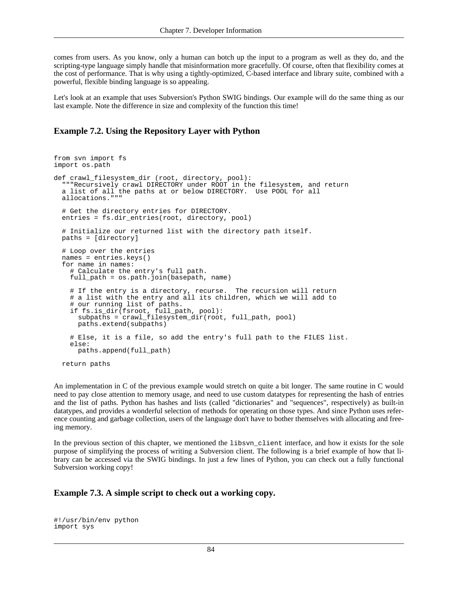comes from users. As you know, only a human can botch up the input to a program as well as they do, and the scripting-type language simply handle that misinformation more gracefully. Of course, often that flexibility comes at the cost of performance. That is why using a tightly-optimized, C-based interface and library suite, combined with a powerful, flexible binding language is so appealing.

Let's look at an example that uses Subversion's Python SWIG bindings. Our example will do the same thing as our last example. Note the difference in size and complexity of the function this time!

#### **Example 7.2. Using the Repository Layer with Python**

```
from svn import fs
import os.path
def crawl_filesystem_dir (root, directory, pool):
  """Recursively crawl DIRECTORY under ROOT in the filesystem, and return
  a list of all the paths at or below DIRECTORY. Use POOL for all
 allocations."""
  # Get the directory entries for DIRECTORY.
 entries = fs.dir_entries(root, directory, pool)
  # Initialize our returned list with the directory path itself.
 paths = [directory]
  # Loop over the entries
 names = entries.keys()
  for name in names:
    # Calculate the entry's full path.
    full_path = os.path.join(basepath, name)
    # If the entry is a directory, recurse. The recursion will return
    # a list with the entry and all its children, which we will add to
    # our running list of paths.
    if fs.is_dir(fsroot, full_path, pool):
      subpaths = crawl_filesystem_dir(root, full_path, pool)
     paths.extend(subpaths)
    # Else, it is a file, so add the entry's full path to the FILES list.
    else:
     paths.append(full_path)
 return paths
```
An implementation in C of the previous example would stretch on quite a bit longer. The same routine in C would need to pay close attention to memory usage, and need to use custom datatypes for representing the hash of entries and the list of paths. Python has hashes and lists (called "dictionaries" and "sequences", respectively) as built-in datatypes, and provides a wonderful selection of methods for operating on those types. And since Python uses reference counting and garbage collection, users of the language don't have to bother themselves with allocating and freeing memory.

In the previous section of this chapter, we mentioned the libsvn\_client interface, and how it exists for the sole purpose of simplifying the process of writing a Subversion client. The following is a brief example of how that library can be accessed via the SWIG bindings. In just a few lines of Python, you can check out a fully functional Subversion working copy!

#### **Example 7.3. A simple script to check out a working copy.**

#!/usr/bin/env python import sys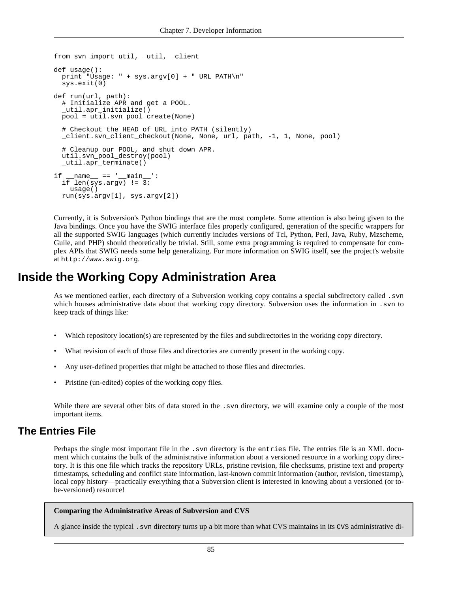```
from svn import util, _util, _client
def usage():
  print "Usage: " + sys.argv[0] + " URL PATH\n"
  sys.exit(0)
def run(url, path):
  # Initialize APR and get a POOL.
  _util.apr_initialize()
  pool = util.svn_pool_create(None)
  # Checkout the HEAD of URL into PATH (silently)
  _client.svn_client_checkout(None, None, url, path, -1, 1, None, pool)
  # Cleanup our POOL, and shut down APR.
  util.svn_pool_destroy(pool)
  _util.apr_terminate()
if __name__ == '__main__if len(sys.argv) != 3:
    usage()
  run(sys.argv[1], sys.argv[2])
```
Currently, it is Subversion's Python bindings that are the most complete. Some attention is also being given to the Java bindings. Once you have the SWIG interface files properly configured, generation of the specific wrappers for all the supported SWIG languages (which currently includes versions of Tcl, Python, Perl, Java, Ruby, Mzscheme, Guile, and PHP) should theoretically be trivial. Still, some extra programming is required to compensate for complex APIs that SWIG needs some help generalizing. For more information on SWIG itself, see the project's website at http://www.swig.org.

# **Inside the Working Copy Administration Area**

<span id="page-93-0"></span>As we mentioned earlier, each directory of a Subversion working copy contains a special subdirectory called .svn which houses administrative data about that working copy directory. Subversion uses the information in .svn to keep track of things like:

- Which repository location(s) are represented by the files and subdirectories in the working copy directory.
- What revision of each of those files and directories are currently present in the working copy.
- Any user-defined properties that might be attached to those files and directories.
- Pristine (un-edited) copies of the working copy files.

While there are several other bits of data stored in the . svn directory, we will examine only a couple of the most important items.

## **The Entries File**

Perhaps the single most important file in the .svn directory is the entries file. The entries file is an XML document which contains the bulk of the administrative information about a versioned resource in a working copy directory. It is this one file which tracks the repository URLs, pristine revision, file checksums, pristine text and property timestamps, scheduling and conflict state information, last-known commit information (author, revision, timestamp), local copy history—practically everything that a Subversion client is interested in knowing about a versioned (or tobe-versioned) resource!

#### **Comparing the Administrative Areas of Subversion and CVS**

A glance inside the typical .svn directory turns up a bit more than what CVS maintains in its CVS administrative di-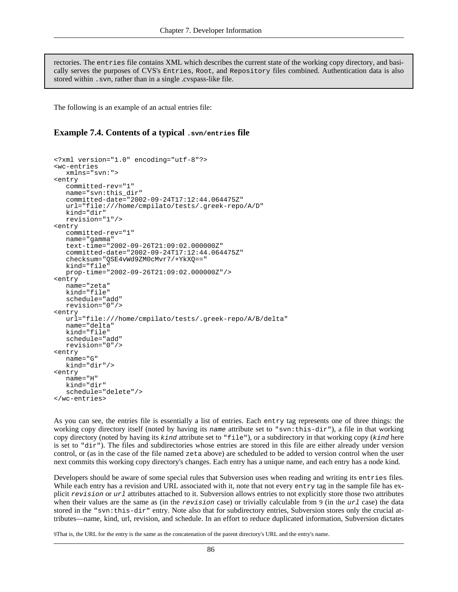rectories. The entries file contains XML which describes the current state of the working copy directory, and basically serves the purposes of CVS's Entries, Root, and Repository files combined. Authentication data is also stored within .svn, rather than in a single .cvspass-like file.

The following is an example of an actual entries file:

#### **Example 7.4. Contents of a typical .svn/entries file**

```
<?xml version="1.0" encoding="utf-8"?>
<wc-entries
  xmlns="svn:">
<entry
  committed-rev="1"
   name="svn:this_dir"
  committed-date="2002-09-24T17:12:44.064475Z"
   url="file:///home/cmpilato/tests/.greek-repo/A/D"
   kind="dir"
  revision="1"/>
<entry
   committed-rev="1"
  name="gamma"
   text-time="2002-09-26T21:09:02.000000Z"
   committed-date="2002-09-24T17:12:44.064475Z"
   checksum="QSE4vWd9ZM0cMvr7/+YkXQ=="
  kind="file"
  prop-time="2002-09-26T21:09:02.000000Z"/>
<entry
  name="zeta"
   kind="file"
  schedule="add"
  revision="0"/>
<entry
   url="file:///home/cmpilato/tests/.greek-repo/A/B/delta"
  name="delta"
  kind="file"
   schedule="add"
  revision="0"/>
<entry
  name="G"
  kind="dir"/>
<entry
  name="H"
  kind="dir"
   schedule="delete"/>
</wc-entries>
```
As you can see, the entries file is essentially a list of entries. Each entry tag represents one of three things: the working copy directory itself (noted by having its name attribute set to "svn:this-dir"), a file in that working copy directory (noted by having its kind attribute set to "file"), or a subdirectory in that working copy (kind here is set to "dir"). The files and subdirectories whose entries are stored in this file are either already under version control, or (as in the case of the file named zeta above) are scheduled to be added to version control when the user next commits this working copy directory's changes. Each entry has a unique name, and each entry has a node kind.

Developers should be aware of some special rules that Subversion uses when reading and writing its entries files. While each entry has a revision and URL associated with it, note that not every entry tag in the sample file has explicit revision or url attributes attached to it. Subversion allows entries to not explicitly store those two attributes when their values are the same as (in the revision case) or trivially calculable from 9 (in the  $url$  case) the data stored in the "svn:this-dir" entry. Note also that for subdirectory entries, Subversion stores only the crucial attributes—name, kind, url, revision, and schedule. In an effort to reduce duplicated information, Subversion dictates

9That is, the URL for the entry is the same as the concatenation of the parent directory's URL and the entry's name.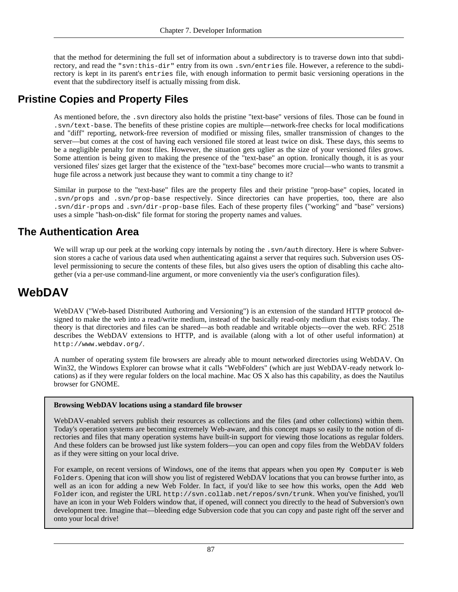that the method for determining the full set of information about a subdirectory is to traverse down into that subdirectory, and read the "svn:this-dir" entry from its own .svn/entries file. However, a reference to the subdirectory is kept in its parent's entries file, with enough information to permit basic versioning operations in the event that the subdirectory itself is actually missing from disk.

## **Pristine Copies and Property Files**

As mentioned before, the .svn directory also holds the pristine "text-base" versions of files. Those can be found in .svn/text-base. The benefits of these pristine copies are multiple—network-free checks for local modifications and "diff" reporting, network-free reversion of modified or missing files, smaller transmission of changes to the server—but comes at the cost of having each versioned file stored at least twice on disk. These days, this seems to be a negligible penalty for most files. However, the situation gets uglier as the size of your versioned files grows. Some attention is being given to making the presence of the "text-base" an option. Ironically though, it is as your versioned files' sizes get larger that the existence of the "text-base" becomes more crucial—who wants to transmit a huge file across a network just because they want to commit a tiny change to it?

Similar in purpose to the "text-base" files are the property files and their pristine "prop-base" copies, located in .svn/props and .svn/prop-base respectively. Since directories can have properties, too, there are also .svn/dir-props and .svn/dir-prop-base files. Each of these property files ("working" and "base" versions) uses a simple "hash-on-disk" file format for storing the property names and values.

## **The Authentication Area**

We will wrap up our peek at the working copy internals by noting the .svn/auth directory. Here is where Subversion stores a cache of various data used when authenticating against a server that requires such. Subversion uses OSlevel permissioning to secure the contents of these files, but also gives users the option of disabling this cache altogether (via a per-use command-line argument, or more conveniently via the user's configuration files).

# **WebDAV**

WebDAV ("Web-based Distributed Authoring and Versioning") is an extension of the standard HTTP protocol designed to make the web into a read/write medium, instead of the basically read-only medium that exists today. The theory is that directories and files can be shared—as both readable and writable objects—over the web. RFC 2518 describes the WebDAV extensions to HTTP, and is available (along with a lot of other useful information) at http://www.webdav.org/.

A number of operating system file browsers are already able to mount networked directories using WebDAV. On Win32, the Windows Explorer can browse what it calls "WebFolders" (which are just WebDAV-ready network locations) as if they were regular folders on the local machine. Mac OS X also has this capability, as does the Nautilus browser for GNOME.

#### **Browsing WebDAV locations using a standard file browser**

WebDAV-enabled servers publish their resources as collections and the files (and other collections) within them. Today's operation systems are becoming extremely Web-aware, and this concept maps so easily to the notion of directories and files that many operation systems have built-in support for viewing those locations as regular folders. And these folders can be browsed just like system folders—you can open and copy files from the WebDAV folders as if they were sitting on your local drive.

For example, on recent versions of Windows, one of the items that appears when you open My Computer is Web Folders. Opening that icon will show you list of registered WebDAV locations that you can browse further into, as well as an icon for adding a new Web Folder. In fact, if you'd like to see how this works, open the Add Web Folder icon, and register the URL http://svn.collab.net/repos/svn/trunk. When you've finished, you'll have an icon in your Web Folders window that, if opened, will connect you directly to the head of Subversion's own development tree. Imagine that—bleeding edge Subversion code that you can copy and paste right off the server and onto your local drive!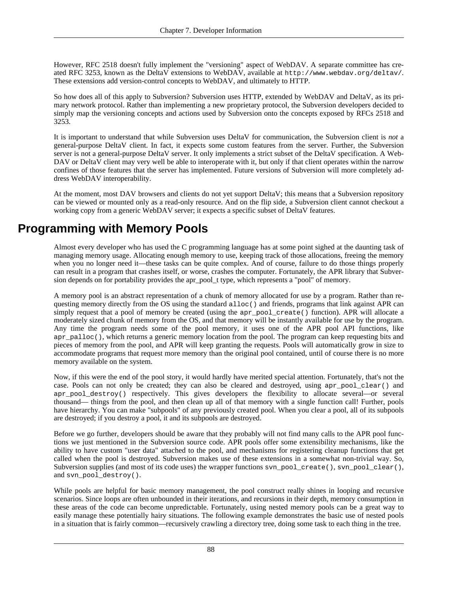However, RFC 2518 doesn't fully implement the "versioning" aspect of WebDAV. A separate committee has created RFC 3253, known as the DeltaV extensions to WebDAV, available at http://www.webdav.org/deltav/. These extensions add version-control concepts to WebDAV, and ultimately to HTTP.

So how does all of this apply to Subversion? Subversion uses HTTP, extended by WebDAV and DeltaV, as its primary network protocol. Rather than implementing a new proprietary protocol, the Subversion developers decided to simply map the versioning concepts and actions used by Subversion onto the concepts exposed by RFCs 2518 and 3253.

It is important to understand that while Subversion uses DeltaV for communication, the Subversion client is *not* a general-purpose DeltaV client. In fact, it expects some custom features from the server. Further, the Subversion server is not a general-purpose DeltaV server. It only implements a strict subset of the DeltaV specification. A Web-DAV or DeltaV client may very well be able to interoperate with it, but only if that client operates within the narrow confines of those features that the server has implemented. Future versions of Subversion will more completely address WebDAV interoperability.

<span id="page-96-0"></span>At the moment, most DAV browsers and clients do not yet support DeltaV; this means that a Subversion repository can be viewed or mounted only as a read-only resource. And on the flip side, a Subversion client cannot checkout a working copy from a generic WebDAV server; it expects a specific subset of DeltaV features.

# **Programming with Memory Pools**

Almost every developer who has used the C programming language has at some point sighed at the daunting task of managing memory usage. Allocating enough memory to use, keeping track of those allocations, freeing the memory when you no longer need it—these tasks can be quite complex. And of course, failure to do those things properly can result in a program that crashes itself, or worse, crashes the computer. Fortunately, the APR library that Subversion depends on for portability provides the apr\_pool\_t type, which represents a "pool" of memory.

A memory pool is an abstract representation of a chunk of memory allocated for use by a program. Rather than requesting memory directly from the OS using the standard alloc() and friends, programs that link against APR can simply request that a pool of memory be created (using the apr\_pool\_create() function). APR will allocate a moderately sized chunk of memory from the OS, and that memory will be instantly available for use by the program. Any time the program needs some of the pool memory, it uses one of the APR pool API functions, like apr\_palloc(), which returns a generic memory location from the pool. The program can keep requesting bits and pieces of memory from the pool, and APR will keep granting the requests. Pools will automatically grow in size to accommodate programs that request more memory than the original pool contained, until of course there is no more memory available on the system.

Now, if this were the end of the pool story, it would hardly have merited special attention. Fortunately, that's not the case. Pools can not only be created; they can also be cleared and destroyed, using apr\_pool\_clear() and apr\_pool\_destroy() respectively. This gives developers the flexibility to allocate several—or several thousand— things from the pool, and then clean up all of that memory with a single function call! Further, pools have hierarchy. You can make "subpools" of any previously created pool. When you clear a pool, all of its subpools are destroyed; if you destroy a pool, it and its subpools are destroyed.

Before we go further, developers should be aware that they probably will not find many calls to the APR pool functions we just mentioned in the Subversion source code. APR pools offer some extensibility mechanisms, like the ability to have custom "user data" attached to the pool, and mechanisms for registering cleanup functions that get called when the pool is destroyed. Subversion makes use of these extensions in a somewhat non-trivial way. So, Subversion supplies (and most of its code uses) the wrapper functions svn\_pool\_create(), svn\_pool\_clear(), and svn\_pool\_destroy().

While pools are helpful for basic memory management, the pool construct really shines in looping and recursive scenarios. Since loops are often unbounded in their iterations, and recursions in their depth, memory consumption in these areas of the code can become unpredictable. Fortunately, using nested memory pools can be a great way to easily manage these potentially hairy situations. The following example demonstrates the basic use of nested pools in a situation that is fairly common—recursively crawling a directory tree, doing some task to each thing in the tree.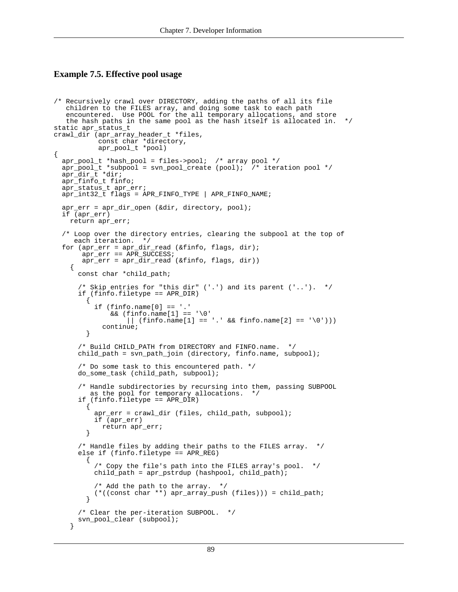#### **Example 7.5. Effective pool usage**

```
/* Recursively crawl over DIRECTORY, adding the paths of all its file
  children to the FILES array, and doing some task to each path
   encountered. Use POOL for the all temporary allocations, and store
   the hash paths in the same pool as the hash itself is allocated in. */
static apr_status_t
crawl_dir (apr_array_header_t *files,
           const char *directory,
           apr_pool_t *pool)
{
 apr\_pool_t *hash\_pool = files - pool; /* array pool */
 apr\_pool_t * subpool = syn\_pool\_create (pool); /* iteration pool */
 apr_dir_t *dir;
 apr_finfo_t finfo;
 apr_status_t apr_err;
 apr\_int32_t flags = APR_FINFO_TYPE | APR_FINFO_NAME;
 apr_err = apr_dir_open (&dir, directory, pool);
 if (apr_err)
   return apr_err;
  /* Loop over the directory entries, clearing the subpool at the top of
     each iteration. */
  for (apr_err = apr_dir_read (&finfo, flags, dir);
       apr_err == APR_SUCCESS;
      apr_err = apr_dir_read (&finfo, flags, dir))
    {
      const char *child path;
      /* Skip entries for "this dir" ('.') and its parent ('..'). */
      if (finfo.filetype == APR_DIR)
        {
          if (finfo.name[0] == '.'&\& (finfo.name[1] == '\0'
                  || (finfo.name[1] == '. ' & & finfo.name[2] == '\\ 0'))continue;
        }
      /* Build CHILD_PATH from DIRECTORY and FINFO.name.
      child_path = svn_path_join (directory, finfo.name, subpool);
      /* Do some task to this encountered path. */
      do_some_task (child_path, subpool);
      /* Handle subdirectories by recursing into them, passing SUBPOOL
         as the pool for temporary allocations. */
      if (finfo.filetype == APR_DIR)
        {
          apr_err = crawl_dir (files, child_path, subpool);
          if (apr_err)
           return apr_err;
        }
      /* Handle files by adding their paths to the FILES array. */
      else if (finfo.filetype == APR_REG)
        {
          /* Copy the file's path into the FILES array's pool. */
          child_path = apr_pstrdup (hashpool, child_path);
          /* Add the path to the array. */
          (*((const char **) apr_array_push (files))) = child_path;
        }
      /* Clear the per-iteration SUBPOOL. */
      svn_pool_clear (subpool);
    }
```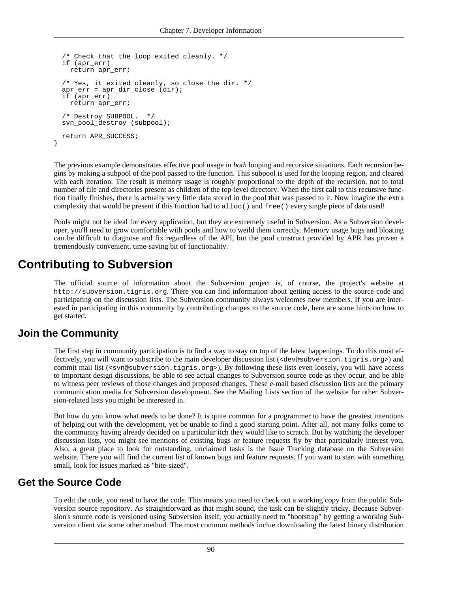```
/* Check that the loop exited cleanly. */
  if (apr_err)
   return apr_err;
  /* Yes, it exited cleanly, so close the dir. */
 apr_err = apr_dir_close (dir);
  if (apr_err)
   return apr_err;
  /* Destroy SUBPOOL. */
  svn_pool_destroy (subpool);
 return APR_SUCCESS;
}
```
The previous example demonstrates effective pool usage in *both* looping and recursive situations. Each recursion begins by making a subpool of the pool passed to the function. This subpool is used for the looping region, and cleared with each iteration. The result is memory usage is roughly proportional to the depth of the recursion, not to total number of file and directories present as children of the top-level directory. When the first call to this recursive function finally finishes, there is actually very little data stored in the pool that was passed to it. Now imagine the extra complexity that would be present if this function had to alloc() and free() every single piece of data used!

Pools might not be ideal for every application, but they are extremely useful in Subversion. As a Subversion developer, you'll need to grow comfortable with pools and how to weild them correctly. Memory usage bugs and bloating can be difficult to diagnose and fix regardless of the API, but the pool construct provided by APR has proven a tremendously convenient, time-saving bit of functionality.

# **Contributing to Subversion**

The official source of information about the Subversion project is, of course, the project's website at http://subversion.tigris.org. There you can find information about getting access to the source code and participating on the discussion lists. The Subversion community always welcomes new members. If you are interested in participating in this community by contributing changes to the source code, here are some hints on how to get started.

## **Join the Community**

The first step in community participation is to find a way to stay on top of the latest happenings. To do this most effectively, you will want to subscribe to the main developer discussion list (<dev@subversion.tigris.org>) and commit mail list (<svn@subversion.tigris.org>). By following these lists even loosely, you will have access to important design discussions, be able to see actual changes to Subversion source code as they occur, and be able to witness peer reviews of those changes and proposed changes. These e-mail based discussion lists are the primary communication media for Subversion development. See the Mailing Lists section of the website for other Subversion-related lists you might be interested in.

But how do you know what needs to be done? It is quite common for a programmer to have the greatest intentions of helping out with the development, yet be unable to find a good starting point. After all, not many folks come to the community having already decided on a particular itch they would like to scratch. But by watching the developer discussion lists, you might see mentions of existing bugs or feature requests fly by that particularly interest you. Also, a great place to look for outstanding, unclaimed tasks is the Issue Tracking database on the Subversion website. There you will find the current list of known bugs and feature requests. If you want to start with something small, look for issues marked as "bite-sized".

## **Get the Source Code**

To edit the code, you need to have the code. This means you need to check out a working copy from the public Subversion source repository. As straightforward as that might sound, the task can be slightly tricky. Because Subversion's source code is versioned using Subversion itself, you actually need to "bootstrap" by getting a working Subversion client via some other method. The most common methods inclue downloading the latest binary distribution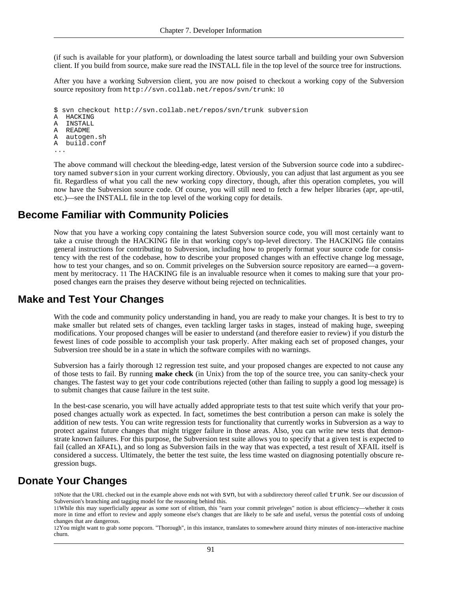(if such is available for your platform), or downloading the latest source tarball and building your own Subversion client. If you build from source, make sure read the INSTALL file in the top level of the source tree for instructions.

After you have a working Subversion client, you are now poised to checkout a working copy of the Subversion source repository from http://svn.collab.net/repos/svn/trunk: 10

```
$ svn checkout http://svn.collab.net/repos/svn/trunk subversion
A HACKING<br>A INSTALL
A INSTALL<br>A README
  README
A autogen.sh
A build.conf
```
The above command will checkout the bleeding-edge, latest version of the Subversion source code into a subdirectory named subversion in your current working directory. Obviously, you can adjust that last argument as you see fit. Regardless of what you call the new working copy directory, though, after this operation completes, you will now have the Subversion source code. Of course, you will still need to fetch a few helper libraries (apr, apr-util, etc.)—see the INSTALL file in the top level of the working copy for details.

## **Become Familiar with Community Policies**

Now that you have a working copy containing the latest Subversion source code, you will most certainly want to take a cruise through the HACKING file in that working copy's top-level directory. The HACKING file contains general instructions for contributing to Subversion, including how to properly format your source code for consistency with the rest of the codebase, how to describe your proposed changes with an effective change log message, how to test your changes, and so on. Commit priveleges on the Subversion source repository are earned—a government by meritocracy. 11 The HACKING file is an invaluable resource when it comes to making sure that your proposed changes earn the praises they deserve without being rejected on technicalities.

#### **Make and Test Your Changes**

With the code and community policy understanding in hand, you are ready to make your changes. It is best to try to make smaller but related sets of changes, even tackling larger tasks in stages, instead of making huge, sweeping modifications. Your proposed changes will be easier to understand (and therefore easier to review) if you disturb the fewest lines of code possible to accomplish your task properly. After making each set of proposed changes, your Subversion tree should be in a state in which the software compiles with no warnings.

Subversion has a fairly thorough 12 regression test suite, and your proposed changes are expected to not cause any of those tests to fail. By running **make check** (in Unix) from the top of the source tree, you can sanity-check your changes. The fastest way to get your code contributions rejected (other than failing to supply a good log message) is to submit changes that cause failure in the test suite.

In the best-case scenario, you will have actually added appropriate tests to that test suite which verify that your proposed changes actually work as expected. In fact, sometimes the best contribution a person can make is solely the addition of new tests. You can write regression tests for functionality that currently works in Subversion as a way to protect against future changes that might trigger failure in those areas. Also, you can write new tests that demonstrate known failures. For this purpose, the Subversion test suite allows you to specify that a given test is expected to fail (called an XFAIL), and so long as Subversion fails in the way that was expected, a test result of XFAIL itself is considered a success. Ultimately, the better the test suite, the less time wasted on diagnosing potentially obscure regression bugs.

## **Donate Your Changes**

10Note that the URL checked out in the example above ends not with svn, but with a subdirectory thereof called trunk. See our discussion of Subversion's branching and tagging model for the reasoning behind this.

11While this may superficially appear as some sort of elitism, this "earn your commit priveleges" notion is about efficiency—whether it costs more in time and effort to review and apply someone else's changes that are likely to be safe and useful, versus the potential costs of undoing changes that are dangerous.

12You might want to grab some popcorn. "Thorough", in this instance, translates to somewhere around thirty minutes of non-interactive machine churn.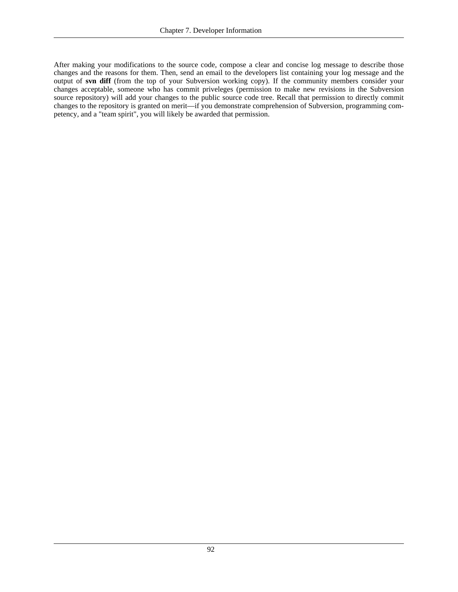After making your modifications to the source code, compose a clear and concise log message to describe those changes and the reasons for them. Then, send an email to the developers list containing your log message and the output of **svn diff** (from the top of your Subversion working copy). If the community members consider your changes acceptable, someone who has commit priveleges (permission to make new revisions in the Subversion source repository) will add your changes to the public source code tree. Recall that permission to directly commit changes to the repository is granted on merit—if you demonstrate comprehension of Subversion, programming competency, and a "team spirit", you will likely be awarded that permission.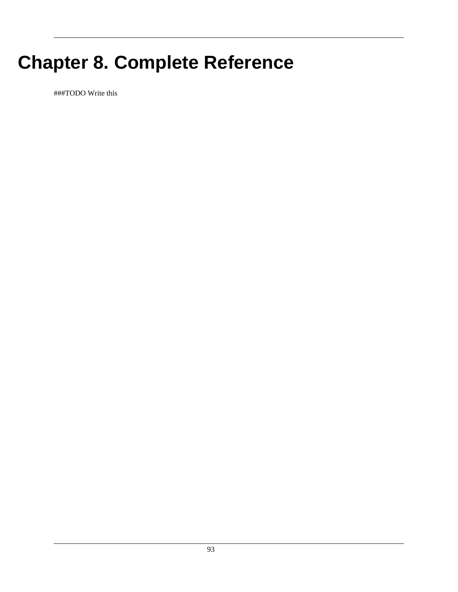# **Chapter 8. Complete Reference**

###TODO Write this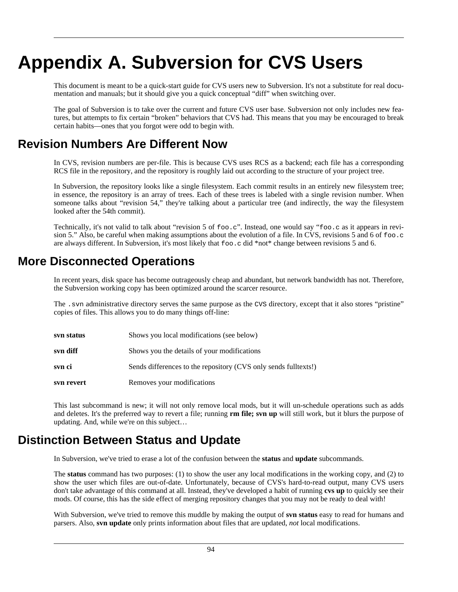# **Appendix A. Subversion for CVS Users**

This document is meant to be a quick-start guide for CVS users new to Subversion. It's not a substitute for real documentation and manuals; but it should give you a quick conceptual "diff" when switching over.

The goal of Subversion is to take over the current and future CVS user base. Subversion not only includes new features, but attempts to fix certain "broken" behaviors that CVS had. This means that you may be encouraged to break certain habits—ones that you forgot were odd to begin with.

# **Revision Numbers Are Different Now**

In CVS, revision numbers are per-file. This is because CVS uses RCS as a backend; each file has a corresponding RCS file in the repository, and the repository is roughly laid out according to the structure of your project tree.

In Subversion, the repository looks like a single filesystem. Each commit results in an entirely new filesystem tree; in essence, the repository is an array of trees. Each of these trees is labeled with a single revision number. When someone talks about "revision 54," they're talking about a particular tree (and indirectly, the way the filesystem looked after the 54th commit).

Technically, it's not valid to talk about "revision 5 of foo.c". Instead, one would say "foo.c as it appears in revision 5." Also, be careful when making assumptions about the evolution of a file. In CVS, revisions 5 and 6 of  $f \circ \circ c$ . are always different. In Subversion, it's most likely that foo.c did \*not\* change between revisions 5 and 6.

# **More Disconnected Operations**

In recent years, disk space has become outrageously cheap and abundant, but network bandwidth has not. Therefore, the Subversion working copy has been optimized around the scarcer resource.

The .svn administrative directory serves the same purpose as the CVS directory, except that it also stores "pristine" copies of files. This allows you to do many things off-line:

| syn status | Shows you local modifications (see below)                       |  |
|------------|-----------------------------------------------------------------|--|
| syn diff   | Shows you the details of your modifications                     |  |
| svn ci     | Sends differences to the repository (CVS only sends fulltexts!) |  |
| syn revert | Removes your modifications                                      |  |

This last subcommand is new; it will not only remove local mods, but it will un-schedule operations such as adds and deletes. It's the preferred way to revert a file; running **rm file; svn up** will still work, but it blurs the purpose of updating. And, while we're on this subject…

# **Distinction Between Status and Update**

In Subversion, we've tried to erase a lot of the confusion between the **status** and **update** subcommands.

The **status** command has two purposes: (1) to show the user any local modifications in the working copy, and (2) to show the user which files are out-of-date. Unfortunately, because of CVS's hard-to-read output, many CVS users don't take advantage of this command at all. Instead, they've developed a habit of running **cvs up** to quickly see their mods. Of course, this has the side effect of merging repository changes that you may not be ready to deal with!

With Subversion, we've tried to remove this muddle by making the output of **svn status** easy to read for humans and parsers. Also, **svn update** only prints information about files that are updated, *not* local modifications.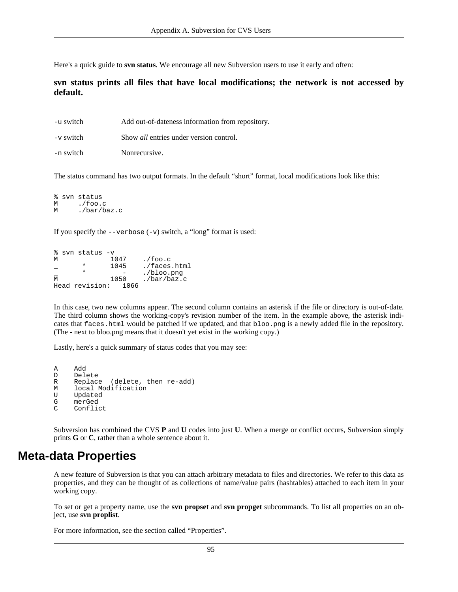Here's a quick guide to **svn status**. We encourage all new Subversion users to use it early and often:

#### **svn status prints all files that have local modifications; the network is not accessed by default.**

-u switch Add out-of-dateness information from repository.

-v switch Show *all* entries under version control.

-n switch Nonrecursive.

The status command has two output formats. In the default "short" format, local modifications look like this:

% svn status<br>M /foo M ./foo.c<br>M ./bar/b ./bar/baz.c

If you specify the  $-$ verbose  $(-v)$  switch, a "long" format is used:

```
% svn status -v
M 1047 ./foo.c<br>
* 1045 ./faces
                           ./faces.html
\frac{1}{M} * \frac{1050}{M}, \frac{1050}{M}, \frac{1050}{M}0 ./bar/baz.c
Head revision:
```
In this case, two new columns appear. The second column contains an asterisk if the file or directory is out-of-date. The third column shows the working-copy's revision number of the item. In the example above, the asterisk indicates that faces.html would be patched if we updated, and that bloo.png is a newly added file in the repository. (The **-** next to bloo.png means that it doesn't yet exist in the working copy.)

Lastly, here's a quick summary of status codes that you may see:

```
A Add<br>D Del
     Delete
R Replace (delete, then re-add)
M local Modification
U Updated<br>G merGed
G merGed<br>C Confli
     Conflict
```
Subversion has combined the CVS **P** and **U** codes into just **U**. When a merge or conflict occurs, Subversion simply prints **G** or **C**, rather than a whole sentence about it.

## **Meta-data Properties**

A new feature of Subversion is that you can attach arbitrary metadata to files and directories. We refer to this data as properties, and they can be thought of as collections of name/value pairs (hashtables) attached to each item in your working copy.

To set or get a property name, use the **svn propset** and **svn propget** subcommands. To list all properties on an object, use **svn proplist**.

For more information, see [the section called "Properties"](#page-74-0).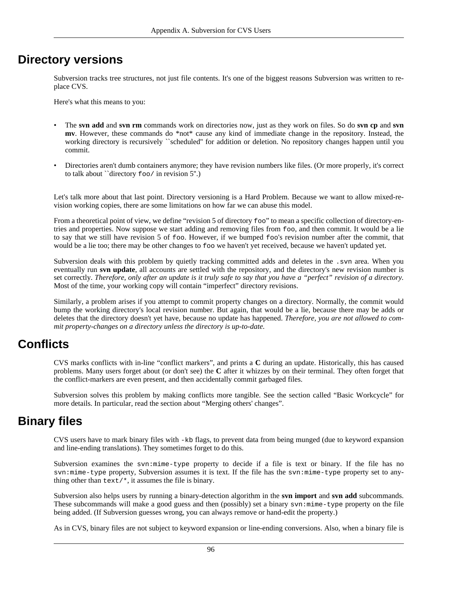## **Directory versions**

Subversion tracks tree structures, not just file contents. It's one of the biggest reasons Subversion was written to replace CVS.

Here's what this means to you:

- The **svn add** and **svn rm** commands work on directories now, just as they work on files. So do **svn cp** and **svn mv**. However, these commands do \*not\* cause any kind of immediate change in the repository. Instead, the working directory is recursively ``scheduled'' for addition or deletion. No repository changes happen until you commit.
- Directories aren't dumb containers anymore; they have revision numbers like files. (Or more properly, it's correct to talk about ``directory foo/ in revision 5''.)

Let's talk more about that last point. Directory versioning is a Hard Problem. Because we want to allow mixed-revision working copies, there are some limitations on how far we can abuse this model.

From a theoretical point of view, we define "revision 5 of directory foo" to mean a specific collection of directory-entries and properties. Now suppose we start adding and removing files from foo, and then commit. It would be a lie to say that we still have revision 5 of foo. However, if we bumped foo's revision number after the commit, that would be a lie too; there may be other changes to foo we haven't yet received, because we haven't updated yet.

Subversion deals with this problem by quietly tracking committed adds and deletes in the .svn area. When you eventually run **svn update**, all accounts are settled with the repository, and the directory's new revision number is set correctly. *Therefore, only after an update is it truly safe to say that you have a "perfect" revision of a directory.* Most of the time, your working copy will contain "imperfect" directory revisions.

Similarly, a problem arises if you attempt to commit property changes on a directory. Normally, the commit would bump the working directory's local revision number. But again, that would be a lie, because there may be adds or deletes that the directory doesn't yet have, because no update has happened. *Therefore, you are not allowed to commit property-changes on a directory unless the directory is up-to-date.*

# **Conflicts**

CVS marks conflicts with in-line "conflict markers", and prints a **C** during an update. Historically, this has caused problems. Many users forget about (or don't see) the **C** after it whizzes by on their terminal. They often forget that the conflict-markers are even present, and then accidentally commit garbaged files.

Subversion solves this problem by making conflicts more tangible. See [the section called "Basic Workcycle"](#page-23-0) for more details. In particular, read the section about "Merging others' changes".

# **Binary files**

CVS users have to mark binary files with -kb flags, to prevent data from being munged (due to keyword expansion and line-ending translations). They sometimes forget to do this.

Subversion examines the svn:mime-type property to decide if a file is text or binary. If the file has no svn:mime-type property, Subversion assumes it is text. If the file has the svn:mime-type property set to anything other than text/\*, it assumes the file is binary.

Subversion also helps users by running a binary-detection algorithm in the **svn import** and **svn add** subcommands. These subcommands will make a good guess and then (possibly) set a binary svn:mime-type property on the file being added. (If Subversion guesses wrong, you can always remove or hand-edit the property.)

As in CVS, binary files are not subject to keyword expansion or line-ending conversions. Also, when a binary file is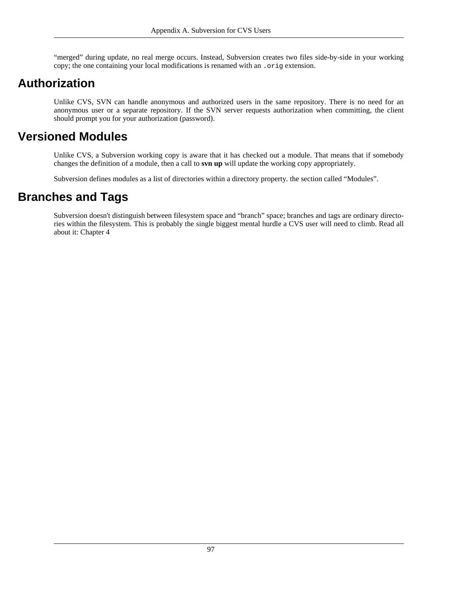"merged" during update, no real merge occurs. Instead, Subversion creates two files side-by-side in your working copy; the one containing your local modifications is renamed with an .orig extension.

# **Authorization**

Unlike CVS, SVN can handle anonymous and authorized users in the same repository. There is no need for an anonymous user or a separate repository. If the SVN server requests authorization when committing, the client should prompt you for your authorization (password).

# **Versioned Modules**

Unlike CVS, a Subversion working copy is aware that it has checked out a module. That means that if somebody changes the definition of a module, then a call to **svn up** will update the working copy appropriately.

Subversion defines modules as a list of directories within a directory property. [the section called "Modules"](#page-78-0).

# **Branches and Tags**

Subversion doesn't distinguish between filesystem space and "branch" space; branches and tags are ordinary directories within the filesystem. This is probably the single biggest mental hurdle a CVS user will need to climb. Read all about it[: Chapter 4](#page--1-0)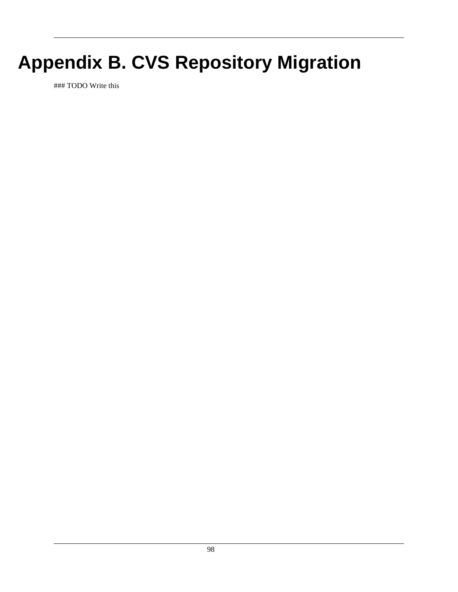# **Appendix B. CVS Repository Migration**

### TODO Write this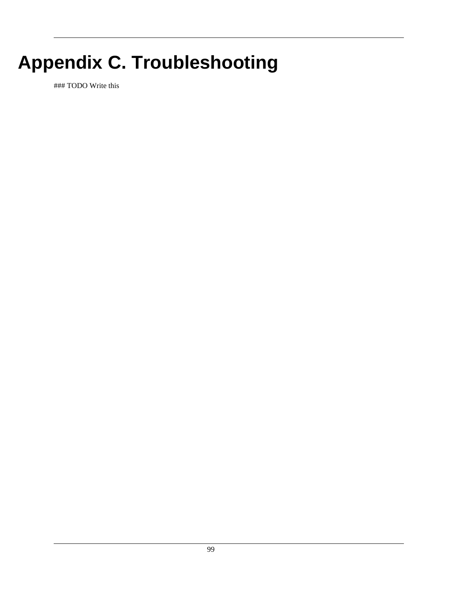# **Appendix C. Troubleshooting**

### TODO Write this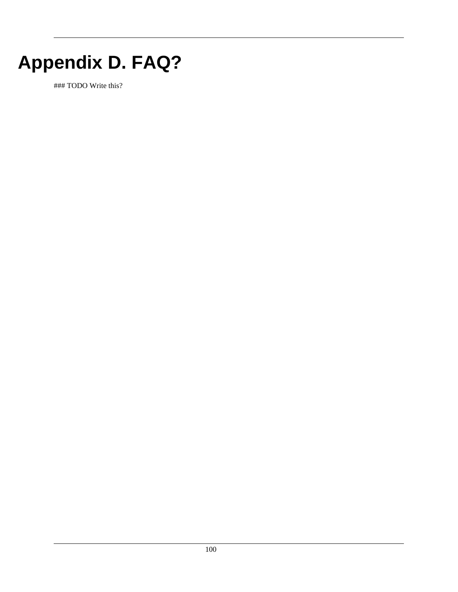# **Appendix D. FAQ?**

### TODO Write this?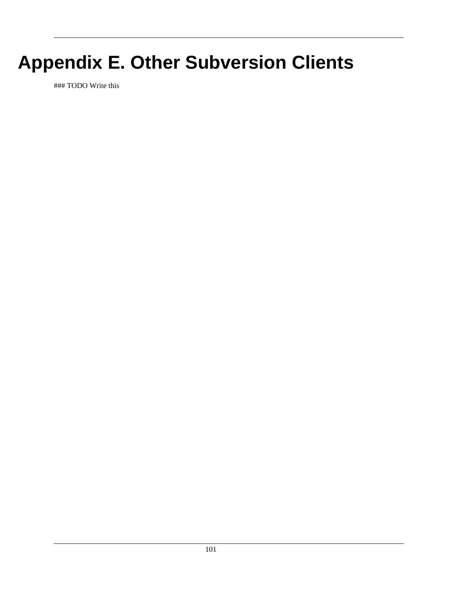## **Appendix E. Other Subversion Clients**

### TODO Write this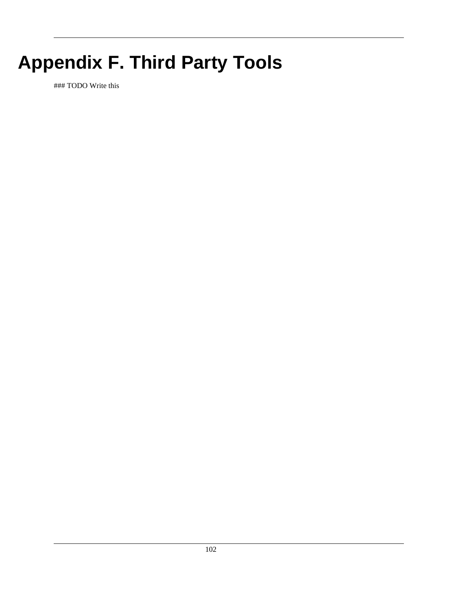# **Appendix F. Third Party Tools**

### TODO Write this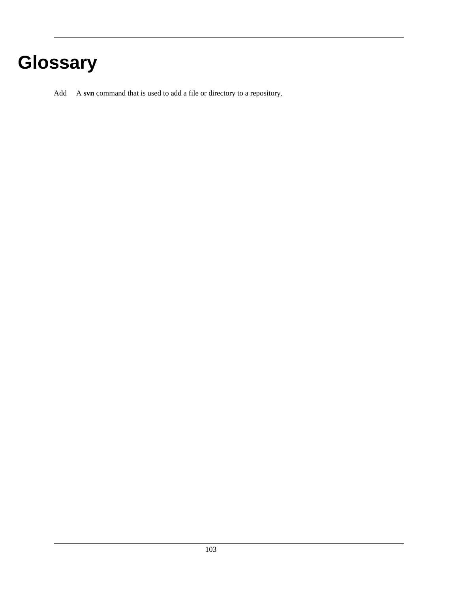#### **Glossary**

Add A **svn** command that is used to add a file or directory to a repository.